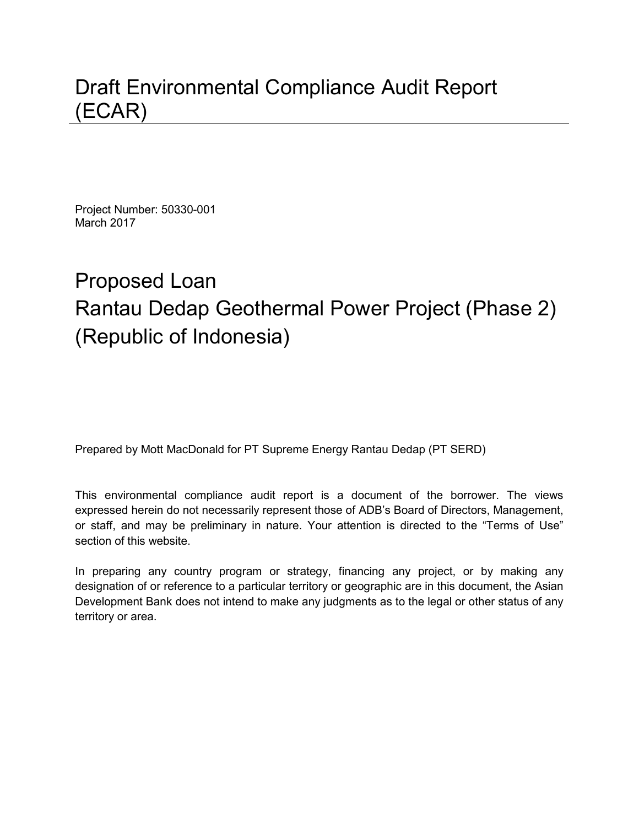## Draft Environmental Compliance Audit Report (ECAR)

Project Number: 50330-001 March 2017

# Proposed Loan Rantau Dedap Geothermal Power Project (Phase 2) (Republic of Indonesia)

Prepared by Mott MacDonald for PT Supreme Energy Rantau Dedap (PT SERD)

This environmental compliance audit report is a document of the borrower. The views expressed herein do not necessarily represent those of ADB's Board of Directors, Management, or staff, and may be preliminary in nature. Your attention is directed to the "Terms of Use" section of this website.

In preparing any country program or strategy, financing any project, or by making any designation of or reference to a particular territory or geographic are in this document, the Asian Development Bank does not intend to make any judgments as to the legal or other status of any territory or area.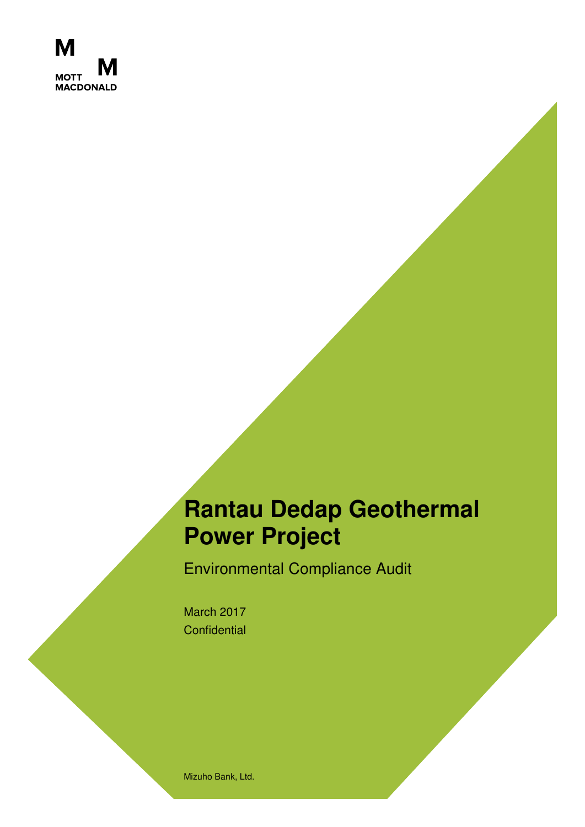

# **Rantau Dedap Geothermal Power Project**

Environmental Compliance Audit

March 2017 **Confidential** 

Mizuho Bank, Ltd.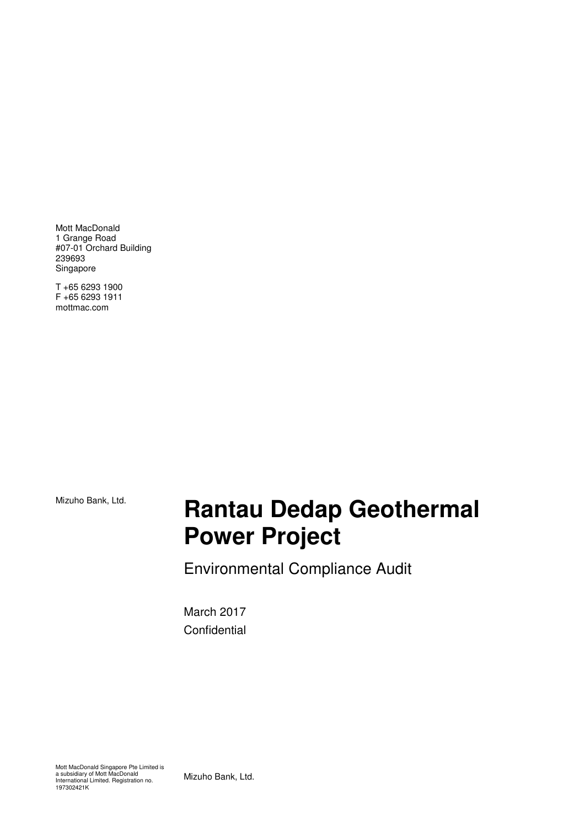Mott MacDonald 1 Grange Road #07-01 Orchard Building 239693 Singapore

T +65 6293 1900 F +65 6293 1911 mottmac.com

## VAR Draigat Mott MacDonald\_Rantau Dedap\_Environmental Compliance Audit\_Rev A **Power Project** Mizuho Bank, Ltd. **Rantau Dedap Geothermal**

Environmental Compliance Audit

March 2017 **Confidential** 

Mizuho Bank, Ltd.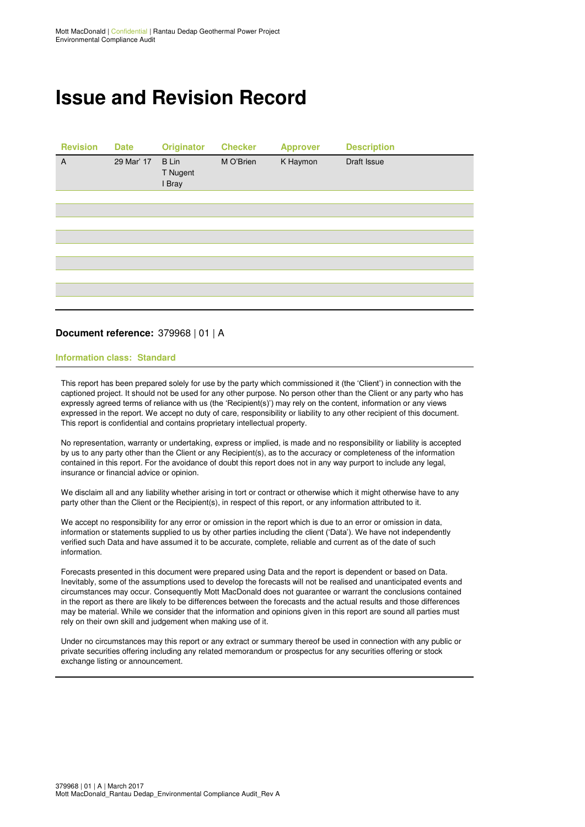## **Issue and Revision Record**

| <b>Revision</b> | <b>Date</b> | Originator                  | <b>Checker</b> | <b>Approver</b> | <b>Description</b> |
|-----------------|-------------|-----------------------------|----------------|-----------------|--------------------|
| $\overline{A}$  | 29 Mar' 17  | B Lin<br>T Nugent<br>I Bray | M O'Brien      | K Haymon        | Draft Issue        |
|                 |             |                             |                |                 |                    |
|                 |             |                             |                |                 |                    |
|                 |             |                             |                |                 |                    |
|                 |             |                             |                |                 |                    |
|                 |             |                             |                |                 |                    |
|                 |             |                             |                |                 |                    |
|                 |             |                             |                |                 |                    |
|                 |             |                             |                |                 |                    |
|                 |             |                             |                |                 |                    |
|                 |             |                             |                |                 |                    |

#### **Document reference:** 379968 | 01 | A

#### **Information class: Standard**

This report has been prepared solely for use by the party which commissioned it (the 'Client') in connection with the captioned project. It should not be used for any other purpose. No person other than the Client or any party who has expressly agreed terms of reliance with us (the 'Recipient(s)') may rely on the content, information or any views expressed in the report. We accept no duty of care, responsibility or liability to any other recipient of this document. This report is confidential and contains proprietary intellectual property.

No representation, warranty or undertaking, express or implied, is made and no responsibility or liability is accepted by us to any party other than the Client or any Recipient(s), as to the accuracy or completeness of the information contained in this report. For the avoidance of doubt this report does not in any way purport to include any legal, insurance or financial advice or opinion.

We disclaim all and any liability whether arising in tort or contract or otherwise which it might otherwise have to any party other than the Client or the Recipient(s), in respect of this report, or any information attributed to it.

We accept no responsibility for any error or omission in the report which is due to an error or omission in data, information or statements supplied to us by other parties including the client ('Data'). We have not independently verified such Data and have assumed it to be accurate, complete, reliable and current as of the date of such information.

Forecasts presented in this document were prepared using Data and the report is dependent or based on Data. Inevitably, some of the assumptions used to develop the forecasts will not be realised and unanticipated events and circumstances may occur. Consequently Mott MacDonald does not guarantee or warrant the conclusions contained in the report as there are likely to be differences between the forecasts and the actual results and those differences may be material. While we consider that the information and opinions given in this report are sound all parties must rely on their own skill and judgement when making use of it.

Under no circumstances may this report or any extract or summary thereof be used in connection with any public or private securities offering including any related memorandum or prospectus for any securities offering or stock exchange listing or announcement.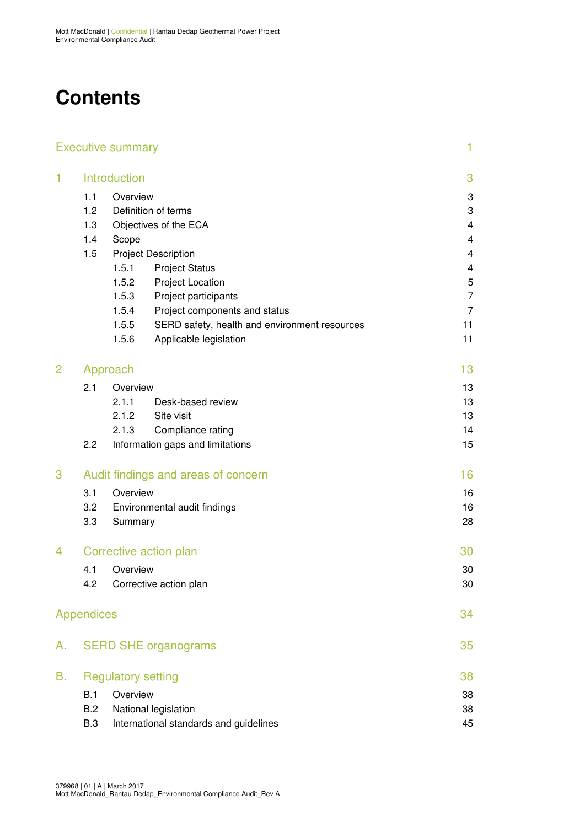## **Contents**

| Introduction<br>1                                      | 3                       |
|--------------------------------------------------------|-------------------------|
| Overview<br>1.1                                        | 3                       |
| Definition of terms<br>1.2                             | 3                       |
| 1.3<br>Objectives of the ECA                           | $\overline{\mathbf{4}}$ |
| 1.4<br>Scope                                           | $\overline{\mathbf{4}}$ |
| <b>Project Description</b><br>1.5                      | 4                       |
| 1.5.1<br><b>Project Status</b>                         | $\overline{\mathbf{4}}$ |
| 1.5.2<br><b>Project Location</b>                       | 5                       |
| 1.5.3<br>Project participants                          | $\overline{7}$          |
| 1.5.4<br>Project components and status                 | 7                       |
| 1.5.5<br>SERD safety, health and environment resources | 11                      |
| 1.5.6<br>Applicable legislation                        | 11                      |
| 2<br>Approach                                          | 13                      |
| 2.1<br>Overview                                        | 13                      |
| 2.1.1<br>Desk-based review                             | 13                      |
| 2.1.2<br>Site visit                                    | 13                      |
| 2.1.3<br>Compliance rating                             | 14                      |
| Information gaps and limitations<br>2.2                | 15                      |
| 3<br>Audit findings and areas of concern               | 16                      |
| 3.1<br>Overview                                        | 16                      |
| 3.2<br>Environmental audit findings                    | 16                      |
| 3.3<br>Summary                                         | 28                      |
| Corrective action plan<br>4                            | 30                      |
| 4.1<br>Overview                                        | 30                      |
| Corrective action plan<br>4.2                          | 30                      |
| <b>Appendices</b>                                      | 34                      |
| <b>SERD SHE organograms</b><br>Α.                      | 35                      |
| <b>B.</b><br><b>Regulatory setting</b>                 | 38                      |
| Overview<br>B.1                                        | 38                      |
| National legislation<br>B.2                            | 38                      |
| <b>B.3</b><br>International standards and guidelines   | 45                      |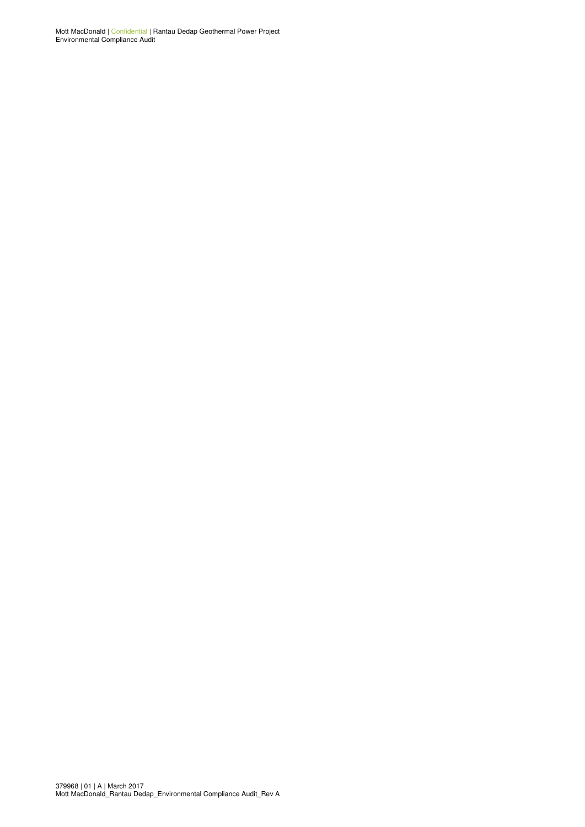Mott MacDonald | Confidential | Rantau Dedap Geothermal Power Project Environmental Compliance Audit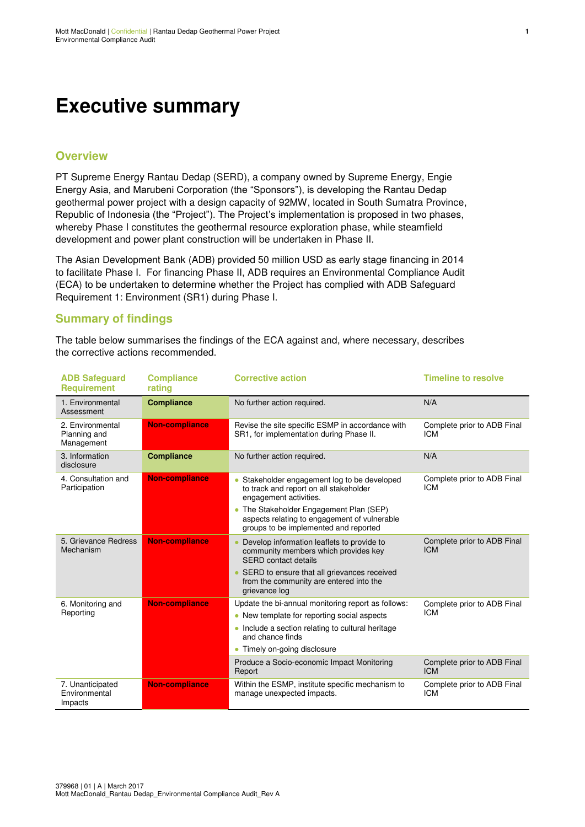## <span id="page-8-0"></span>**Executive summary**

## **Overview**

PT Supreme Energy Rantau Dedap (SERD), a company owned by Supreme Energy, Engie Energy Asia, and Marubeni Corporation (the "Sponsors"), is developing the Rantau Dedap geothermal power project with a design capacity of 92MW, located in South Sumatra Province, Republic of Indonesia (the "Project"). The Project's implementation is proposed in two phases, whereby Phase I constitutes the geothermal resource exploration phase, while steamfield development and power plant construction will be undertaken in Phase II.

The Asian Development Bank (ADB) provided 50 million USD as early stage financing in 2014 to facilitate Phase I. For financing Phase II, ADB requires an Environmental Compliance Audit (ECA) to be undertaken to determine whether the Project has complied with ADB Safeguard Requirement 1: Environment (SR1) during Phase I.

## **Summary of findings**

The table below summarises the findings of the ECA against and, where necessary, describes the corrective actions recommended.

| <b>ADB Safeguard</b><br><b>Requirement</b>     | <b>Compliance</b><br>rating | <b>Corrective action</b>                                                                                                         | <b>Timeline to resolve</b>                |
|------------------------------------------------|-----------------------------|----------------------------------------------------------------------------------------------------------------------------------|-------------------------------------------|
| 1. Environmental<br>Assessment                 | <b>Compliance</b>           | No further action required.                                                                                                      | N/A                                       |
| 2. Environmental<br>Planning and<br>Management | <b>Non-compliance</b>       | Revise the site specific ESMP in accordance with<br>SR1, for implementation during Phase II.                                     | Complete prior to ADB Final<br><b>ICM</b> |
| 3. Information<br>disclosure                   | <b>Compliance</b>           | No further action required.                                                                                                      | N/A                                       |
| 4. Consultation and<br>Participation           | <b>Non-compliance</b>       | • Stakeholder engagement log to be developed<br>to track and report on all stakeholder<br>engagement activities.                 | Complete prior to ADB Final<br><b>ICM</b> |
|                                                |                             | • The Stakeholder Engagement Plan (SEP)<br>aspects relating to engagement of vulnerable<br>groups to be implemented and reported |                                           |
| 5. Grievance Redress<br>Mechanism              | <b>Non-compliance</b>       | Develop information leaflets to provide to<br>community members which provides key<br><b>SERD</b> contact details                | Complete prior to ADB Final<br><b>ICM</b> |
|                                                |                             | SERD to ensure that all grievances received<br>from the community are entered into the<br>grievance log                          |                                           |
| 6. Monitoring and                              | <b>Non-compliance</b>       | Update the bi-annual monitoring report as follows:                                                                               | Complete prior to ADB Final               |
| Reporting                                      |                             | • New template for reporting social aspects                                                                                      | <b>ICM</b>                                |
|                                                |                             | • Include a section relating to cultural heritage<br>and chance finds                                                            |                                           |
|                                                |                             | • Timely on-going disclosure                                                                                                     |                                           |
|                                                |                             | Produce a Socio-economic Impact Monitoring<br>Report                                                                             | Complete prior to ADB Final<br><b>ICM</b> |
| 7. Unanticipated<br>Environmental<br>Impacts   | <b>Non-compliance</b>       | Within the ESMP, institute specific mechanism to<br>manage unexpected impacts.                                                   | Complete prior to ADB Final<br><b>ICM</b> |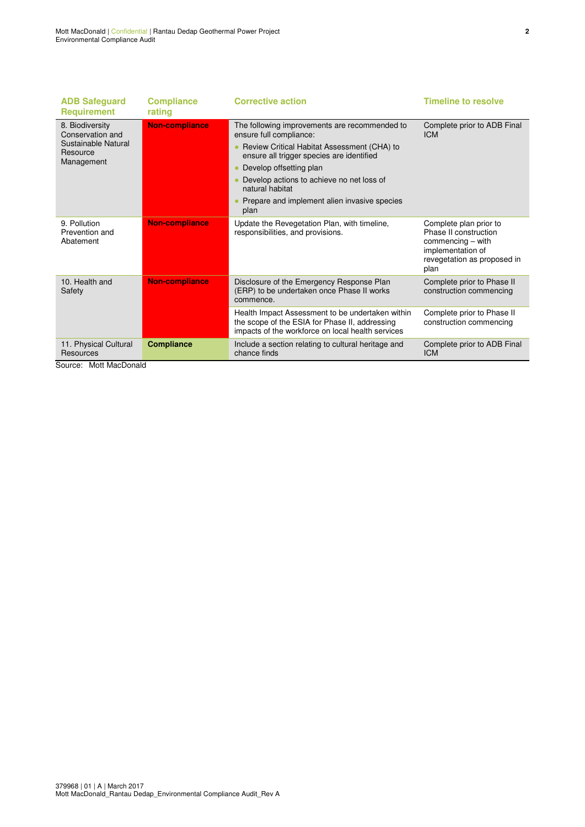| <b>ADB Safeguard</b><br><b>Requirement</b>                                           | <b>Compliance</b><br>rating | <b>Corrective action</b>                                                                                                                                                                                                                                                                                                | <b>Timeline to resolve</b>                                                                                                       |
|--------------------------------------------------------------------------------------|-----------------------------|-------------------------------------------------------------------------------------------------------------------------------------------------------------------------------------------------------------------------------------------------------------------------------------------------------------------------|----------------------------------------------------------------------------------------------------------------------------------|
| 8. Biodiversity<br>Conservation and<br>Sustainable Natural<br>Resource<br>Management | <b>Non-compliance</b>       | The following improvements are recommended to<br>ensure full compliance:<br>Review Critical Habitat Assessment (CHA) to<br>ensure all trigger species are identified<br>Develop offsetting plan<br>Develop actions to achieve no net loss of<br>natural habitat<br>Prepare and implement alien invasive species<br>plan | Complete prior to ADB Final<br><b>ICM</b>                                                                                        |
| 9. Pollution<br>Prevention and<br>Abatement                                          | Non-compliance              | Update the Revegetation Plan, with timeline,<br>responsibilities, and provisions.                                                                                                                                                                                                                                       | Complete plan prior to<br>Phase II construction<br>commencing – with<br>implementation of<br>revegetation as proposed in<br>plan |
| 10. Health and<br>Safety                                                             | <b>Non-compliance</b>       | Disclosure of the Emergency Response Plan<br>(ERP) to be undertaken once Phase II works<br>commence.                                                                                                                                                                                                                    | Complete prior to Phase II<br>construction commencing                                                                            |
|                                                                                      |                             | Health Impact Assessment to be undertaken within<br>the scope of the ESIA for Phase II, addressing<br>impacts of the workforce on local health services                                                                                                                                                                 | Complete prior to Phase II<br>construction commencing                                                                            |
| 11. Physical Cultural<br>Resources                                                   | <b>Compliance</b>           | Include a section relating to cultural heritage and<br>chance finds                                                                                                                                                                                                                                                     | Complete prior to ADB Final<br><b>ICM</b>                                                                                        |

Source: Mott MacDonald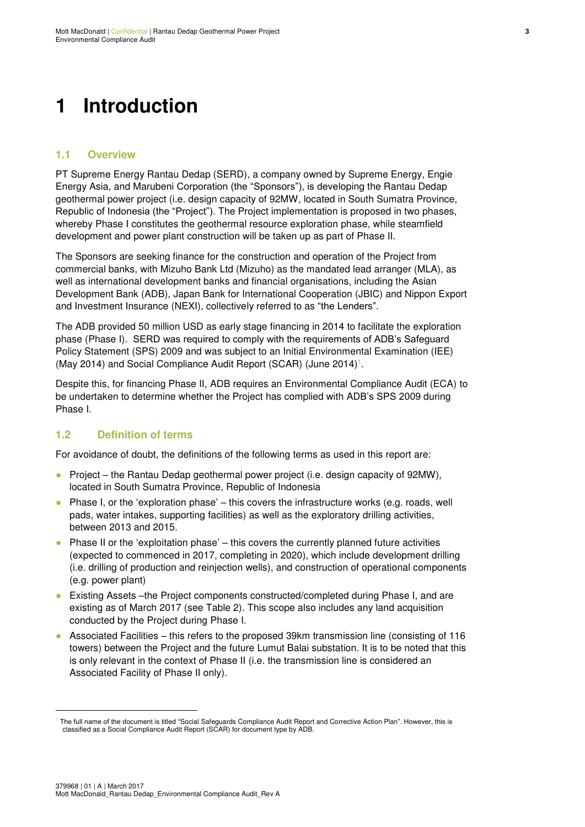# <span id="page-10-0"></span>**1 Introduction**

## <span id="page-10-1"></span>**1.1 Overview**

PT Supreme Energy Rantau Dedap (SERD), a company owned by Supreme Energy, Engie Energy Asia, and Marubeni Corporation (the "Sponsors"), is developing the Rantau Dedap geothermal power project (i.e. design capacity of 92MW, located in South Sumatra Province, Republic of Indonesia (the "Project"). The Project implementation is proposed in two phases, whereby Phase I constitutes the geothermal resource exploration phase, while steamfield development and power plant construction will be taken up as part of Phase II.

The Sponsors are seeking finance for the construction and operation of the Project from commercial banks, with Mizuho Bank Ltd (Mizuho) as the mandated lead arranger (MLA), as well as international development banks and financial organisations, including the Asian Development Bank (ADB), Japan Bank for International Cooperation (JBIC) and Nippon Export and Investment Insurance (NEXI), collectively referred to as "the Lenders".

The ADB provided 50 million USD as early stage financing in 2014 to facilitate the exploration phase (Phase I). SERD was required to comply with the requirements of ADB's Safeguard Policy Statement (SPS) 2009 and was subject to an Initial Environmental Examination (IEE) (May 2014) and Social Compliance Audit Report (SCAR) (June 2014)<sup>1</sup>.

Despite this, for financing Phase II, ADB requires an Environmental Compliance Audit (ECA) to be undertaken to determine whether the Project has complied with ADB's SPS 2009 during Phase I.

## <span id="page-10-2"></span>**1.2 Definition of terms**

-

For avoidance of doubt, the definitions of the following terms as used in this report are:

- Project the Rantau Dedap geothermal power project (i.e. design capacity of 92MW), located in South Sumatra Province, Republic of Indonesia
- Phase I, or the 'exploration phase' this covers the infrastructure works (e.g. roads, well pads, water intakes, supporting facilities) as well as the exploratory drilling activities, between 2013 and 2015.
- Phase II or the 'exploitation phase' this covers the currently planned future activities (expected to commenced in 2017, completing in 2020), which include development drilling (i.e. drilling of production and reinjection wells), and construction of operational components (e.g. power plant)
- Existing Assets –the Project components constructed/completed during Phase I, and are existing as of March 2017 (see [Table 2\)](#page-17-0). This scope also includes any land acquisition conducted by the Project during Phase I.
- Associated Facilities this refers to the proposed 39km transmission line (consisting of 116 towers) between the Project and the future Lumut Balai substation. It is to be noted that this is only relevant in the context of Phase II (i.e. the transmission line is considered an Associated Facility of Phase II only).

<sup>&</sup>lt;sup>1</sup> The full name of the document is titled "Social Safeguards Compliance Audit Report and Corrective Action Plan". However, this is classified as a Social Compliance Audit Report (SCAR) for document type by ADB.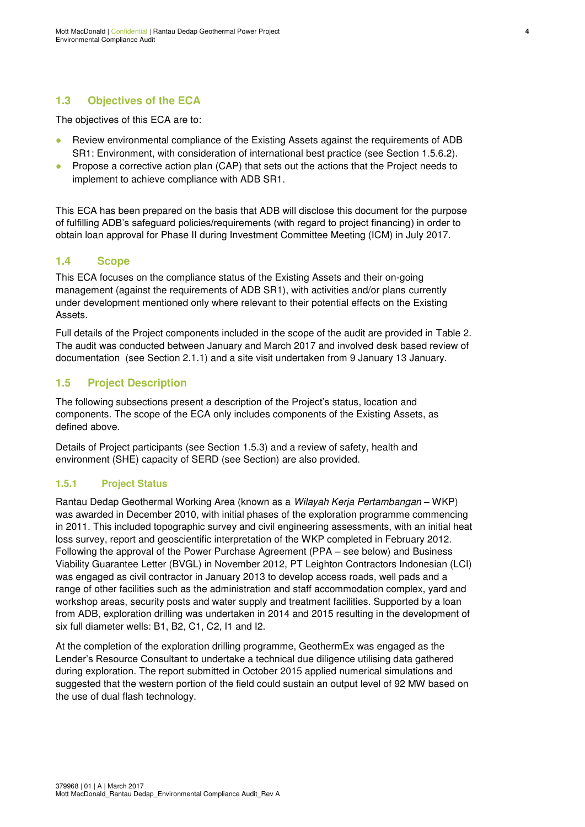## <span id="page-11-0"></span>**1.3 Objectives of the ECA**

The objectives of this ECA are to:

- Review environmental compliance of the Existing Assets against the requirements of ADB SR1: Environment, with consideration of international best practice (see Section [1.5.6.2\)](#page-19-0).
- Propose a corrective action plan (CAP) that sets out the actions that the Project needs to implement to achieve compliance with ADB SR1.

This ECA has been prepared on the basis that ADB will disclose this document for the purpose of fulfilling ADB's safeguard policies/requirements (with regard to project financing) in order to obtain loan approval for Phase II during Investment Committee Meeting (ICM) in July 2017.

## <span id="page-11-1"></span>**1.4 Scope**

This ECA focuses on the compliance status of the Existing Assets and their on-going management (against the requirements of ADB SR1), with activities and/or plans currently under development mentioned only where relevant to their potential effects on the Existing Assets.

Full details of the Project components included in the scope of the audit are provided in [Table 2.](#page-17-0) The audit was conducted between January and March 2017 and involved desk based review of documentation (see Section [2.1.1\)](#page-20-2) and a site visit undertaken from 9 January 13 January.

## <span id="page-11-2"></span>**1.5 Project Description**

The following subsections present a description of the Project's status, location and components. The scope of the ECA only includes components of the Existing Assets, as defined above.

Details of Project participants (see Section [1.5.3\)](#page-14-0) and a review of safety, health and environment (SHE) capacity of SERD (see Section) are also provided.

## <span id="page-11-3"></span>**1.5.1 Project Status**

Rantau Dedap Geothermal Working Area (known as a *Wilayah Kerja Pertambangan* – WKP) was awarded in December 2010, with initial phases of the exploration programme commencing in 2011. This included topographic survey and civil engineering assessments, with an initial heat loss survey, report and geoscientific interpretation of the WKP completed in February 2012. Following the approval of the Power Purchase Agreement (PPA – see below) and Business Viability Guarantee Letter (BVGL) in November 2012, PT Leighton Contractors Indonesian (LCI) was engaged as civil contractor in January 2013 to develop access roads, well pads and a range of other facilities such as the administration and staff accommodation complex, yard and workshop areas, security posts and water supply and treatment facilities. Supported by a loan from ADB, exploration drilling was undertaken in 2014 and 2015 resulting in the development of six full diameter wells: B1, B2, C1, C2, I1 and I2.

At the completion of the exploration drilling programme, GeothermEx was engaged as the Lender's Resource Consultant to undertake a technical due diligence utilising data gathered during exploration. The report submitted in October 2015 applied numerical simulations and suggested that the western portion of the field could sustain an output level of 92 MW based on the use of dual flash technology.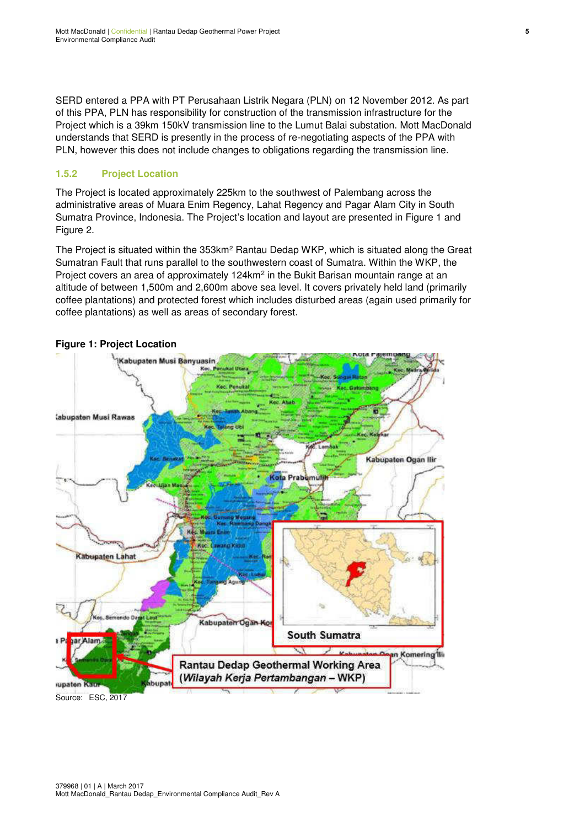SERD entered a PPA with PT Perusahaan Listrik Negara (PLN) on 12 November 2012. As part of this PPA, PLN has responsibility for construction of the transmission infrastructure for the Project which is a 39km 150kV transmission line to the Lumut Balai substation. Mott MacDonald understands that SERD is presently in the process of re-negotiating aspects of the PPA with PLN, however this does not include changes to obligations regarding the transmission line.

## <span id="page-12-0"></span>**1.5.2 Project Location**

The Project is located approximately 225km to the southwest of Palembang across the administrative areas of Muara Enim Regency, Lahat Regency and Pagar Alam City in South Sumatra Province, Indonesia. The Project's location and layout are presented in [Figure 1](#page-12-1) and [Figure 2.](#page-13-0)

The Project is situated within the 353km<sup>2</sup> Rantau Dedap WKP, which is situated along the Great Sumatran Fault that runs parallel to the southwestern coast of Sumatra. Within the WKP, the Project covers an area of approximately 124km<sup>2</sup> in the Bukit Barisan mountain range at an altitude of between 1,500m and 2,600m above sea level. It covers privately held land (primarily coffee plantations) and protected forest which includes disturbed areas (again used primarily for coffee plantations) as well as areas of secondary forest.



## <span id="page-12-1"></span>**Figure 1: Project Location**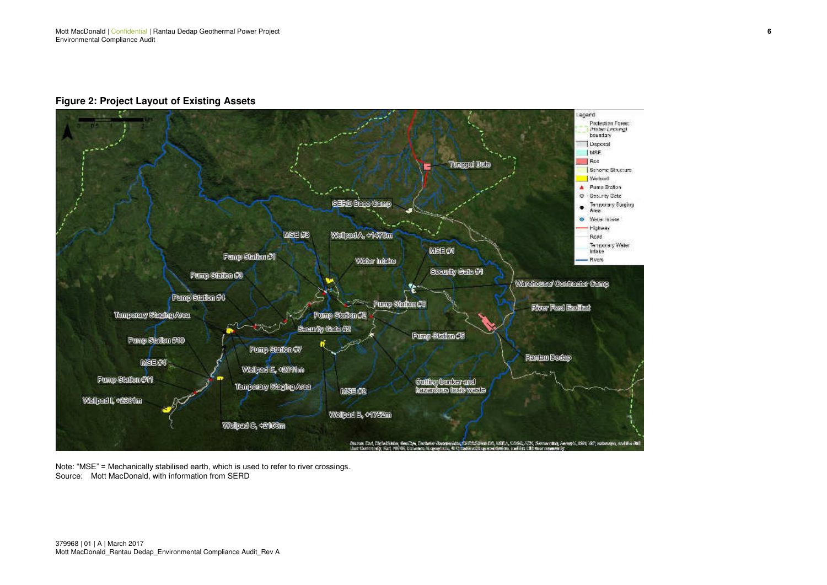**Figure 2: Project Layout of Existing Assets** 



<span id="page-13-0"></span>Note: "MSE" = Mechanically stabilised earth, which is used to refer to river crossings. Source: Mott MacDonald, with information from SERD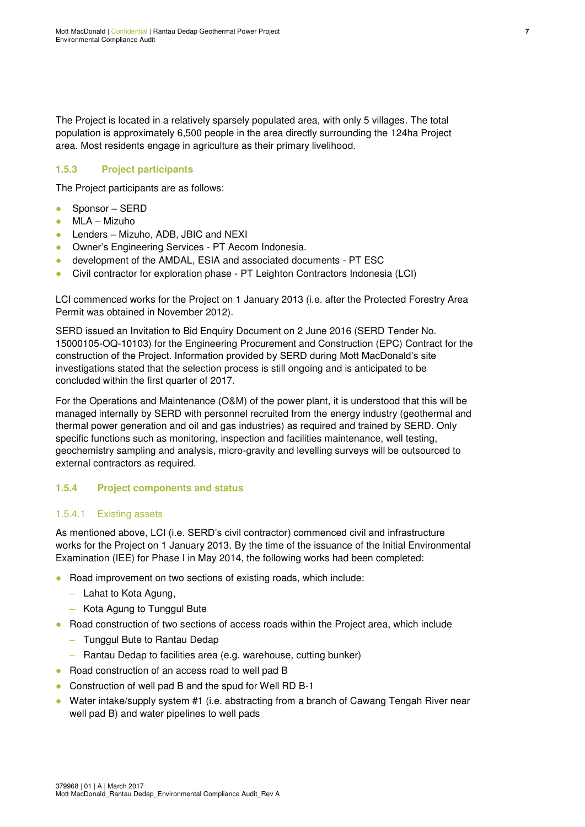The Project is located in a relatively sparsely populated area, with only 5 villages. The total population is approximately 6,500 people in the area directly surrounding the 124ha Project area. Most residents engage in agriculture as their primary livelihood.

## <span id="page-14-0"></span>**1.5.3 Project participants**

The Project participants are as follows:

- Sponsor SERD
- MLA Mizuho
- Lenders Mizuho, ADB, JBIC and NEXI
- Owner's Engineering Services PT Aecom Indonesia.
- development of the AMDAL, ESIA and associated documents PT ESC
- Civil contractor for exploration phase PT Leighton Contractors Indonesia (LCI)

LCI commenced works for the Project on 1 January 2013 (i.e. after the Protected Forestry Area Permit was obtained in November 2012).

SERD issued an Invitation to Bid Enquiry Document on 2 June 2016 (SERD Tender No. 15000105-OQ-10103) for the Engineering Procurement and Construction (EPC) Contract for the construction of the Project. Information provided by SERD during Mott MacDonald's site investigations stated that the selection process is still ongoing and is anticipated to be concluded within the first quarter of 2017.

For the Operations and Maintenance (O&M) of the power plant, it is understood that this will be managed internally by SERD with personnel recruited from the energy industry (geothermal and thermal power generation and oil and gas industries) as required and trained by SERD. Only specific functions such as monitoring, inspection and facilities maintenance, well testing, geochemistry sampling and analysis, micro-gravity and levelling surveys will be outsourced to external contractors as required.

#### <span id="page-14-1"></span>**1.5.4 Project components and status**

#### 1.5.4.1 Existing assets

As mentioned above, LCI (i.e. SERD's civil contractor) commenced civil and infrastructure works for the Project on 1 January 2013. By the time of the issuance of the Initial Environmental Examination (IEE) for Phase I in May 2014, the following works had been completed:

- Road improvement on two sections of existing roads, which include:
	- Lahat to Kota Agung,
	- Kota Agung to Tunggul Bute
- Road construction of two sections of access roads within the Project area, which include
	- Tunggul Bute to Rantau Dedap
	- Rantau Dedap to facilities area (e.g. warehouse, cutting bunker)
- Road construction of an access road to well pad B
- Construction of well pad B and the spud for Well RD B-1
- Water intake/supply system #1 (i.e. abstracting from a branch of Cawang Tengah River near well pad B) and water pipelines to well pads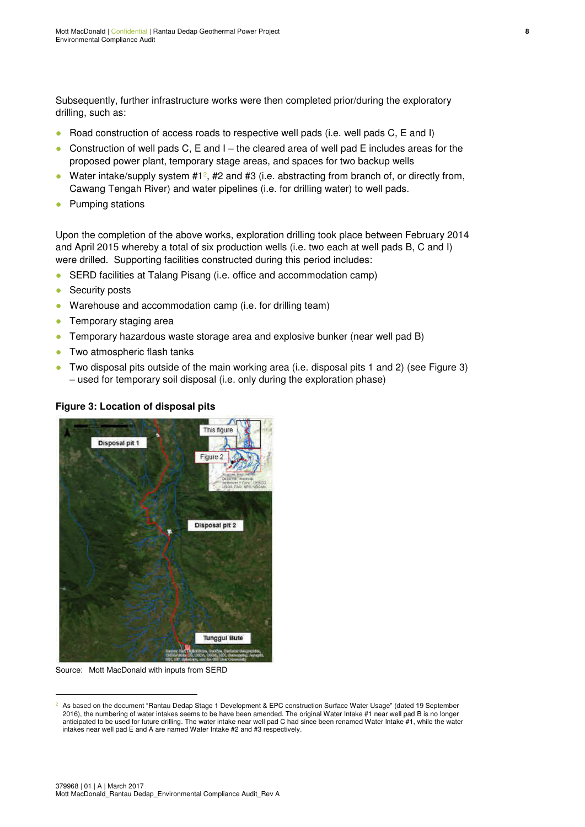Subsequently, further infrastructure works were then completed prior/during the exploratory drilling, such as:

- Road construction of access roads to respective well pads (i.e. well pads C, E and I)
- Construction of well pads C, E and I the cleared area of well pad E includes areas for the proposed power plant, temporary stage areas, and spaces for two backup wells
- Water intake/supply system  $\#1^2$ ,  $#2$  and  $#3$  (i.e. abstracting from branch of, or directly from, Cawang Tengah River) and water pipelines (i.e. for drilling water) to well pads.
- Pumping stations

Upon the completion of the above works, exploration drilling took place between February 2014 and April 2015 whereby a total of six production wells (i.e. two each at well pads B, C and I) were drilled. Supporting facilities constructed during this period includes:

- SERD facilities at Talang Pisang (i.e. office and accommodation camp)
- Security posts
- Warehouse and accommodation camp (i.e. for drilling team)
- Temporary staging area
- Temporary hazardous waste storage area and explosive bunker (near well pad B)
- Two atmospheric flash tanks
- Two disposal pits outside of the main working area (i.e. disposal pits 1 and 2) (see [Figure 3\)](#page-15-0) – used for temporary soil disposal (i.e. only during the exploration phase)

#### <span id="page-15-0"></span>**Figure 3: Location of disposal pits**



Source: Mott MacDonald with inputs from SERD

<sup>2</sup> As based on the document "Rantau Dedap Stage 1 Development & EPC construction Surface Water Usage" (dated 19 September 2016), the numbering of water intakes seems to be have been amended. The original Water Intake #1 near well pad B is no longer anticipated to be used for future drilling. The water intake near well pad C had since been renamed Water Intake #1, while the water intakes near well pad E and A are named Water Intake #2 and #3 respectively.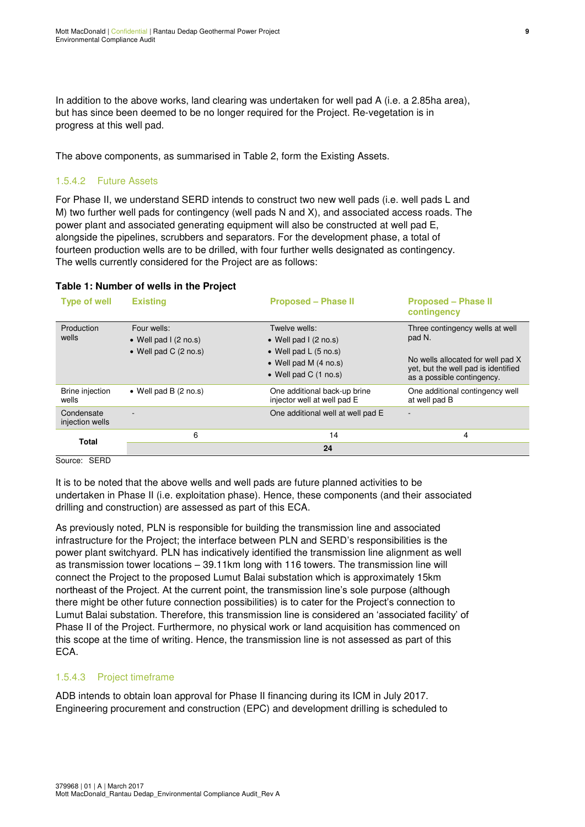In addition to the above works, land clearing was undertaken for well pad A (i.e. a 2.85ha area), but has since been deemed to be no longer required for the Project. Re-vegetation is in progress at this well pad.

The above components, as summarised in [Table 2,](#page-17-0) form the Existing Assets.

#### 1.5.4.2 Future Assets

For Phase II, we understand SERD intends to construct two new well pads (i.e. well pads L and M) two further well pads for contingency (well pads N and X), and associated access roads. The power plant and associated generating equipment will also be constructed at well pad E, alongside the pipelines, scrubbers and separators. For the development phase, a total of fourteen production wells are to be drilled, with four further wells designated as contingency. The wells currently considered for the Project are as follows:

#### **Table 1: Number of wells in the Project**

| <b>Type of well</b>           | <b>Existing</b>                                                                   | <b>Proposed - Phase II</b>                                                                                                                      | <b>Proposed - Phase II</b><br>contingency                                                                                                           |
|-------------------------------|-----------------------------------------------------------------------------------|-------------------------------------------------------------------------------------------------------------------------------------------------|-----------------------------------------------------------------------------------------------------------------------------------------------------|
| Production<br>wells           | Four wells:<br>• Well pad I $(2 \text{ no.s})$<br>• Well pad C $(2 \text{ no.s})$ | Twelve wells:<br>• Well pad $(2 \text{ no.s})$<br>• Well pad $L$ (5 no.s)<br>• Well pad M $(4 \text{ no.s})$<br>• Well pad C $(1 \text{ no.s})$ | Three contingency wells at well<br>pad N.<br>No wells allocated for well pad X<br>yet, but the well pad is identified<br>as a possible contingency. |
| Brine injection<br>wells      | • Well pad B $(2 \text{ no.s})$                                                   | One additional back-up brine<br>injector well at well pad E                                                                                     | One additional contingency well<br>at well pad B                                                                                                    |
| Condensate<br>injection wells | $\overline{\phantom{a}}$                                                          | One additional well at well pad E                                                                                                               |                                                                                                                                                     |
| <b>Total</b>                  | 6                                                                                 | 14                                                                                                                                              | 4                                                                                                                                                   |
|                               |                                                                                   | 24                                                                                                                                              |                                                                                                                                                     |

Source: SERD

It is to be noted that the above wells and well pads are future planned activities to be undertaken in Phase II (i.e. exploitation phase). Hence, these components (and their associated drilling and construction) are assessed as part of this ECA.

As previously noted, PLN is responsible for building the transmission line and associated infrastructure for the Project; the interface between PLN and SERD's responsibilities is the power plant switchyard. PLN has indicatively identified the transmission line alignment as well as transmission tower locations – 39.11km long with 116 towers. The transmission line will connect the Project to the proposed Lumut Balai substation which is approximately 15km northeast of the Project. At the current point, the transmission line's sole purpose (although there might be other future connection possibilities) is to cater for the Project's connection to Lumut Balai substation. Therefore, this transmission line is considered an 'associated facility' of Phase II of the Project. Furthermore, no physical work or land acquisition has commenced on this scope at the time of writing. Hence, the transmission line is not assessed as part of this ECA.

#### <span id="page-16-0"></span>1.5.4.3 Project timeframe

ADB intends to obtain loan approval for Phase II financing during its ICM in July 2017. Engineering procurement and construction (EPC) and development drilling is scheduled to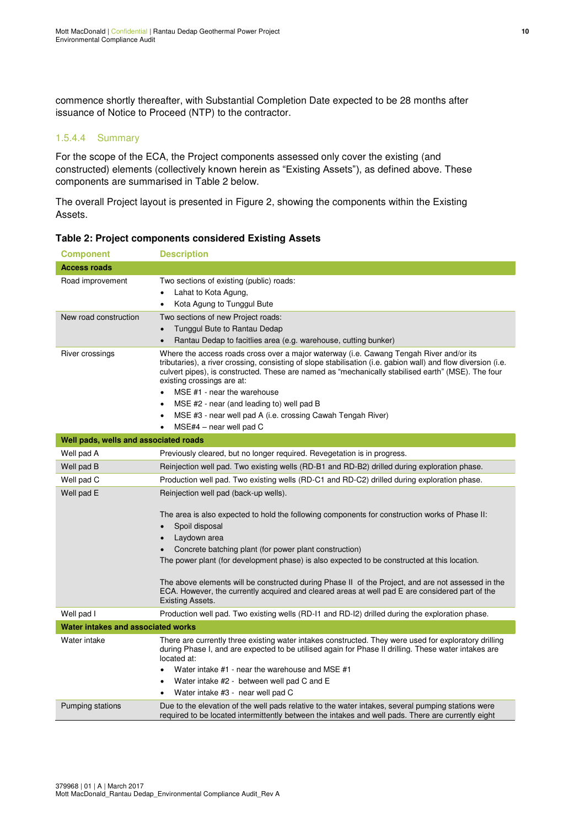commence shortly thereafter, with Substantial Completion Date expected to be 28 months after issuance of Notice to Proceed (NTP) to the contractor.

#### 1.5.4.4 Summary

For the scope of the ECA, the Project components assessed only cover the existing (and constructed) elements (collectively known herein as "Existing Assets"), as defined above. These components are summarised in [Table 2](#page-17-0) below.

The overall Project layout is presented in [Figure 2,](#page-13-0) showing the components within the Existing Assets.

| <b>Component</b>                      | <b>Description</b>                                                                                                                                                                                                                                                                                                                                                                                                                                                                                                                                                      |
|---------------------------------------|-------------------------------------------------------------------------------------------------------------------------------------------------------------------------------------------------------------------------------------------------------------------------------------------------------------------------------------------------------------------------------------------------------------------------------------------------------------------------------------------------------------------------------------------------------------------------|
| <b>Access roads</b>                   |                                                                                                                                                                                                                                                                                                                                                                                                                                                                                                                                                                         |
| Road improvement                      | Two sections of existing (public) roads:<br>Lahat to Kota Agung,<br>$\bullet$<br>Kota Agung to Tunggul Bute                                                                                                                                                                                                                                                                                                                                                                                                                                                             |
| New road construction                 | Two sections of new Project roads:<br>Tunggul Bute to Rantau Dedap<br>Rantau Dedap to facitlies area (e.g. warehouse, cutting bunker)                                                                                                                                                                                                                                                                                                                                                                                                                                   |
| River crossings                       | Where the access roads cross over a major waterway (i.e. Cawang Tengah River and/or its<br>tributaries), a river crossing, consisting of slope stabilisation (i.e. gabion wall) and flow diversion (i.e.<br>culvert pipes), is constructed. These are named as "mechanically stabilised earth" (MSE). The four<br>existing crossings are at:<br>MSE #1 - near the warehouse<br>MSE #2 - near (and leading to) well pad B<br>$\bullet$<br>MSE #3 - near well pad A (i.e. crossing Cawah Tengah River)<br>$\bullet$<br>$MSE#4 - near well$ pad C<br>$\bullet$             |
| Well pads, wells and associated roads |                                                                                                                                                                                                                                                                                                                                                                                                                                                                                                                                                                         |
| Well pad A                            | Previously cleared, but no longer required. Revegetation is in progress.                                                                                                                                                                                                                                                                                                                                                                                                                                                                                                |
| Well pad B                            | Reinjection well pad. Two existing wells (RD-B1 and RD-B2) drilled during exploration phase.                                                                                                                                                                                                                                                                                                                                                                                                                                                                            |
| Well pad C                            | Production well pad. Two existing wells (RD-C1 and RD-C2) drilled during exploration phase.                                                                                                                                                                                                                                                                                                                                                                                                                                                                             |
| Well pad E                            | Reinjection well pad (back-up wells).<br>The area is also expected to hold the following components for construction works of Phase II:<br>Spoil disposal<br>Laydown area<br>Concrete batching plant (for power plant construction)<br>The power plant (for development phase) is also expected to be constructed at this location.<br>The above elements will be constructed during Phase II of the Project, and are not assessed in the<br>ECA. However, the currently acquired and cleared areas at well pad E are considered part of the<br><b>Existing Assets.</b> |
| Well pad I                            | Production well pad. Two existing wells (RD-11 and RD-12) drilled during the exploration phase.                                                                                                                                                                                                                                                                                                                                                                                                                                                                         |
| Water intakes and associated works    |                                                                                                                                                                                                                                                                                                                                                                                                                                                                                                                                                                         |
| Water intake                          | There are currently three existing water intakes constructed. They were used for exploratory drilling<br>during Phase I, and are expected to be utilised again for Phase II drilling. These water intakes are<br>located at:<br>Water intake #1 - near the warehouse and MSE #1<br>$\bullet$<br>Water intake #2 - between well pad C and E<br>$\bullet$<br>Water intake #3 - near well pad C                                                                                                                                                                            |
| Pumping stations                      | Due to the elevation of the well pads relative to the water intakes, several pumping stations were<br>required to be located intermittently between the intakes and well pads. There are currently eight                                                                                                                                                                                                                                                                                                                                                                |

#### <span id="page-17-0"></span>**Table 2: Project components considered Existing Assets**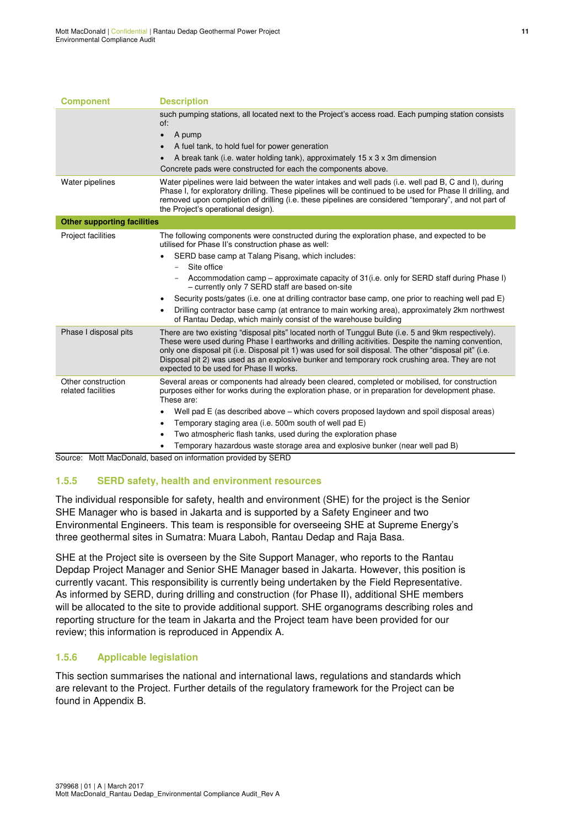| <b>Component</b>                         | <b>Description</b>                                                                                                                                                                                                                                                                                                                                                                                                                                               |
|------------------------------------------|------------------------------------------------------------------------------------------------------------------------------------------------------------------------------------------------------------------------------------------------------------------------------------------------------------------------------------------------------------------------------------------------------------------------------------------------------------------|
|                                          | such pumping stations, all located next to the Project's access road. Each pumping station consists<br>of:                                                                                                                                                                                                                                                                                                                                                       |
|                                          | A pump<br>$\bullet$                                                                                                                                                                                                                                                                                                                                                                                                                                              |
|                                          | A fuel tank, to hold fuel for power generation                                                                                                                                                                                                                                                                                                                                                                                                                   |
|                                          | A break tank (i.e. water holding tank), approximately 15 x 3 x 3m dimension                                                                                                                                                                                                                                                                                                                                                                                      |
|                                          | Concrete pads were constructed for each the components above.                                                                                                                                                                                                                                                                                                                                                                                                    |
| Water pipelines                          | Water pipelines were laid between the water intakes and well pads (i.e. well pad B, C and I), during<br>Phase I, for exploratory drilling. These pipelines will be continued to be used for Phase II drilling, and<br>removed upon completion of drilling (i.e. these pipelines are considered "temporary", and not part of<br>the Project's operational design).                                                                                                |
| <b>Other supporting facilities</b>       |                                                                                                                                                                                                                                                                                                                                                                                                                                                                  |
| Project facilities                       | The following components were constructed during the exploration phase, and expected to be<br>utilised for Phase II's construction phase as well:                                                                                                                                                                                                                                                                                                                |
|                                          | SERD base camp at Talang Pisang, which includes:                                                                                                                                                                                                                                                                                                                                                                                                                 |
|                                          | Site office<br>$-$                                                                                                                                                                                                                                                                                                                                                                                                                                               |
|                                          | Accommodation camp – approximate capacity of 31(i.e. only for SERD staff during Phase I)<br>- currently only 7 SERD staff are based on-site                                                                                                                                                                                                                                                                                                                      |
|                                          | Security posts/gates (i.e. one at drilling contractor base camp, one prior to reaching well pad E)<br>$\bullet$                                                                                                                                                                                                                                                                                                                                                  |
|                                          | Drilling contractor base camp (at entrance to main working area), approximately 2km northwest<br>٠<br>of Rantau Dedap, which mainly consist of the warehouse building                                                                                                                                                                                                                                                                                            |
| Phase I disposal pits                    | There are two existing "disposal pits" located north of Tunggul Bute (i.e. 5 and 9km respectively).<br>These were used during Phase I earthworks and drilling acitivities. Despite the naming convention,<br>only one disposal pit (i.e. Disposal pit 1) was used for soil disposal. The other "disposal pit" (i.e.<br>Disposal pit 2) was used as an explosive bunker and temporary rock crushing area. They are not<br>expected to be used for Phase II works. |
| Other construction<br>related facilities | Several areas or components had already been cleared, completed or mobilised, for construction<br>purposes either for works during the exploration phase, or in preparation for development phase.<br>These are:                                                                                                                                                                                                                                                 |
|                                          | Well pad E (as described above – which covers proposed laydown and spoil disposal areas)<br>٠                                                                                                                                                                                                                                                                                                                                                                    |
|                                          | Temporary staging area (i.e. 500m south of well pad E)<br>$\bullet$                                                                                                                                                                                                                                                                                                                                                                                              |
|                                          | Two atmospheric flash tanks, used during the exploration phase                                                                                                                                                                                                                                                                                                                                                                                                   |
|                                          | Temporary hazardous waste storage area and explosive bunker (near well pad B)                                                                                                                                                                                                                                                                                                                                                                                    |

Source: Mott MacDonald, based on information provided by SERD

#### <span id="page-18-0"></span>**1.5.5 SERD safety, health and environment resources**

The individual responsible for safety, health and environment (SHE) for the project is the Senior SHE Manager who is based in Jakarta and is supported by a Safety Engineer and two Environmental Engineers. This team is responsible for overseeing SHE at Supreme Energy's three geothermal sites in Sumatra: Muara Laboh, Rantau Dedap and Raja Basa.

SHE at the Project site is overseen by the Site Support Manager, who reports to the Rantau Depdap Project Manager and Senior SHE Manager based in Jakarta. However, this position is currently vacant. This responsibility is currently being undertaken by the Field Representative. As informed by SERD, during drilling and construction (for Phase II), additional SHE members will be allocated to the site to provide additional support. SHE organograms describing roles and reporting structure for the team in Jakarta and the Project team have been provided for our review; this information is reproduced in Appendix [A.](#page-42-0)

#### <span id="page-18-1"></span>**1.5.6 Applicable legislation**

This section summarises the national and international laws, regulations and standards which are relevant to the Project. Further details of the regulatory framework for the Project can be found in Appendix [B.](#page-45-0)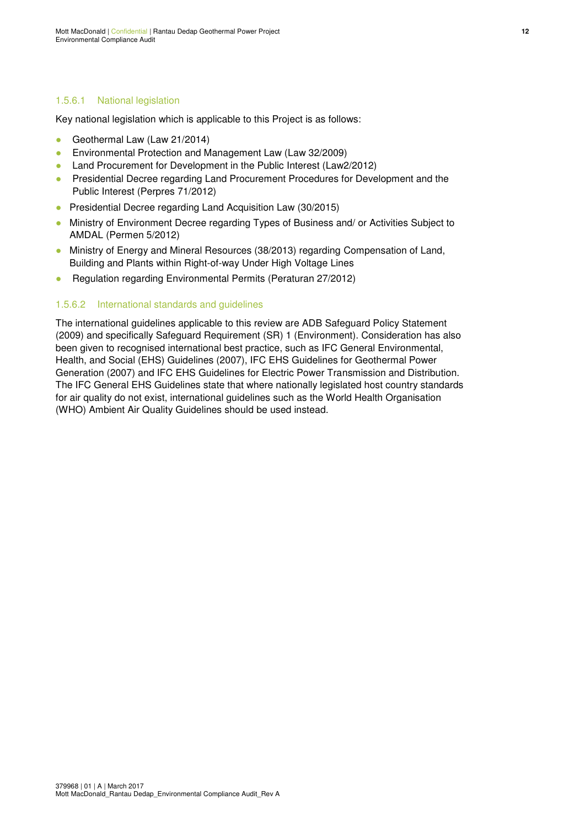#### 1.5.6.1 National legislation

Key national legislation which is applicable to this Project is as follows:

- Geothermal Law (Law 21/2014)
- Environmental Protection and Management Law (Law 32/2009)
- Land Procurement for Development in the Public Interest (Law2/2012)
- Presidential Decree regarding Land Procurement Procedures for Development and the Public Interest (Perpres 71/2012)
- Presidential Decree regarding Land Acquisition Law (30/2015)
- Ministry of Environment Decree regarding Types of Business and/ or Activities Subject to AMDAL (Permen 5/2012)
- Ministry of Energy and Mineral Resources (38/2013) regarding Compensation of Land, Building and Plants within Right-of-way Under High Voltage Lines
- Regulation regarding Environmental Permits (Peraturan 27/2012)

## <span id="page-19-0"></span>1.5.6.2 International standards and guidelines

The international guidelines applicable to this review are ADB Safeguard Policy Statement (2009) and specifically Safeguard Requirement (SR) 1 (Environment). Consideration has also been given to recognised international best practice, such as IFC General Environmental, Health, and Social (EHS) Guidelines (2007), IFC EHS Guidelines for Geothermal Power Generation (2007) and IFC EHS Guidelines for Electric Power Transmission and Distribution. The IFC General EHS Guidelines state that where nationally legislated host country standards for air quality do not exist, international guidelines such as the World Health Organisation (WHO) Ambient Air Quality Guidelines should be used instead.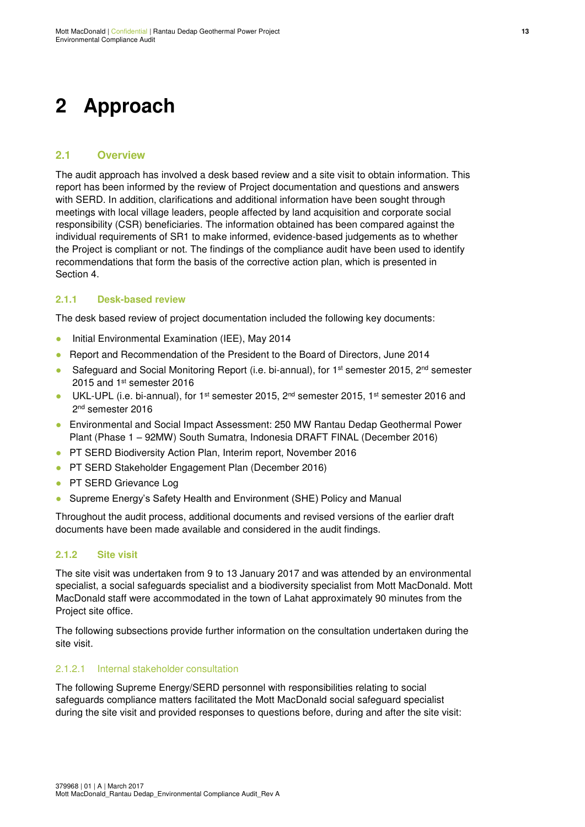# <span id="page-20-0"></span>**2 Approach**

## <span id="page-20-1"></span>**2.1 Overview**

The audit approach has involved a desk based review and a site visit to obtain information. This report has been informed by the review of Project documentation and questions and answers with SERD. In addition, clarifications and additional information have been sought through meetings with local village leaders, people affected by land acquisition and corporate social responsibility (CSR) beneficiaries. The information obtained has been compared against the individual requirements of SR1 to make informed, evidence-based judgements as to whether the Project is compliant or not. The findings of the compliance audit have been used to identify recommendations that form the basis of the corrective action plan, which is presented in Section [4.](#page-37-0)

#### <span id="page-20-2"></span>**2.1.1 Desk-based review**

The desk based review of project documentation included the following key documents:

- Initial Environmental Examination (IEE), May 2014
- Report and Recommendation of the President to the Board of Directors, June 2014
- Safeguard and Social Monitoring Report (i.e. bi-annual), for 1<sup>st</sup> semester 2015, 2<sup>nd</sup> semester 2015 and 1st semester 2016
- UKL-UPL (i.e. bi-annual), for 1<sup>st</sup> semester 2015,  $2<sup>nd</sup>$  semester 2015, 1<sup>st</sup> semester 2016 and 2 nd semester 2016
- Environmental and Social Impact Assessment: 250 MW Rantau Dedap Geothermal Power Plant (Phase 1 – 92MW) South Sumatra, Indonesia DRAFT FINAL (December 2016)
- PT SERD Biodiversity Action Plan, Interim report, November 2016
- PT SERD Stakeholder Engagement Plan (December 2016)
- PT SERD Grievance Log
- Supreme Energy's Safety Health and Environment (SHE) Policy and Manual

Throughout the audit process, additional documents and revised versions of the earlier draft documents have been made available and considered in the audit findings.

#### <span id="page-20-3"></span>**2.1.2 Site visit**

The site visit was undertaken from 9 to 13 January 2017 and was attended by an environmental specialist, a social safeguards specialist and a biodiversity specialist from Mott MacDonald. Mott MacDonald staff were accommodated in the town of Lahat approximately 90 minutes from the Project site office.

The following subsections provide further information on the consultation undertaken during the site visit.

#### 2.1.2.1 Internal stakeholder consultation

The following Supreme Energy/SERD personnel with responsibilities relating to social safeguards compliance matters facilitated the Mott MacDonald social safeguard specialist during the site visit and provided responses to questions before, during and after the site visit: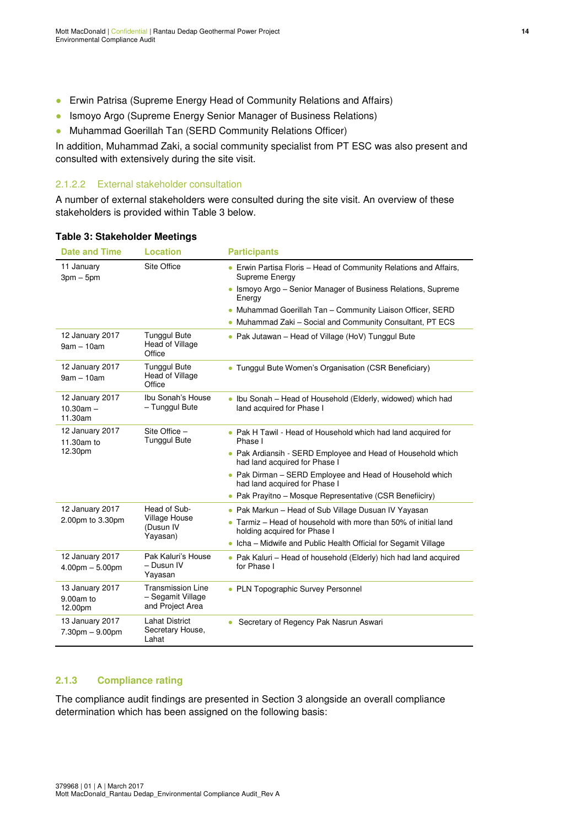- Erwin Patrisa (Supreme Energy Head of Community Relations and Affairs)
- Ismoyo Argo (Supreme Energy Senior Manager of Business Relations)
- Muhammad Goerillah Tan (SERD Community Relations Officer)

In addition, Muhammad Zaki, a social community specialist from PT ESC was also present and consulted with extensively during the site visit.

#### 2.1.2.2 External stakeholder consultation

A number of external stakeholders were consulted during the site visit. An overview of these stakeholders is provided within [Table 3](#page-21-1) below.

| <b>Date and Time</b>                      | <b>Location</b>                                                   | <b>Participants</b>                                                                           |
|-------------------------------------------|-------------------------------------------------------------------|-----------------------------------------------------------------------------------------------|
| 11 January<br>$3pm-5pm$                   | Site Office                                                       | • Erwin Partisa Floris – Head of Community Relations and Affairs,<br>Supreme Energy           |
|                                           |                                                                   | • Ismoyo Argo – Senior Manager of Business Relations, Supreme<br>Energy                       |
|                                           |                                                                   | • Muhammad Goerillah Tan - Community Liaison Officer, SERD                                    |
|                                           |                                                                   | • Muhammad Zaki - Social and Community Consultant, PT ECS                                     |
| 12 January 2017<br>$9am - 10am$           | <b>Tunggul Bute</b><br>Head of Village<br>Office                  | • Pak Jutawan – Head of Village (HoV) Tunggul Bute                                            |
| 12 January 2017<br>$9am - 10am$           | <b>Tunggul Bute</b><br>Head of Village<br>Office                  | • Tunggul Bute Women's Organisation (CSR Beneficiary)                                         |
| 12 January 2017<br>$10.30am -$<br>11.30am | Ibu Sonah's House<br>- Tunggul Bute                               | . Ibu Sonah - Head of Household (Elderly, widowed) which had<br>land acquired for Phase I     |
| 12 January 2017<br>11.30am to             | Site Office -<br><b>Tunggul Bute</b>                              | • Pak H Tawil - Head of Household which had land acquired for<br>Phase I                      |
| 12.30pm                                   |                                                                   | • Pak Ardiansih - SERD Employee and Head of Household which<br>had land acquired for Phase I  |
|                                           |                                                                   | • Pak Dirman – SERD Employee and Head of Household which<br>had land acquired for Phase I     |
|                                           |                                                                   | • Pak Prayitno – Mosque Representative (CSR Beneficiry)                                       |
| 12 January 2017                           | Head of Sub-                                                      | • Pak Markun – Head of Sub Village Dusuan IV Yayasan                                          |
| 2.00pm to 3.30pm                          | <b>Village House</b><br>(Dusun IV<br>Yayasan)                     | Tarmiz - Head of household with more than 50% of initial land<br>holding acquired for Phase I |
|                                           |                                                                   | • Icha – Midwife and Public Health Official for Segamit Village                               |
| 12 January 2017<br>$4.00pm - 5.00pm$      | Pak Kaluri's House<br>– Dusun IV<br>Yayasan                       | • Pak Kaluri – Head of household (Elderly) hich had land acquired<br>for Phase I              |
| 13 January 2017<br>9.00am to<br>12.00pm   | <b>Transmission Line</b><br>- Segamit Village<br>and Project Area | • PLN Topographic Survey Personnel                                                            |
| 13 January 2017<br>$7.30$ pm $-9.00$ pm   | <b>Lahat District</b><br>Secretary House,<br>Lahat                | Secretary of Regency Pak Nasrun Aswari<br>$\bullet$                                           |

#### <span id="page-21-1"></span>**Table 3: Stakeholder Meetings**

#### <span id="page-21-0"></span>**2.1.3 Compliance rating**

The compliance audit findings are presented in Section 3 alongside an overall compliance determination which has been assigned on the following basis: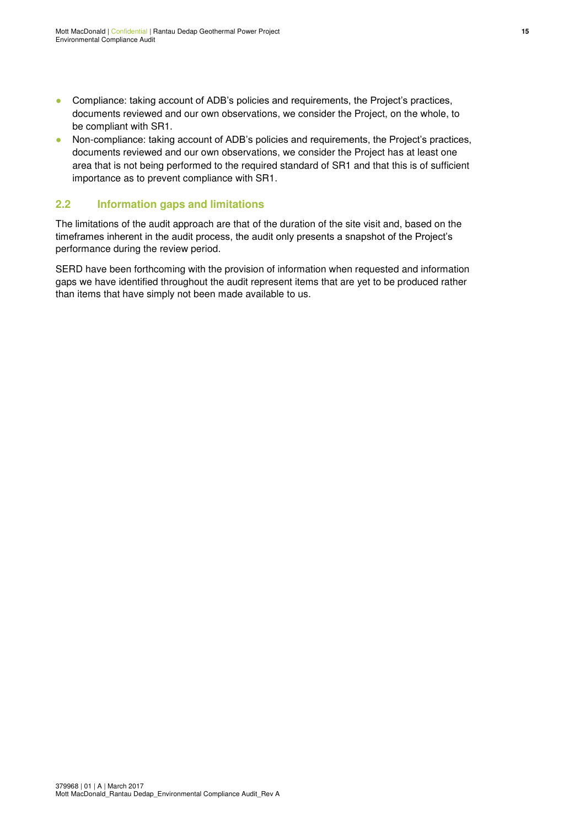- Compliance: taking account of ADB's policies and requirements, the Project's practices, documents reviewed and our own observations, we consider the Project, on the whole, to be compliant with SR1.
- Non-compliance: taking account of ADB's policies and requirements, the Project's practices, documents reviewed and our own observations, we consider the Project has at least one area that is not being performed to the required standard of SR1 and that this is of sufficient importance as to prevent compliance with SR1.

## <span id="page-22-0"></span>**2.2 Information gaps and limitations**

The limitations of the audit approach are that of the duration of the site visit and, based on the timeframes inherent in the audit process, the audit only presents a snapshot of the Project's performance during the review period.

SERD have been forthcoming with the provision of information when requested and information gaps we have identified throughout the audit represent items that are yet to be produced rather than items that have simply not been made available to us.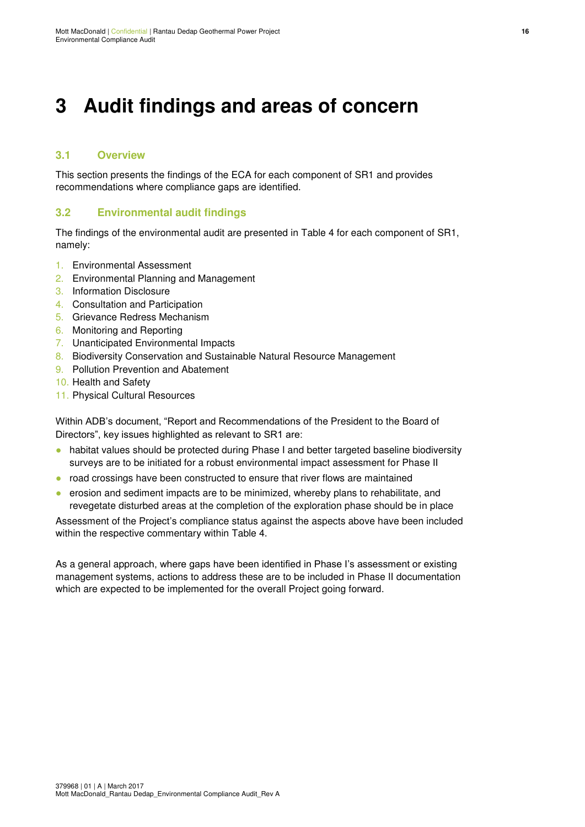## <span id="page-23-0"></span>**3 Audit findings and areas of concern**

## <span id="page-23-1"></span>**3.1 Overview**

This section presents the findings of the ECA for each component of SR1 and provides recommendations where compliance gaps are identified.

## <span id="page-23-2"></span>**3.2 Environmental audit findings**

The findings of the environmental audit are presented in [Table 4](#page-24-0) for each component of SR1, namely:

- 1. Environmental Assessment
- 2. Environmental Planning and Management
- 3. Information Disclosure
- 4. Consultation and Participation
- 5. Grievance Redress Mechanism
- 6. Monitoring and Reporting
- 7. Unanticipated Environmental Impacts
- 8. Biodiversity Conservation and Sustainable Natural Resource Management
- 9. Pollution Prevention and Abatement
- 10. Health and Safety
- 11. Physical Cultural Resources

Within ADB's document, "Report and Recommendations of the President to the Board of Directors", key issues highlighted as relevant to SR1 are:

- habitat values should be protected during Phase I and better targeted baseline biodiversity surveys are to be initiated for a robust environmental impact assessment for Phase II
- road crossings have been constructed to ensure that river flows are maintained
- erosion and sediment impacts are to be minimized, whereby plans to rehabilitate, and revegetate disturbed areas at the completion of the exploration phase should be in place

Assessment of the Project's compliance status against the aspects above have been included within the respective commentary within [Table 4.](#page-24-0)

As a general approach, where gaps have been identified in Phase I's assessment or existing management systems, actions to address these are to be included in Phase II documentation which are expected to be implemented for the overall Project going forward.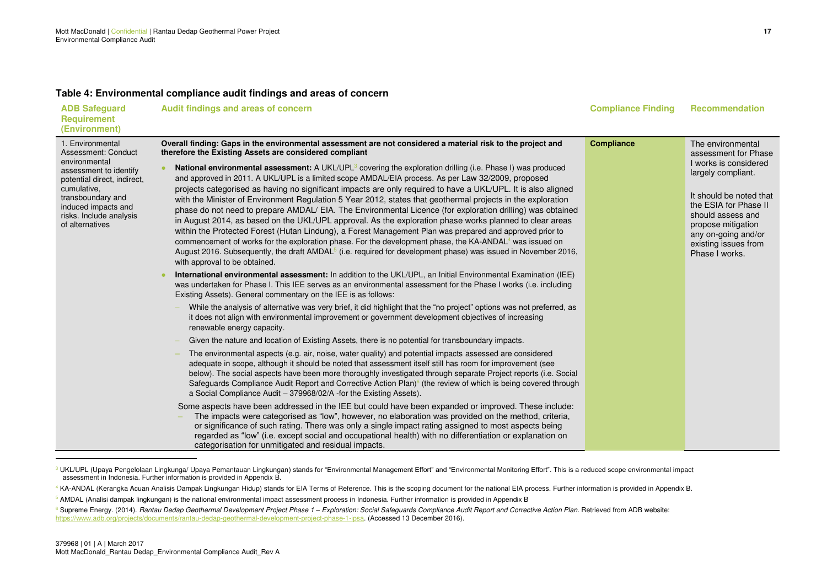| <b>ADB Safeguard</b><br><b>Requirement</b><br>(Environment)                                                                                                                                                                | Audit findings and areas of concern                                                                                                                                                                                                                                                                                                                                                                                                                                                                                                                                                                                                                                                                                                                                                                                                                                                                                                                                                                                                                                                                                                                                                                                                                                                                                                                                                                                                                                                                                                                                                                                                                                                                                                                                                                                                                                                                                                                                                                                                                                                                                                                                                                                                                                                                                                                                                                                                                                                                                                                                                                                                                                                                                                                                                                                                                                                                                                                                                              | <b>Compliance Finding</b> | <b>Recommendation</b>                                                                                                                                                                                                                                    |
|----------------------------------------------------------------------------------------------------------------------------------------------------------------------------------------------------------------------------|--------------------------------------------------------------------------------------------------------------------------------------------------------------------------------------------------------------------------------------------------------------------------------------------------------------------------------------------------------------------------------------------------------------------------------------------------------------------------------------------------------------------------------------------------------------------------------------------------------------------------------------------------------------------------------------------------------------------------------------------------------------------------------------------------------------------------------------------------------------------------------------------------------------------------------------------------------------------------------------------------------------------------------------------------------------------------------------------------------------------------------------------------------------------------------------------------------------------------------------------------------------------------------------------------------------------------------------------------------------------------------------------------------------------------------------------------------------------------------------------------------------------------------------------------------------------------------------------------------------------------------------------------------------------------------------------------------------------------------------------------------------------------------------------------------------------------------------------------------------------------------------------------------------------------------------------------------------------------------------------------------------------------------------------------------------------------------------------------------------------------------------------------------------------------------------------------------------------------------------------------------------------------------------------------------------------------------------------------------------------------------------------------------------------------------------------------------------------------------------------------------------------------------------------------------------------------------------------------------------------------------------------------------------------------------------------------------------------------------------------------------------------------------------------------------------------------------------------------------------------------------------------------------------------------------------------------------------------------------------------------|---------------------------|----------------------------------------------------------------------------------------------------------------------------------------------------------------------------------------------------------------------------------------------------------|
| 1. Environmental<br>Assessment: Conduct<br>environmental<br>assessment to identify<br>potential direct, indirect,<br>cumulative,<br>transboundary and<br>induced impacts and<br>risks. Include analysis<br>of alternatives | Overall finding: Gaps in the environmental assessment are not considered a material risk to the project and<br>therefore the Existing Assets are considered compliant<br><b>National environmental assessment:</b> A UKL/UPL <sup>3</sup> covering the exploration drilling (i.e. Phase I) was produced<br>and approved in 2011. A UKL/UPL is a limited scope AMDAL/EIA process. As per Law 32/2009, proposed<br>projects categorised as having no significant impacts are only required to have a UKL/UPL. It is also aligned<br>with the Minister of Environment Regulation 5 Year 2012, states that geothermal projects in the exploration<br>phase do not need to prepare AMDAL/ EIA. The Environmental Licence (for exploration drilling) was obtained<br>in August 2014, as based on the UKL/UPL approval. As the exploration phase works planned to clear areas<br>within the Protected Forest (Hutan Lindung), a Forest Management Plan was prepared and approved prior to<br>commencement of works for the exploration phase. For the development phase, the KA-ANDAL <sup>4</sup> was issued on<br>August 2016. Subsequently, the draft AMDAL <sup>5</sup> (i.e. required for development phase) was issued in November 2016,<br>with approval to be obtained.<br>International environmental assessment: In addition to the UKL/UPL, an Initial Environmental Examination (IEE)<br>was undertaken for Phase I. This IEE serves as an environmental assessment for the Phase I works (i.e. including<br>Existing Assets). General commentary on the IEE is as follows:<br>While the analysis of alternative was very brief, it did highlight that the "no project" options was not preferred, as<br>it does not align with environmental improvement or government development objectives of increasing<br>renewable energy capacity.<br>Given the nature and location of Existing Assets, there is no potential for transboundary impacts.<br>The environmental aspects (e.g. air, noise, water quality) and potential impacts assessed are considered<br>adequate in scope, although it should be noted that assessment itself still has room for improvement (see<br>below). The social aspects have been more thoroughly investigated through separate Project reports (i.e. Social<br>Safeguards Compliance Audit Report and Corrective Action Plan) <sup>6</sup> (the review of which is being covered through<br>a Social Compliance Audit - 379968/02/A -for the Existing Assets).<br>Some aspects have been addressed in the IEE but could have been expanded or improved. These include:<br>The impacts were categorised as "low", however, no elaboration was provided on the method, criteria,<br>or significance of such rating. There was only a single impact rating assigned to most aspects being<br>regarded as "low" (i.e. except social and occupational health) with no differentiation or explanation on<br>categorisation for unmitigated and residual impacts. | <b>Compliance</b>         | The environmental<br>assessment for Phase<br>I works is considered<br>largely compliant.<br>It should be noted that<br>the ESIA for Phase II<br>should assess and<br>propose mitigation<br>any on-going and/or<br>existing issues from<br>Phase I works. |

#### **Table 4: Environmental compliance audit findings and areas of concern**

<span id="page-24-0"></span><sup>3</sup> UKL/UPL (Upaya Pengelolaan Lingkunga/ Upaya Pemantauan Lingkungan) stands for "Environmental Management Effort" and "Environmental Monitoring Effort". This is a reduced scope environmental impact assessment in Indonesia. Further information is provided in Appendix [B.](#page-45-3) 

<sup>4</sup> KA-ANDAL (Kerangka Acuan Analisis Dampak Lingkungan Hidup) stands for EIA Terms of Reference. This is the scoping document for the national EIA process. Further information is provided in Appendi[x B.](#page-45-3) <sup>5</sup> AMDAL (Analisi dampak lingkungan) is the national environmental impact assessment process in Indonesia. Further information is provided in Appendix B

<sup>6</sup> Supreme Energy. (2014). *Rantau Dedap Geothermal Development Project Phase 1 – Exploration: Social Safeguards Compliance Audit Report and Corrective Action Plan. Retrieved from ADB website:* [https://www.adb.org/projects/documents/rantau-dedap-geothermal-development-project-phase-1-ipsa.](https://www.adb.org/projects/documents/rantau-dedap-geothermal-development-project-phase-1-ipsa) (Accessed 13 December 2016).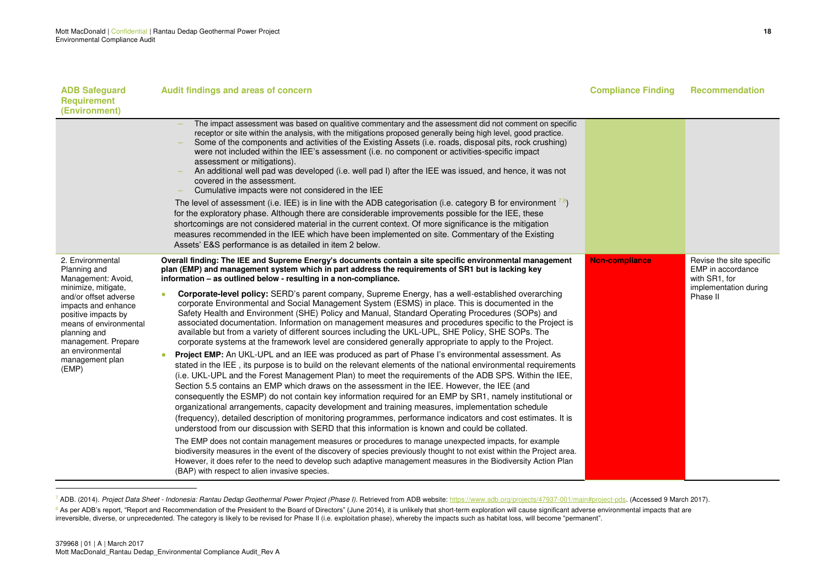| <b>ADB Safeguard</b><br><b>Requirement</b><br>(Environment)                                                                                                                                                                                                           | Audit findings and areas of concern                                                                                                                                                                                                                                                                                                                                                                                                                                                                                                                                                                                                                                                                                                                                                                                                                                                                                                                                                                                                                                                                                                                                                                                                                                                                                                                                                                                                                                                                                                                                                                                                                                                                                                                                                                                                                                                                                                                                                                                                                                                                                                                                                                           | <b>Compliance Finding</b> | <b>Recommendation</b>                                                                               |
|-----------------------------------------------------------------------------------------------------------------------------------------------------------------------------------------------------------------------------------------------------------------------|---------------------------------------------------------------------------------------------------------------------------------------------------------------------------------------------------------------------------------------------------------------------------------------------------------------------------------------------------------------------------------------------------------------------------------------------------------------------------------------------------------------------------------------------------------------------------------------------------------------------------------------------------------------------------------------------------------------------------------------------------------------------------------------------------------------------------------------------------------------------------------------------------------------------------------------------------------------------------------------------------------------------------------------------------------------------------------------------------------------------------------------------------------------------------------------------------------------------------------------------------------------------------------------------------------------------------------------------------------------------------------------------------------------------------------------------------------------------------------------------------------------------------------------------------------------------------------------------------------------------------------------------------------------------------------------------------------------------------------------------------------------------------------------------------------------------------------------------------------------------------------------------------------------------------------------------------------------------------------------------------------------------------------------------------------------------------------------------------------------------------------------------------------------------------------------------------------------|---------------------------|-----------------------------------------------------------------------------------------------------|
|                                                                                                                                                                                                                                                                       | The impact assessment was based on qualitive commentary and the assessment did not comment on specific<br>receptor or site within the analysis, with the mitigations proposed generally being high level, good practice.<br>Some of the components and activities of the Existing Assets (i.e. roads, disposal pits, rock crushing)<br>were not included within the IEE's assessment (i.e. no component or activities-specific impact<br>assessment or mitigations).<br>An additional well pad was developed (i.e. well pad I) after the IEE was issued, and hence, it was not<br>covered in the assessment.<br>Cumulative impacts were not considered in the IEE<br>The level of assessment (i.e. IEE) is in line with the ADB categorisation (i.e. category B for environment $78$ )<br>for the exploratory phase. Although there are considerable improvements possible for the IEE, these<br>shortcomings are not considered material in the current context. Of more significance is the mitigation<br>measures recommended in the IEE which have been implemented on site. Commentary of the Existing<br>Assets' E&S performance is as detailed in item 2 below.                                                                                                                                                                                                                                                                                                                                                                                                                                                                                                                                                                                                                                                                                                                                                                                                                                                                                                                                                                                                                                        |                           |                                                                                                     |
| 2. Environmental<br>Planning and<br>Management: Avoid,<br>minimize, mitigate,<br>and/or offset adverse<br>impacts and enhance<br>positive impacts by<br>means of environmental<br>planning and<br>management. Prepare<br>an environmental<br>management plan<br>(EMP) | Overall finding: The IEE and Supreme Energy's documents contain a site specific environmental management<br>plan (EMP) and management system which in part address the requirements of SR1 but is lacking key<br>information - as outlined below - resulting in a non-compliance.<br>Corporate-level policy: SERD's parent company, Supreme Energy, has a well-established overarching<br>$\bullet$<br>corporate Environmental and Social Management System (ESMS) in place. This is documented in the<br>Safety Health and Environment (SHE) Policy and Manual, Standard Operating Procedures (SOPs) and<br>associated documentation. Information on management measures and procedures specific to the Project is<br>available but from a variety of different sources including the UKL-UPL, SHE Policy, SHE SOPs. The<br>corporate systems at the framework level are considered generally appropriate to apply to the Project.<br>Project EMP: An UKL-UPL and an IEE was produced as part of Phase I's environmental assessment. As<br>stated in the IEE, its purpose is to build on the relevant elements of the national environmental requirements<br>(i.e. UKL-UPL and the Forest Management Plan) to meet the requirements of the ADB SPS. Within the IEE,<br>Section 5.5 contains an EMP which draws on the assessment in the IEE. However, the IEE (and<br>consequently the ESMP) do not contain key information required for an EMP by SR1, namely institutional or<br>organizational arrangements, capacity development and training measures, implementation schedule<br>(frequency), detailed description of monitoring programmes, performance indicators and cost estimates. It is<br>understood from our discussion with SERD that this information is known and could be collated.<br>The EMP does not contain management measures or procedures to manage unexpected impacts, for example<br>biodiversity measures in the event of the discovery of species previously thought to not exist within the Project area.<br>However, it does refer to the need to develop such adaptive management measures in the Biodiversity Action Plan<br>(BAP) with respect to alien invasive species. | <b>Non-compliance</b>     | Revise the site specific<br>EMP in accordance<br>with SR1, for<br>implementation during<br>Phase II |

<sup>&</sup>lt;sup>7</sup> ADB. (2014). Project Data Sheet - Indonesia: Rantau Dedap Geothermal Power Project (Phase I). Retrieved from ADB website: [https://www.adb.org/projects/47937-001/main#project-pds.](https://www.adb.org/projects/47937-001/main#project-pds) (Accessed 9 March 2017).

<sup>&</sup>lt;sup>8</sup> As per ADB's report, "Report and Recommendation of the President to the Board of Directors" (June 2014), it is unlikely that short-term exploration will cause significant adverse environmental impacts that are irreversible, diverse, or unprecedented. The category is likely to be revised for Phase II (i.e. exploitation phase), whereby the impacts such as habitat loss, will become "permanent".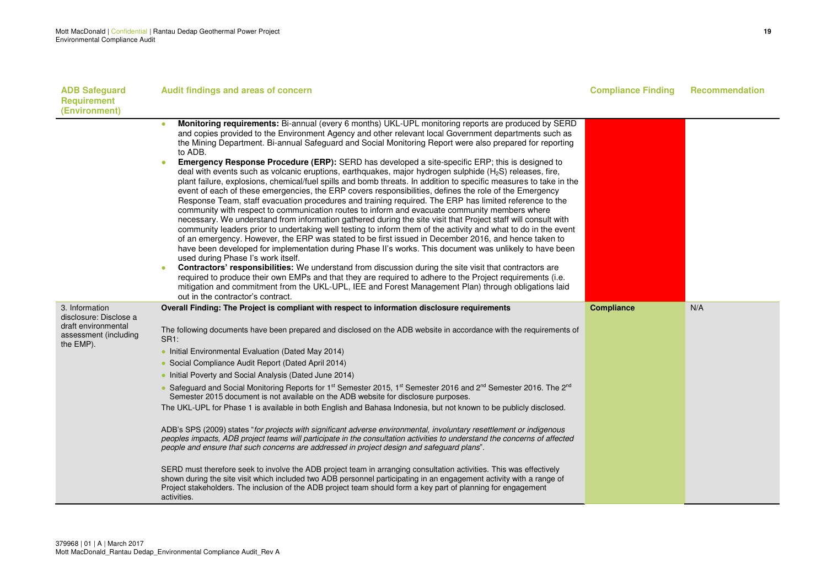| <b>ADB Safeguard</b><br><b>Requirement</b><br>(Environment)     | Audit findings and areas of concern                                                                                                                                                                                                                                                                                                                                                                                                                                                                                                                                                                                                                                                                                                                                                                                                                                                                                                                                                                                                                                                                                                                                                                                                                                                                                                                                                                                                                                                                                                                                                                                                                                                                                                                                                                                                                                                                                     | <b>Compliance Finding</b> | <b>Recommendation</b> |
|-----------------------------------------------------------------|-------------------------------------------------------------------------------------------------------------------------------------------------------------------------------------------------------------------------------------------------------------------------------------------------------------------------------------------------------------------------------------------------------------------------------------------------------------------------------------------------------------------------------------------------------------------------------------------------------------------------------------------------------------------------------------------------------------------------------------------------------------------------------------------------------------------------------------------------------------------------------------------------------------------------------------------------------------------------------------------------------------------------------------------------------------------------------------------------------------------------------------------------------------------------------------------------------------------------------------------------------------------------------------------------------------------------------------------------------------------------------------------------------------------------------------------------------------------------------------------------------------------------------------------------------------------------------------------------------------------------------------------------------------------------------------------------------------------------------------------------------------------------------------------------------------------------------------------------------------------------------------------------------------------------|---------------------------|-----------------------|
|                                                                 | Monitoring requirements: Bi-annual (every 6 months) UKL-UPL monitoring reports are produced by SERD<br>$\bullet$<br>and copies provided to the Environment Agency and other relevant local Government departments such as<br>the Mining Department. Bi-annual Safeguard and Social Monitoring Report were also prepared for reporting<br>to ADB.<br><b>Emergency Response Procedure (ERP):</b> SERD has developed a site-specific ERP; this is designed to<br>$\bullet$<br>deal with events such as volcanic eruptions, earthquakes, major hydrogen sulphide (H <sub>2</sub> S) releases, fire,<br>plant failure, explosions, chemical/fuel spills and bomb threats. In addition to specific measures to take in the<br>event of each of these emergencies, the ERP covers responsibilities, defines the role of the Emergency<br>Response Team, staff evacuation procedures and training required. The ERP has limited reference to the<br>community with respect to communication routes to inform and evacuate community members where<br>necessary. We understand from information gathered during the site visit that Project staff will consult with<br>community leaders prior to undertaking well testing to inform them of the activity and what to do in the event<br>of an emergency. However, the ERP was stated to be first issued in December 2016, and hence taken to<br>have been developed for implementation during Phase II's works. This document was unlikely to have been<br>used during Phase I's work itself.<br>Contractors' responsibilities: We understand from discussion during the site visit that contractors are<br>$\bullet$<br>required to produce their own EMPs and that they are required to adhere to the Project requirements (i.e.<br>mitigation and commitment from the UKL-UPL, IEE and Forest Management Plan) through obligations laid<br>out in the contractor's contract. |                           |                       |
| 3. Information<br>disclosure: Disclose a<br>draft environmental | Overall Finding: The Project is compliant with respect to information disclosure requirements<br>The following documents have been prepared and disclosed on the ADB website in accordance with the requirements of                                                                                                                                                                                                                                                                                                                                                                                                                                                                                                                                                                                                                                                                                                                                                                                                                                                                                                                                                                                                                                                                                                                                                                                                                                                                                                                                                                                                                                                                                                                                                                                                                                                                                                     | <b>Compliance</b>         | N/A                   |
| assessment (including<br>the EMP).                              | SR1:                                                                                                                                                                                                                                                                                                                                                                                                                                                                                                                                                                                                                                                                                                                                                                                                                                                                                                                                                                                                                                                                                                                                                                                                                                                                                                                                                                                                                                                                                                                                                                                                                                                                                                                                                                                                                                                                                                                    |                           |                       |
|                                                                 | • Initial Environmental Evaluation (Dated May 2014)                                                                                                                                                                                                                                                                                                                                                                                                                                                                                                                                                                                                                                                                                                                                                                                                                                                                                                                                                                                                                                                                                                                                                                                                                                                                                                                                                                                                                                                                                                                                                                                                                                                                                                                                                                                                                                                                     |                           |                       |
|                                                                 | • Social Compliance Audit Report (Dated April 2014)                                                                                                                                                                                                                                                                                                                                                                                                                                                                                                                                                                                                                                                                                                                                                                                                                                                                                                                                                                                                                                                                                                                                                                                                                                                                                                                                                                                                                                                                                                                                                                                                                                                                                                                                                                                                                                                                     |                           |                       |
|                                                                 | • Initial Poverty and Social Analysis (Dated June 2014)                                                                                                                                                                                                                                                                                                                                                                                                                                                                                                                                                                                                                                                                                                                                                                                                                                                                                                                                                                                                                                                                                                                                                                                                                                                                                                                                                                                                                                                                                                                                                                                                                                                                                                                                                                                                                                                                 |                           |                       |
|                                                                 | • Safeguard and Social Monitoring Reports for 1 <sup>st</sup> Semester 2015, 1 <sup>st</sup> Semester 2016 and 2 <sup>nd</sup> Semester 2016. The 2 <sup>nd</sup><br>Semester 2015 document is not available on the ADB website for disclosure purposes.                                                                                                                                                                                                                                                                                                                                                                                                                                                                                                                                                                                                                                                                                                                                                                                                                                                                                                                                                                                                                                                                                                                                                                                                                                                                                                                                                                                                                                                                                                                                                                                                                                                                |                           |                       |
|                                                                 | The UKL-UPL for Phase 1 is available in both English and Bahasa Indonesia, but not known to be publicly disclosed.                                                                                                                                                                                                                                                                                                                                                                                                                                                                                                                                                                                                                                                                                                                                                                                                                                                                                                                                                                                                                                                                                                                                                                                                                                                                                                                                                                                                                                                                                                                                                                                                                                                                                                                                                                                                      |                           |                       |
|                                                                 | ADB's SPS (2009) states "for projects with significant adverse environmental, involuntary resettlement or indigenous<br>peoples impacts, ADB project teams will participate in the consultation activities to understand the concerns of affected<br>people and ensure that such concerns are addressed in project design and safeguard plans".                                                                                                                                                                                                                                                                                                                                                                                                                                                                                                                                                                                                                                                                                                                                                                                                                                                                                                                                                                                                                                                                                                                                                                                                                                                                                                                                                                                                                                                                                                                                                                         |                           |                       |
|                                                                 | SERD must therefore seek to involve the ADB project team in arranging consultation activities. This was effectively<br>shown during the site visit which included two ADB personnel participating in an engagement activity with a range of<br>Project stakeholders. The inclusion of the ADB project team should form a key part of planning for engagement<br>activities.                                                                                                                                                                                                                                                                                                                                                                                                                                                                                                                                                                                                                                                                                                                                                                                                                                                                                                                                                                                                                                                                                                                                                                                                                                                                                                                                                                                                                                                                                                                                             |                           |                       |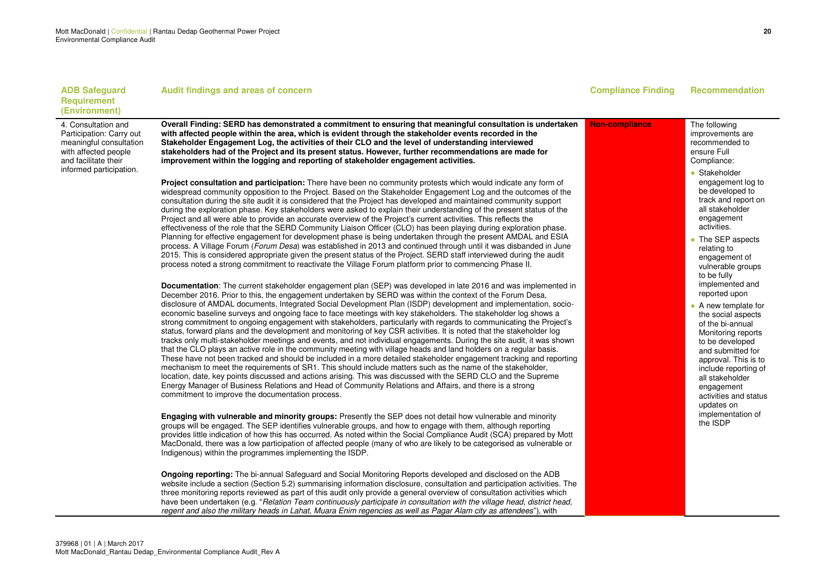| <b>ADB Safeguard</b><br><b>Requirement</b>                                                                                                                             | Audit findings and areas of concern                                                                                                                                                                                                                                                                                                                                                                                                                                                                                                                                                                                                                                                                                                                                                                                                                                                                                                                                                                                                                                                                                                                                                                                                                                                                                                                                                                                                                                                                                                                                                                                                                                                                                                                                                                                                                                                                                                                                                                                                                                                                                                                                                                                                                                                                                                                                                                                                                                                                                                                                                                                                                                                                                                                                                                                                                                                                                                                                                                                                                                                                                                                                                                                            | <b>Compliance Finding</b> | <b>Recommendation</b>                                                                                                                                                                                                                                                                                                                                                                                                                                                                                                                                                                                  |
|------------------------------------------------------------------------------------------------------------------------------------------------------------------------|--------------------------------------------------------------------------------------------------------------------------------------------------------------------------------------------------------------------------------------------------------------------------------------------------------------------------------------------------------------------------------------------------------------------------------------------------------------------------------------------------------------------------------------------------------------------------------------------------------------------------------------------------------------------------------------------------------------------------------------------------------------------------------------------------------------------------------------------------------------------------------------------------------------------------------------------------------------------------------------------------------------------------------------------------------------------------------------------------------------------------------------------------------------------------------------------------------------------------------------------------------------------------------------------------------------------------------------------------------------------------------------------------------------------------------------------------------------------------------------------------------------------------------------------------------------------------------------------------------------------------------------------------------------------------------------------------------------------------------------------------------------------------------------------------------------------------------------------------------------------------------------------------------------------------------------------------------------------------------------------------------------------------------------------------------------------------------------------------------------------------------------------------------------------------------------------------------------------------------------------------------------------------------------------------------------------------------------------------------------------------------------------------------------------------------------------------------------------------------------------------------------------------------------------------------------------------------------------------------------------------------------------------------------------------------------------------------------------------------------------------------------------------------------------------------------------------------------------------------------------------------------------------------------------------------------------------------------------------------------------------------------------------------------------------------------------------------------------------------------------------------------------------------------------------------------------------------------------------------|---------------------------|--------------------------------------------------------------------------------------------------------------------------------------------------------------------------------------------------------------------------------------------------------------------------------------------------------------------------------------------------------------------------------------------------------------------------------------------------------------------------------------------------------------------------------------------------------------------------------------------------------|
| (Environment)<br>4. Consultation and<br>Participation: Carry out<br>meaningful consultation<br>with affected people<br>and facilitate their<br>informed participation. | Overall Finding: SERD has demonstrated a commitment to ensuring that meaningful consultation is undertaken<br>with affected people within the area, which is evident through the stakeholder events recorded in the<br>Stakeholder Engagement Log, the activities of their CLO and the level of understanding interviewed<br>stakeholders had of the Project and its present status. However, further recommendations are made for<br>improvement within the logging and reporting of stakeholder engagement activities.<br>Project consultation and participation: There have been no community protests which would indicate any form of<br>widespread community opposition to the Project. Based on the Stakeholder Engagement Log and the outcomes of the<br>consultation during the site audit it is considered that the Project has developed and maintained community support<br>during the exploration phase. Key stakeholders were asked to explain their understanding of the present status of the<br>Project and all were able to provide an accurate overview of the Project's current activities. This reflects the<br>effectiveness of the role that the SERD Community Liaison Officer (CLO) has been playing during exploration phase.<br>Planning for effective engagement for development phase is being undertaken through the present AMDAL and ESIA<br>process. A Village Forum (Forum Desa) was established in 2013 and continued through until it was disbanded in June<br>2015. This is considered appropriate given the present status of the Project. SERD staff interviewed during the audit<br>process noted a strong commitment to reactivate the Village Forum platform prior to commencing Phase II.<br>Documentation: The current stakeholder engagement plan (SEP) was developed in late 2016 and was implemented in<br>December 2016. Prior to this, the engagement undertaken by SERD was within the context of the Forum Desa,<br>disclosure of AMDAL documents, Integrated Social Development Plan (ISDP) development and implementation, socio-<br>economic baseline surveys and ongoing face to face meetings with key stakeholders. The stakeholder log shows a<br>strong commitment to ongoing engagement with stakeholders, particularly with regards to communicating the Project's<br>status, forward plans and the development and monitoring of key CSR activities. It is noted that the stakeholder log<br>tracks only multi-stakeholder meetings and events, and not individual engagements. During the site audit, it was shown<br>that the CLO plays an active role in the community meeting with village heads and land holders on a regular basis.<br>These have not been tracked and should be included in a more detailed stakeholder engagement tracking and reporting<br>mechanism to meet the requirements of SR1. This should include matters such as the name of the stakeholder,<br>location, date, key points discussed and actions arising. This was discussed with the SERD CLO and the Supreme<br>Energy Manager of Business Relations and Head of Community Relations and Affairs, and there is a strong<br>commitment to improve the documentation process. | <b>Non-compliance</b>     | The following<br>improvements are<br>recommended to<br>ensure Full<br>Compliance:<br>· Stakeholder<br>engagement log to<br>be developed to<br>track and report on<br>all stakeholder<br>engagement<br>activities.<br>• The SEP aspects<br>relating to<br>engagement of<br>vulnerable groups<br>to be fully<br>implemented and<br>reported upon<br>• A new template for<br>the social aspects<br>of the bi-annual<br>Monitoring reports<br>to be developed<br>and submitted for<br>approval. This is to<br>include reporting of<br>all stakeholder<br>engagement<br>activities and status<br>updates on |
|                                                                                                                                                                        | Engaging with vulnerable and minority groups: Presently the SEP does not detail how vulnerable and minority<br>groups will be engaged. The SEP identifies vulnerable groups, and how to engage with them, although reporting<br>provides little indication of how this has occurred. As noted within the Social Compliance Audit (SCA) prepared by Mott<br>MacDonald, there was a low participation of affected people (many of who are likely to be categorised as vulnerable or<br>Indigenous) within the programmes implementing the ISDP.                                                                                                                                                                                                                                                                                                                                                                                                                                                                                                                                                                                                                                                                                                                                                                                                                                                                                                                                                                                                                                                                                                                                                                                                                                                                                                                                                                                                                                                                                                                                                                                                                                                                                                                                                                                                                                                                                                                                                                                                                                                                                                                                                                                                                                                                                                                                                                                                                                                                                                                                                                                                                                                                                  |                           | implementation of<br>the ISDP                                                                                                                                                                                                                                                                                                                                                                                                                                                                                                                                                                          |
|                                                                                                                                                                        | Ongoing reporting: The bi-annual Safeguard and Social Monitoring Reports developed and disclosed on the ADB<br>website include a section (Section 5.2) summarising information disclosure, consultation and participation activities. The                                                                                                                                                                                                                                                                                                                                                                                                                                                                                                                                                                                                                                                                                                                                                                                                                                                                                                                                                                                                                                                                                                                                                                                                                                                                                                                                                                                                                                                                                                                                                                                                                                                                                                                                                                                                                                                                                                                                                                                                                                                                                                                                                                                                                                                                                                                                                                                                                                                                                                                                                                                                                                                                                                                                                                                                                                                                                                                                                                                      |                           |                                                                                                                                                                                                                                                                                                                                                                                                                                                                                                                                                                                                        |

website include a section (Section 5.2) summarising information disclosure, consultation and participation activities. The three monitoring reports reviewed as part of this audit only provide a general overview of consultation activities which have been undertaken (e.g. "*Relation Team continuously participate in consultation with the village head, district head, regent and also the military heads in Lahat, Muara Enim regencies as well as Pagar Alam city as attendees*"), with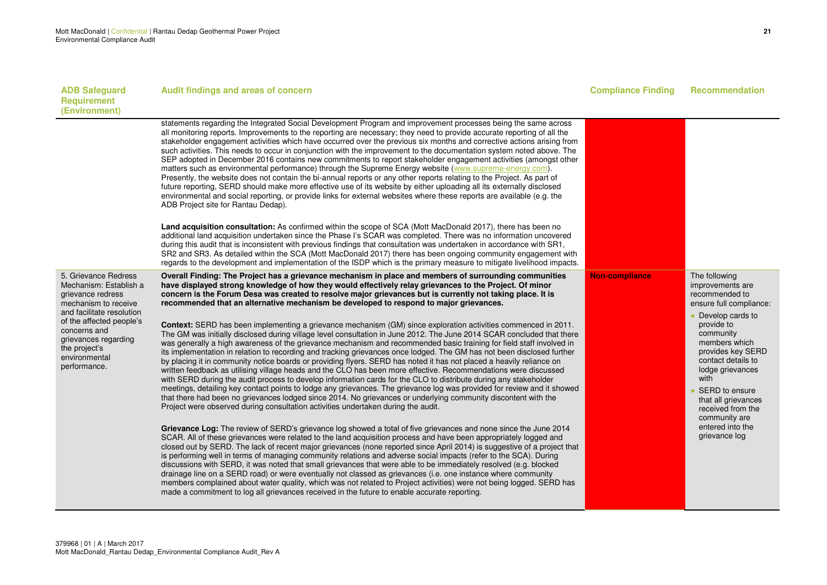| <b>ADB Safeguard</b><br><b>Requirement</b><br>(Environment)                                                                                                                                                                                    | Audit findings and areas of concern                                                                                                                                                                                                                                                                                                                                                                                                                                                                                                                                                                                                                                                                                                                                                                                                                                                                                                                                                                                                                                                                                                                                                                                                                                                                                                                                                                                                                                                                                                                                                                                                                                                                                                                                                                                                                                                                                                                                                                                                                                                                                                                                                                                                                                                                                                                                                                                                                                                                                                                                              | <b>Compliance Finding</b> | <b>Recommendation</b>                                                                                                                                                                                                                                                                                                                         |
|------------------------------------------------------------------------------------------------------------------------------------------------------------------------------------------------------------------------------------------------|----------------------------------------------------------------------------------------------------------------------------------------------------------------------------------------------------------------------------------------------------------------------------------------------------------------------------------------------------------------------------------------------------------------------------------------------------------------------------------------------------------------------------------------------------------------------------------------------------------------------------------------------------------------------------------------------------------------------------------------------------------------------------------------------------------------------------------------------------------------------------------------------------------------------------------------------------------------------------------------------------------------------------------------------------------------------------------------------------------------------------------------------------------------------------------------------------------------------------------------------------------------------------------------------------------------------------------------------------------------------------------------------------------------------------------------------------------------------------------------------------------------------------------------------------------------------------------------------------------------------------------------------------------------------------------------------------------------------------------------------------------------------------------------------------------------------------------------------------------------------------------------------------------------------------------------------------------------------------------------------------------------------------------------------------------------------------------------------------------------------------------------------------------------------------------------------------------------------------------------------------------------------------------------------------------------------------------------------------------------------------------------------------------------------------------------------------------------------------------------------------------------------------------------------------------------------------------|---------------------------|-----------------------------------------------------------------------------------------------------------------------------------------------------------------------------------------------------------------------------------------------------------------------------------------------------------------------------------------------|
|                                                                                                                                                                                                                                                | statements regarding the Integrated Social Development Program and improvement processes being the same across<br>all monitoring reports. Improvements to the reporting are necessary; they need to provide accurate reporting of all the<br>stakeholder engagement activities which have occurred over the previous six months and corrective actions arising from<br>such activities. This needs to occur in conjunction with the improvement to the documentation system noted above. The<br>SEP adopted in December 2016 contains new commitments to report stakeholder engagement activities (amongst other<br>matters such as environmental performance) through the Supreme Energy website (www.supreme-energy.com).<br>Presently, the website does not contain the bi-annual reports or any other reports relating to the Project. As part of<br>future reporting. SERD should make more effective use of its website by either uploading all its externally disclosed<br>environmental and social reporting, or provide links for external websites where these reports are available (e.g. the<br>ADB Project site for Rantau Dedap).                                                                                                                                                                                                                                                                                                                                                                                                                                                                                                                                                                                                                                                                                                                                                                                                                                                                                                                                                                                                                                                                                                                                                                                                                                                                                                                                                                                                                                  |                           |                                                                                                                                                                                                                                                                                                                                               |
|                                                                                                                                                                                                                                                | Land acquisition consultation: As confirmed within the scope of SCA (Mott MacDonald 2017), there has been no<br>additional land acquisition undertaken since the Phase I's SCAR was completed. There was no information uncovered<br>during this audit that is inconsistent with previous findings that consultation was undertaken in accordance with SR1,<br>SR2 and SR3. As detailed within the SCA (Mott MacDonald 2017) there has been ongoing community engagement with<br>regards to the development and implementation of the ISDP which is the primary measure to mitigate livelihood impacts.                                                                                                                                                                                                                                                                                                                                                                                                                                                                                                                                                                                                                                                                                                                                                                                                                                                                                                                                                                                                                                                                                                                                                                                                                                                                                                                                                                                                                                                                                                                                                                                                                                                                                                                                                                                                                                                                                                                                                                          |                           |                                                                                                                                                                                                                                                                                                                                               |
| 5. Grievance Redress<br>Mechanism: Establish a<br>grievance redress<br>mechanism to receive<br>and facilitate resolution<br>of the affected people's<br>concerns and<br>grievances regarding<br>the project's<br>environmental<br>performance. | Overall Finding: The Project has a grievance mechanism in place and members of surrounding communities<br>have displayed strong knowledge of how they would effectively relay grievances to the Project. Of minor<br>concern is the Forum Desa was created to resolve major grievances but is currently not taking place. It is<br>recommended that an alternative mechanism be developed to respond to major grievances.<br>Context: SERD has been implementing a grievance mechanism (GM) since exploration activities commenced in 2011.<br>The GM was initially disclosed during village level consultation in June 2012. The June 2014 SCAR concluded that there<br>was generally a high awareness of the grievance mechanism and recommended basic training for field staff involved in<br>its implementation in relation to recording and tracking grievances once lodged. The GM has not been disclosed further<br>by placing it in community notice boards or providing flyers. SERD has noted it has not placed a heavily reliance on<br>written feedback as utilising village heads and the CLO has been more effective. Recommendations were discussed<br>with SERD during the audit process to develop information cards for the CLO to distribute during any stakeholder<br>meetings, detailing key contact points to lodge any grievances. The grievance log was provided for review and it showed<br>that there had been no grievances lodged since 2014. No grievances or underlying community discontent with the<br>Project were observed during consultation activities undertaken during the audit.<br>Grievance Log: The review of SERD's grievance log showed a total of five grievances and none since the June 2014<br>SCAR. All of these grievances were related to the land acquisition process and have been appropriately logged and<br>closed out by SERD. The lack of recent major grievances (none reported since April 2014) is suggestive of a project that<br>is performing well in terms of managing community relations and adverse social impacts (refer to the SCA). During<br>discussions with SERD, it was noted that small grievances that were able to be immediately resolved (e.g. blocked<br>drainage line on a SERD road) or were eventually not classed as grievances (i.e. one instance where community<br>members complained about water quality, which was not related to Project activities) were not being logged. SERD has<br>made a commitment to log all grievances received in the future to enable accurate reporting. | <b>Non-compliance</b>     | The following<br>improvements are<br>recommended to<br>ensure full compliance:<br>• Develop cards to<br>provide to<br>community<br>members which<br>provides key SERD<br>contact details to<br>lodge grievances<br>with<br>• SERD to ensure<br>that all grievances<br>received from the<br>community are<br>entered into the<br>grievance log |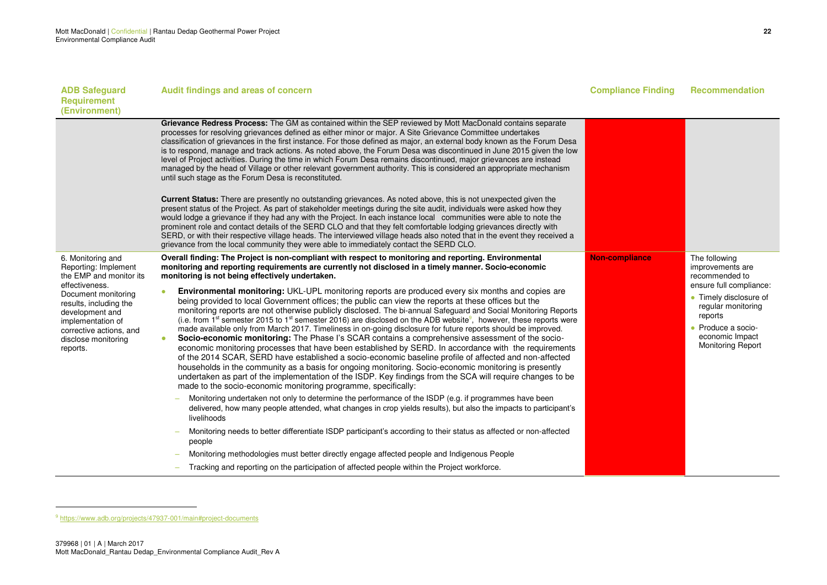| <b>ADB Safeguard</b><br><b>Requirement</b><br>(Environment)                                                                                                                                                                                   | Audit findings and areas of concern                                                                                                                                                                                                                                                                                                                                                                                                                                                                                                                                                                                                                                                                                                                                                                                                                                                                                                                                                                                                                                                                                                                                                                                                                                                                                                                                                                                                                                                                                                                                                                                                                                                                                                                                                                                                                                                                                                                                                                                                                                                    | <b>Compliance Finding</b> | <b>Recommendation</b>                                                                                                                                                                                          |
|-----------------------------------------------------------------------------------------------------------------------------------------------------------------------------------------------------------------------------------------------|----------------------------------------------------------------------------------------------------------------------------------------------------------------------------------------------------------------------------------------------------------------------------------------------------------------------------------------------------------------------------------------------------------------------------------------------------------------------------------------------------------------------------------------------------------------------------------------------------------------------------------------------------------------------------------------------------------------------------------------------------------------------------------------------------------------------------------------------------------------------------------------------------------------------------------------------------------------------------------------------------------------------------------------------------------------------------------------------------------------------------------------------------------------------------------------------------------------------------------------------------------------------------------------------------------------------------------------------------------------------------------------------------------------------------------------------------------------------------------------------------------------------------------------------------------------------------------------------------------------------------------------------------------------------------------------------------------------------------------------------------------------------------------------------------------------------------------------------------------------------------------------------------------------------------------------------------------------------------------------------------------------------------------------------------------------------------------------|---------------------------|----------------------------------------------------------------------------------------------------------------------------------------------------------------------------------------------------------------|
|                                                                                                                                                                                                                                               | Grievance Redress Process: The GM as contained within the SEP reviewed by Mott MacDonald contains separate<br>processes for resolving grievances defined as either minor or major. A Site Grievance Committee undertakes<br>classification of grievances in the first instance. For those defined as major, an external body known as the Forum Desa<br>is to respond, manage and track actions. As noted above, the Forum Desa was discontinued in June 2015 given the low<br>level of Project activities. During the time in which Forum Desa remains discontinued, major grievances are instead<br>managed by the head of Village or other relevant government authority. This is considered an appropriate mechanism<br>until such stage as the Forum Desa is reconstituted.<br><b>Current Status:</b> There are presently no outstanding grievances. As noted above, this is not unexpected given the<br>present status of the Project. As part of stakeholder meetings during the site audit, individuals were asked how they<br>would lodge a grievance if they had any with the Project. In each instance local communities were able to note the<br>prominent role and contact details of the SERD CLO and that they felt comfortable lodging grievances directly with<br>SERD, or with their respective village heads. The interviewed village heads also noted that in the event they received a<br>grievance from the local community they were able to immediately contact the SERD CLO.                                                                                                                                                                                                                                                                                                                                                                                                                                                                                                                                                                                  |                           |                                                                                                                                                                                                                |
| 6. Monitoring and<br>Reporting: Implement<br>the EMP and monitor its<br>effectiveness.<br>Document monitoring<br>results, including the<br>development and<br>implementation of<br>corrective actions, and<br>disclose monitoring<br>reports. | Overall finding: The Project is non-compliant with respect to monitoring and reporting. Environmental<br>monitoring and reporting requirements are currently not disclosed in a timely manner. Socio-economic<br>monitoring is not being effectively undertaken.<br><b>Environmental monitoring:</b> UKL-UPL monitoring reports are produced every six months and copies are<br>being provided to local Government offices; the public can view the reports at these offices but the<br>monitoring reports are not otherwise publicly disclosed. The bi-annual Safeguard and Social Monitoring Reports<br>(i.e. from 1 <sup>st</sup> semester 2015 to 1 <sup>st</sup> semester 2016) are disclosed on the ADB website <sup>9</sup> , however, these reports were<br>made available only from March 2017. Timeliness in on-going disclosure for future reports should be improved.<br>Socio-economic monitoring: The Phase I's SCAR contains a comprehensive assessment of the socio-<br>$\bullet$<br>economic monitoring processes that have been established by SERD. In accordance with the requirements<br>of the 2014 SCAR, SERD have established a socio-economic baseline profile of affected and non-affected<br>households in the community as a basis for ongoing monitoring. Socio-economic monitoring is presently<br>undertaken as part of the implementation of the ISDP. Key findings from the SCA will require changes to be<br>made to the socio-economic monitoring programme, specifically:<br>Monitoring undertaken not only to determine the performance of the ISDP (e.g. if programmes have been<br>delivered, how many people attended, what changes in crop yields results), but also the impacts to participant's<br>livelihoods<br>Monitoring needs to better differentiate ISDP participant's according to their status as affected or non-affected<br>people<br>Monitoring methodologies must better directly engage affected people and Indigenous People<br>Tracking and reporting on the participation of affected people within the Project workforce. | <b>Non-compliance</b>     | The following<br>improvements are<br>recommended to<br>ensure full compliance:<br>• Timely disclosure of<br>regular monitoring<br>reports<br>• Produce a socio-<br>economic Impact<br><b>Monitoring Report</b> |

<sup>9</sup> <https://www.adb.org/projects/47937-001/main#project-documents>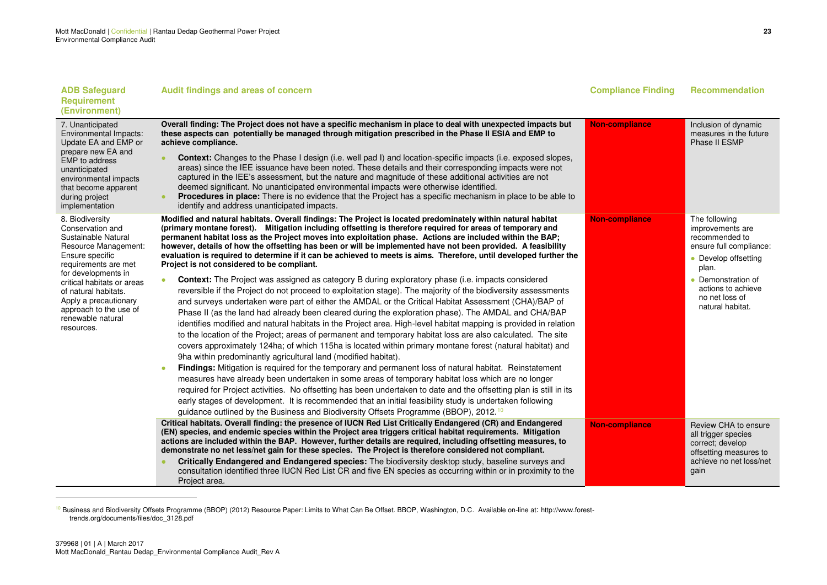| <b>ADB Safequard</b><br><b>Requirement</b><br>(Environment)                                                                                                                                                                                                                                      | Audit findings and areas of concern                                                                                                                                                                                                                                                                                                                                                                                                                                                                                                                                                                                                                                                                                                                                                                                                                                                                                                                                                                                                                                                                                                                                                                                                                                                                                                                                                                                                                                                                                                                                                                                                                                                                                                                                                                                                                                                                                                                                                                                                                                | <b>Compliance Finding</b> | <b>Recommendation</b>                                                                                                                                                                             |
|--------------------------------------------------------------------------------------------------------------------------------------------------------------------------------------------------------------------------------------------------------------------------------------------------|--------------------------------------------------------------------------------------------------------------------------------------------------------------------------------------------------------------------------------------------------------------------------------------------------------------------------------------------------------------------------------------------------------------------------------------------------------------------------------------------------------------------------------------------------------------------------------------------------------------------------------------------------------------------------------------------------------------------------------------------------------------------------------------------------------------------------------------------------------------------------------------------------------------------------------------------------------------------------------------------------------------------------------------------------------------------------------------------------------------------------------------------------------------------------------------------------------------------------------------------------------------------------------------------------------------------------------------------------------------------------------------------------------------------------------------------------------------------------------------------------------------------------------------------------------------------------------------------------------------------------------------------------------------------------------------------------------------------------------------------------------------------------------------------------------------------------------------------------------------------------------------------------------------------------------------------------------------------------------------------------------------------------------------------------------------------|---------------------------|---------------------------------------------------------------------------------------------------------------------------------------------------------------------------------------------------|
| 7. Unanticipated<br>Environmental Impacts:<br>Update EA and EMP or<br>prepare new EA and<br><b>EMP</b> to address<br>unanticipated<br>environmental impacts<br>that become apparent<br>during project<br>implementation                                                                          | Overall finding: The Project does not have a specific mechanism in place to deal with unexpected impacts but<br>these aspects can potentially be managed through mitigation prescribed in the Phase II ESIA and EMP to<br>achieve compliance.<br><b>Context:</b> Changes to the Phase I design (i.e. well pad I) and location-specific impacts (i.e. exposed slopes,<br>areas) since the IEE issuance have been noted. These details and their corresponding impacts were not<br>captured in the IEE's assessment, but the nature and magnitude of these additional activities are not<br>deemed significant. No unanticipated environmental impacts were otherwise identified.<br>Procedures in place: There is no evidence that the Project has a specific mechanism in place to be able to<br>identify and address unanticipated impacts.                                                                                                                                                                                                                                                                                                                                                                                                                                                                                                                                                                                                                                                                                                                                                                                                                                                                                                                                                                                                                                                                                                                                                                                                                       | <b>Non-compliance</b>     | Inclusion of dynamic<br>measures in the future<br>Phase II ESMP                                                                                                                                   |
| 8. Biodiversity<br>Conservation and<br>Sustainable Natural<br>Resource Management:<br>Ensure specific<br>requirements are met<br>for developments in<br>critical habitats or areas<br>of natural habitats.<br>Apply a precautionary<br>approach to the use of<br>renewable natural<br>resources. | Modified and natural habitats. Overall findings: The Project is located predominately within natural habitat<br>(primary montane forest). Mitigation including offsetting is therefore required for areas of temporary and<br>permanent habitat loss as the Project moves into exploitation phase. Actions are included within the BAP;<br>however, details of how the offsetting has been or will be implemented have not been provided. A feasibility<br>evaluation is required to determine if it can be achieved to meets is aims. Therefore, until developed further the<br>Project is not considered to be compliant.<br>Context: The Project was assigned as category B during exploratory phase (i.e. impacts considered<br>$\bullet$<br>reversible if the Project do not proceed to exploitation stage). The majority of the biodiversity assessments<br>and surveys undertaken were part of either the AMDAL or the Critical Habitat Assessment (CHA)/BAP of<br>Phase II (as the land had already been cleared during the exploration phase). The AMDAL and CHA/BAP<br>identifies modified and natural habitats in the Project area. High-level habitat mapping is provided in relation<br>to the location of the Project; areas of permanent and temporary habitat loss are also calculated. The site<br>covers approximately 124ha; of which 115ha is located within primary montane forest (natural habitat) and<br>9ha within predominantly agricultural land (modified habitat).<br>Findings: Mitigation is required for the temporary and permanent loss of natural habitat. Reinstatement<br>$\bullet$<br>measures have already been undertaken in some areas of temporary habitat loss which are no longer<br>required for Project activities. No offsetting has been undertaken to date and the offsetting plan is still in its<br>early stages of development. It is recommended that an initial feasibility study is undertaken following<br>guidance outlined by the Business and Biodiversity Offsets Programme (BBOP), 2012. <sup>10</sup> | <b>Non-compliance</b>     | The following<br>improvements are<br>recommended to<br>ensure full compliance:<br>• Develop offsetting<br>plan.<br>• Demonstration of<br>actions to achieve<br>no net loss of<br>natural habitat. |
|                                                                                                                                                                                                                                                                                                  | Critical habitats. Overall finding: the presence of IUCN Red List Critically Endangered (CR) and Endangered<br>(EN) species, and endemic species within the Project area triggers critical habitat requirements. Mitigation<br>actions are included within the BAP. However, further details are required, including offsetting measures, to<br>demonstrate no net less/net gain for these species. The Project is therefore considered not compliant.<br>Critically Endangered and Endangered species: The biodiversity desktop study, baseline surveys and<br>consultation identified three IUCN Red List CR and five EN species as occurring within or in proximity to the<br>Project area.                                                                                                                                                                                                                                                                                                                                                                                                                                                                                                                                                                                                                                                                                                                                                                                                                                                                                                                                                                                                                                                                                                                                                                                                                                                                                                                                                                     | <b>Non-compliance</b>     | Review CHA to ensure<br>all trigger species<br>correct; develop<br>offsetting measures to<br>achieve no net loss/net<br>gain                                                                      |

<sup>&</sup>lt;sup>10</sup> Business and Biodiversity Offsets Programme (BBOP) (2012) Resource Paper: Limits to What Can Be Offset. BBOP, Washington, D.C. Available on-line at: [http://www.forest](http://www.forest-trends.org/documents/files/doc_3128.pdf)[trends.org/documents/files/doc\\_3128.pdf](http://www.forest-trends.org/documents/files/doc_3128.pdf)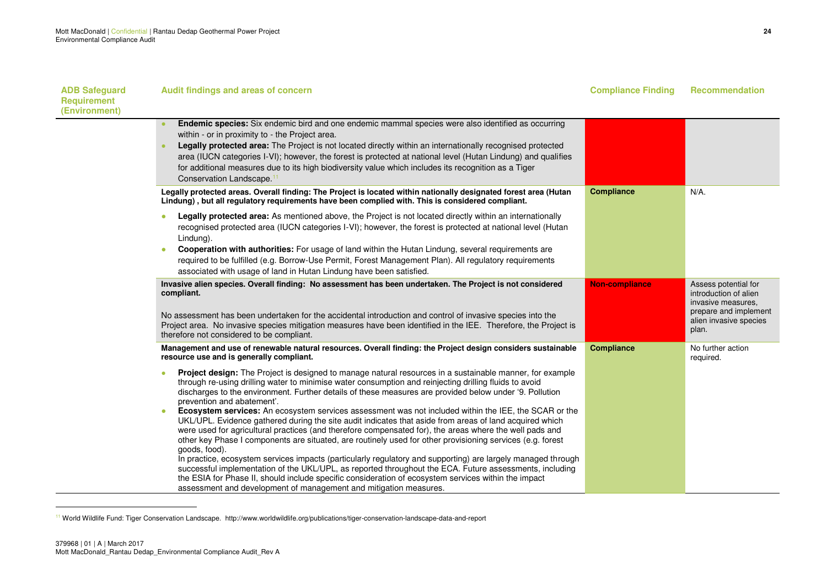| <b>ADB Safeguard</b><br><b>Requirement</b><br>(Environment) | Audit findings and areas of concern                                                                                                                                                                                                                                                                                                                                                                                                                                                                                                                                                                                                                                                                                                                                                                                                                                                                                                                                                                                                                                                                                                                                                                                                                          | <b>Compliance Finding</b> | <b>Recommendation</b>                                                                                                           |
|-------------------------------------------------------------|--------------------------------------------------------------------------------------------------------------------------------------------------------------------------------------------------------------------------------------------------------------------------------------------------------------------------------------------------------------------------------------------------------------------------------------------------------------------------------------------------------------------------------------------------------------------------------------------------------------------------------------------------------------------------------------------------------------------------------------------------------------------------------------------------------------------------------------------------------------------------------------------------------------------------------------------------------------------------------------------------------------------------------------------------------------------------------------------------------------------------------------------------------------------------------------------------------------------------------------------------------------|---------------------------|---------------------------------------------------------------------------------------------------------------------------------|
|                                                             | <b>Endemic species:</b> Six endemic bird and one endemic mammal species were also identified as occurring<br>within - or in proximity to - the Project area.<br>Legally protected area: The Project is not located directly within an internationally recognised protected<br>area (IUCN categories I-VI); however, the forest is protected at national level (Hutan Lindung) and qualifies<br>for additional measures due to its high biodiversity value which includes its recognition as a Tiger<br>Conservation Landscape. <sup>1</sup>                                                                                                                                                                                                                                                                                                                                                                                                                                                                                                                                                                                                                                                                                                                  |                           |                                                                                                                                 |
|                                                             | Legally protected areas. Overall finding: The Project is located within nationally designated forest area (Hutan<br>Lindung), but all regulatory requirements have been complied with. This is considered compliant.                                                                                                                                                                                                                                                                                                                                                                                                                                                                                                                                                                                                                                                                                                                                                                                                                                                                                                                                                                                                                                         | <b>Compliance</b>         | $N/A$ .                                                                                                                         |
|                                                             | Legally protected area: As mentioned above, the Project is not located directly within an internationally<br>$\bullet$<br>recognised protected area (IUCN categories I-VI); however, the forest is protected at national level (Hutan<br>Lindung).<br>Cooperation with authorities: For usage of land within the Hutan Lindung, several requirements are<br>$\bullet$<br>required to be fulfilled (e.g. Borrow-Use Permit, Forest Management Plan). All regulatory requirements<br>associated with usage of land in Hutan Lindung have been satisfied.                                                                                                                                                                                                                                                                                                                                                                                                                                                                                                                                                                                                                                                                                                       |                           |                                                                                                                                 |
|                                                             | Invasive alien species. Overall finding: No assessment has been undertaken. The Project is not considered<br>compliant.<br>No assessment has been undertaken for the accidental introduction and control of invasive species into the<br>Project area. No invasive species mitigation measures have been identified in the IEE. Therefore, the Project is<br>therefore not considered to be compliant.                                                                                                                                                                                                                                                                                                                                                                                                                                                                                                                                                                                                                                                                                                                                                                                                                                                       | <b>Non-compliance</b>     | Assess potential for<br>introduction of alien<br>invasive measures.<br>prepare and implement<br>alien invasive species<br>plan. |
|                                                             | Management and use of renewable natural resources. Overall finding: the Project design considers sustainable<br>resource use and is generally compliant.                                                                                                                                                                                                                                                                                                                                                                                                                                                                                                                                                                                                                                                                                                                                                                                                                                                                                                                                                                                                                                                                                                     | <b>Compliance</b>         | No further action<br>required.                                                                                                  |
|                                                             | <b>Project design:</b> The Project is designed to manage natural resources in a sustainable manner, for example<br>$\bullet$<br>through re-using drilling water to minimise water consumption and reinjecting drilling fluids to avoid<br>discharges to the environment. Further details of these measures are provided below under '9. Pollution<br>prevention and abatement'.<br><b>Ecosystem services:</b> An ecosystem services assessment was not included within the IEE, the SCAR or the<br>UKL/UPL. Evidence gathered during the site audit indicates that aside from areas of land acquired which<br>were used for agricultural practices (and therefore compensated for), the areas where the well pads and<br>other key Phase I components are situated, are routinely used for other provisioning services (e.g. forest<br>goods, food).<br>In practice, ecosystem services impacts (particularly regulatory and supporting) are largely managed through<br>successful implementation of the UKL/UPL, as reported throughout the ECA. Future assessments, including<br>the ESIA for Phase II, should include specific consideration of ecosystem services within the impact<br>assessment and development of management and mitigation measures. |                           |                                                                                                                                 |

<sup>11</sup> World Wildlife Fund: Tiger Conservation Landscape.<http://www.worldwildlife.org/publications/tiger-conservation-landscape-data-and-report>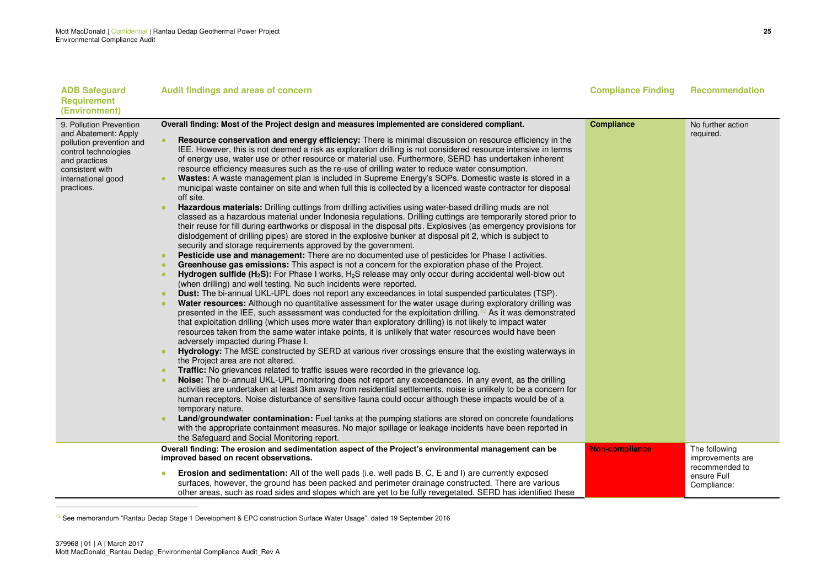| <b>ADB Safeguard</b><br><b>Requirement</b><br>(Environment)                                                                                                                 | Audit findings and areas of concern                                                                                                                                                                                                                                                                                                                                                                                                                                                                                                                                                                                                                                                                                                                                                                                                                                                                                                                                                                                                                                                                                                                                                                                                                                                                                                                                                                                                                                                                                                                                                                                                                                                                                                                                                                                                                                                                                                                                                                                                                                                                                                                                                                                                                                                                                                                                                                                                                                                                                                                                                                                                                                                                                                                                                                                                                                                                                                                                                                                                                                                                                                                                                                        | <b>Compliance Finding</b> | <b>Recommendation</b>                        |
|-----------------------------------------------------------------------------------------------------------------------------------------------------------------------------|------------------------------------------------------------------------------------------------------------------------------------------------------------------------------------------------------------------------------------------------------------------------------------------------------------------------------------------------------------------------------------------------------------------------------------------------------------------------------------------------------------------------------------------------------------------------------------------------------------------------------------------------------------------------------------------------------------------------------------------------------------------------------------------------------------------------------------------------------------------------------------------------------------------------------------------------------------------------------------------------------------------------------------------------------------------------------------------------------------------------------------------------------------------------------------------------------------------------------------------------------------------------------------------------------------------------------------------------------------------------------------------------------------------------------------------------------------------------------------------------------------------------------------------------------------------------------------------------------------------------------------------------------------------------------------------------------------------------------------------------------------------------------------------------------------------------------------------------------------------------------------------------------------------------------------------------------------------------------------------------------------------------------------------------------------------------------------------------------------------------------------------------------------------------------------------------------------------------------------------------------------------------------------------------------------------------------------------------------------------------------------------------------------------------------------------------------------------------------------------------------------------------------------------------------------------------------------------------------------------------------------------------------------------------------------------------------------------------------------------------------------------------------------------------------------------------------------------------------------------------------------------------------------------------------------------------------------------------------------------------------------------------------------------------------------------------------------------------------------------------------------------------------------------------------------------------------------|---------------------------|----------------------------------------------|
| 9. Pollution Prevention<br>and Abatement: Apply<br>pollution prevention and<br>control technologies<br>and practices<br>consistent with<br>international good<br>practices. | Overall finding: Most of the Project design and measures implemented are considered compliant.<br>Resource conservation and energy efficiency: There is minimal discussion on resource efficiency in the<br>IEE. However, this is not deemed a risk as exploration drilling is not considered resource intensive in terms<br>of energy use, water use or other resource or material use. Furthermore, SERD has undertaken inherent<br>resource efficiency measures such as the re-use of drilling water to reduce water consumption.<br>Wastes: A waste management plan is included in Supreme Energy's SOPs. Domestic waste is stored in a<br>municipal waste container on site and when full this is collected by a licenced waste contractor for disposal<br>off site.<br>Hazardous materials: Drilling cuttings from drilling activities using water-based drilling muds are not<br>classed as a hazardous material under Indonesia regulations. Drilling cuttings are temporarily stored prior to<br>their reuse for fill during earthworks or disposal in the disposal pits. Explosives (as emergency provisions for<br>dislodgement of drilling pipes) are stored in the explosive bunker at disposal pit 2, which is subject to<br>security and storage requirements approved by the government.<br>Pesticide use and management: There are no documented use of pesticides for Phase I activities.<br>Greenhouse gas emissions: This aspect is not a concern for the exploration phase of the Project.<br>Hydrogen sulfide (H <sub>2</sub> S): For Phase I works, H <sub>2</sub> S release may only occur during accidental well-blow out<br>(when drilling) and well testing. No such incidents were reported.<br>Dust: The bi-annual UKL-UPL does not report any exceedances in total suspended particulates (TSP).<br>Water resources: Although no quantitative assessment for the water usage during exploratory drilling was<br>presented in the IEE, such assessment was conducted for the exploitation drilling. <sup>12</sup> As it was demonstrated<br>that exploitation drilling (which uses more water than exploratory drilling) is not likely to impact water<br>resources taken from the same water intake points, it is unlikely that water resources would have been<br>adversely impacted during Phase I.<br>Hydrology: The MSE constructed by SERD at various river crossings ensure that the existing waterways in<br>the Project area are not altered.<br>Traffic: No grievances related to traffic issues were recorded in the grievance log.<br>Noise: The bi-annual UKL-UPL monitoring does not report any exceedances. In any event, as the drilling<br>activities are undertaken at least 3km away from residential settlements, noise is unlikely to be a concern for<br>human receptors. Noise disturbance of sensitive fauna could occur although these impacts would be of a<br>temporary nature.<br>Land/groundwater contamination: Fuel tanks at the pumping stations are stored on concrete foundations<br>with the appropriate containment measures. No major spillage or leakage incidents have been reported in<br>the Safeguard and Social Monitoring report. | <b>Compliance</b>         | No further action<br>required.               |
|                                                                                                                                                                             | Overall finding: The erosion and sedimentation aspect of the Project's environmental management can be<br>improved based on recent observations.                                                                                                                                                                                                                                                                                                                                                                                                                                                                                                                                                                                                                                                                                                                                                                                                                                                                                                                                                                                                                                                                                                                                                                                                                                                                                                                                                                                                                                                                                                                                                                                                                                                                                                                                                                                                                                                                                                                                                                                                                                                                                                                                                                                                                                                                                                                                                                                                                                                                                                                                                                                                                                                                                                                                                                                                                                                                                                                                                                                                                                                           | Non-compliance            | The following<br>improvements are            |
|                                                                                                                                                                             | <b>Erosion and sedimentation:</b> All of the well pads (i.e. well pads B, C, E and I) are currently exposed<br>surfaces, however, the ground has been packed and perimeter drainage constructed. There are various<br>other areas, such as road sides and slopes which are yet to be fully revegetated. SERD has identified these                                                                                                                                                                                                                                                                                                                                                                                                                                                                                                                                                                                                                                                                                                                                                                                                                                                                                                                                                                                                                                                                                                                                                                                                                                                                                                                                                                                                                                                                                                                                                                                                                                                                                                                                                                                                                                                                                                                                                                                                                                                                                                                                                                                                                                                                                                                                                                                                                                                                                                                                                                                                                                                                                                                                                                                                                                                                          |                           | recommended to<br>ensure Full<br>Compliance: |

<sup>12</sup> See memorandum "Rantau Dedap Stage 1 Development & EPC construction Surface Water Usage", dated 19 September 2016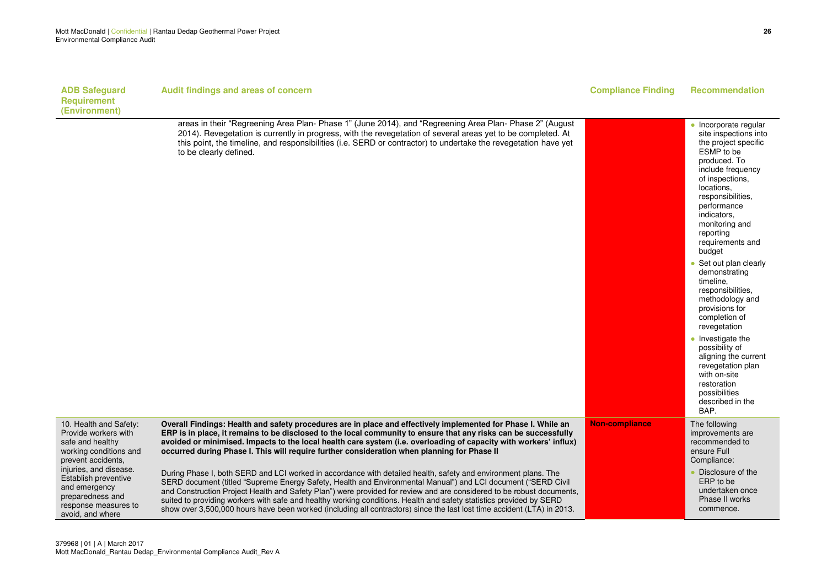| <b>ADB Safeguard</b><br><b>Requirement</b>                                                                                                                                                                                                            | Audit findings and areas of concern                                                                                                                                                                                                                                                                                                                                                                                                                                                                                                                                                                                                                                                                                                                                                                                                                                                                                                                                                                                                                                | <b>Compliance Finding</b> | <b>Recommendation</b>                                                                                                                                                                                                                                                                                                                                                                                                                                                                                                                                                                         |
|-------------------------------------------------------------------------------------------------------------------------------------------------------------------------------------------------------------------------------------------------------|--------------------------------------------------------------------------------------------------------------------------------------------------------------------------------------------------------------------------------------------------------------------------------------------------------------------------------------------------------------------------------------------------------------------------------------------------------------------------------------------------------------------------------------------------------------------------------------------------------------------------------------------------------------------------------------------------------------------------------------------------------------------------------------------------------------------------------------------------------------------------------------------------------------------------------------------------------------------------------------------------------------------------------------------------------------------|---------------------------|-----------------------------------------------------------------------------------------------------------------------------------------------------------------------------------------------------------------------------------------------------------------------------------------------------------------------------------------------------------------------------------------------------------------------------------------------------------------------------------------------------------------------------------------------------------------------------------------------|
| (Environment)                                                                                                                                                                                                                                         |                                                                                                                                                                                                                                                                                                                                                                                                                                                                                                                                                                                                                                                                                                                                                                                                                                                                                                                                                                                                                                                                    |                           |                                                                                                                                                                                                                                                                                                                                                                                                                                                                                                                                                                                               |
|                                                                                                                                                                                                                                                       | areas in their "Regreening Area Plan- Phase 1" (June 2014), and "Regreening Area Plan- Phase 2" (August<br>2014). Revegetation is currently in progress, with the revegetation of several areas yet to be completed. At<br>this point, the timeline, and responsibilities (i.e. SERD or contractor) to undertake the revegetation have yet<br>to be clearly defined.                                                                                                                                                                                                                                                                                                                                                                                                                                                                                                                                                                                                                                                                                               |                           | • Incorporate regular<br>site inspections into<br>the project specific<br>ESMP to be<br>produced. To<br>include frequency<br>of inspections,<br>locations.<br>responsibilities.<br>performance<br>indicators.<br>monitoring and<br>reporting<br>requirements and<br>budget<br>• Set out plan clearly<br>demonstrating<br>timeline.<br>responsibilities,<br>methodology and<br>provisions for<br>completion of<br>revegetation<br>• Investigate the<br>possibility of<br>aligning the current<br>revegetation plan<br>with on-site<br>restoration<br>possibilities<br>described in the<br>BAP. |
| 10. Health and Safety:<br>Provide workers with<br>safe and healthy<br>working conditions and<br>prevent accidents,<br>injuries, and disease.<br>Establish preventive<br>and emergency<br>preparedness and<br>response measures to<br>avoid, and where | Overall Findings: Health and safety procedures are in place and effectively implemented for Phase I. While an<br>ERP is in place, it remains to be disclosed to the local community to ensure that any risks can be successfully<br>avoided or minimised. Impacts to the local health care system (i.e. overloading of capacity with workers' influx)<br>occurred during Phase I. This will require further consideration when planning for Phase II<br>During Phase I, both SERD and LCI worked in accordance with detailed health, safety and environment plans. The<br>SERD document (titled "Supreme Energy Safety, Health and Environmental Manual") and LCI document ("SERD Civil<br>and Construction Project Health and Safety Plan") were provided for review and are considered to be robust documents,<br>suited to providing workers with safe and healthy working conditions. Health and safety statistics provided by SERD<br>show over 3,500,000 hours have been worked (including all contractors) since the last lost time accident (LTA) in 2013. | Non-compliance            | The following<br>improvements are<br>recommended to<br>ensure Full<br>Compliance:<br>• Disclosure of the<br>ERP to be<br>undertaken once<br>Phase II works<br>commence.                                                                                                                                                                                                                                                                                                                                                                                                                       |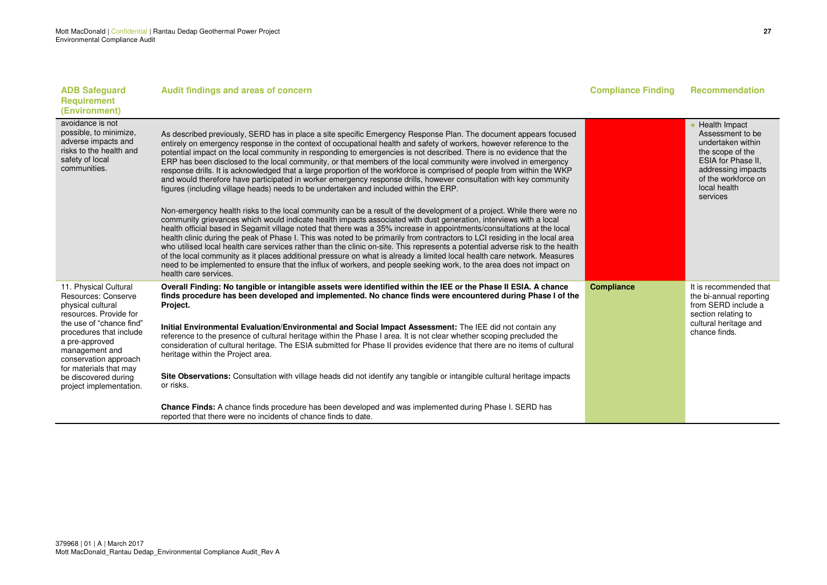| <b>ADB Safeguard</b><br><b>Requirement</b><br>(Environment)                                                                                                                                                     | <b>Audit findings and areas of concern</b>                                                                                                                                                                                                                                                                                                                                                                                                                                                                                                                                                                                                                                                                                                                                                                                                                                                                           | <b>Compliance Finding</b> | <b>Recommendation</b>                                                                                                                                                     |
|-----------------------------------------------------------------------------------------------------------------------------------------------------------------------------------------------------------------|----------------------------------------------------------------------------------------------------------------------------------------------------------------------------------------------------------------------------------------------------------------------------------------------------------------------------------------------------------------------------------------------------------------------------------------------------------------------------------------------------------------------------------------------------------------------------------------------------------------------------------------------------------------------------------------------------------------------------------------------------------------------------------------------------------------------------------------------------------------------------------------------------------------------|---------------------------|---------------------------------------------------------------------------------------------------------------------------------------------------------------------------|
| avoidance is not<br>possible, to minimize,<br>adverse impacts and<br>risks to the health and<br>safety of local<br>communities.                                                                                 | As described previously, SERD has in place a site specific Emergency Response Plan. The document appears focused<br>entirely on emergency response in the context of occupational health and safety of workers, however reference to the<br>potential impact on the local community in responding to emergencies is not described. There is no evidence that the<br>ERP has been disclosed to the local community, or that members of the local community were involved in emergency<br>response drills. It is acknowledged that a large proportion of the workforce is comprised of people from within the WKP<br>and would therefore have participated in worker emergency response drills, however consultation with key community<br>figures (including village heads) needs to be undertaken and included within the ERP.                                                                                       |                           | Health Impact<br>Assessment to be<br>undertaken within<br>the scope of the<br>ESIA for Phase II.<br>addressing impacts<br>of the workforce on<br>local health<br>services |
|                                                                                                                                                                                                                 | Non-emergency health risks to the local community can be a result of the development of a project. While there were no<br>community grievances which would indicate health impacts associated with dust generation, interviews with a local<br>health official based in Segamit village noted that there was a 35% increase in appointments/consultations at the local<br>health clinic during the peak of Phase I. This was noted to be primarily from contractors to LCI residing in the local area<br>who utilised local health care services rather than the clinic on-site. This represents a potential adverse risk to the health<br>of the local community as it places additional pressure on what is already a limited local health care network. Measures<br>need to be implemented to ensure that the influx of workers, and people seeking work, to the area does not impact on<br>health care services. |                           |                                                                                                                                                                           |
| 11. Physical Cultural<br>Resources: Conserve<br>physical cultural<br>resources. Provide for<br>the use of "chance find"<br>procedures that include<br>a pre-approved<br>management and<br>conservation approach | Overall Finding: No tangible or intangible assets were identified within the IEE or the Phase II ESIA. A chance<br>finds procedure has been developed and implemented. No chance finds were encountered during Phase I of the<br>Project.                                                                                                                                                                                                                                                                                                                                                                                                                                                                                                                                                                                                                                                                            | <b>Compliance</b>         | It is recommended that<br>the bi-annual reporting<br>from SERD include a<br>section relating to                                                                           |
|                                                                                                                                                                                                                 | Initial Environmental Evaluation/Environmental and Social Impact Assessment: The IEE did not contain any<br>reference to the presence of cultural heritage within the Phase I area. It is not clear whether scoping precluded the<br>consideration of cultural heritage. The ESIA submitted for Phase II provides evidence that there are no items of cultural<br>heritage within the Project area.                                                                                                                                                                                                                                                                                                                                                                                                                                                                                                                  |                           | cultural heritage and<br>chance finds.                                                                                                                                    |
| for materials that may<br>be discovered during<br>project implementation.                                                                                                                                       | Site Observations: Consultation with village heads did not identify any tangible or intangible cultural heritage impacts<br>or risks.                                                                                                                                                                                                                                                                                                                                                                                                                                                                                                                                                                                                                                                                                                                                                                                |                           |                                                                                                                                                                           |

**Chance Finds:** A chance finds procedure has been developed and was implemented during Phase I. SERD has reported that there were no incidents of chance finds to date.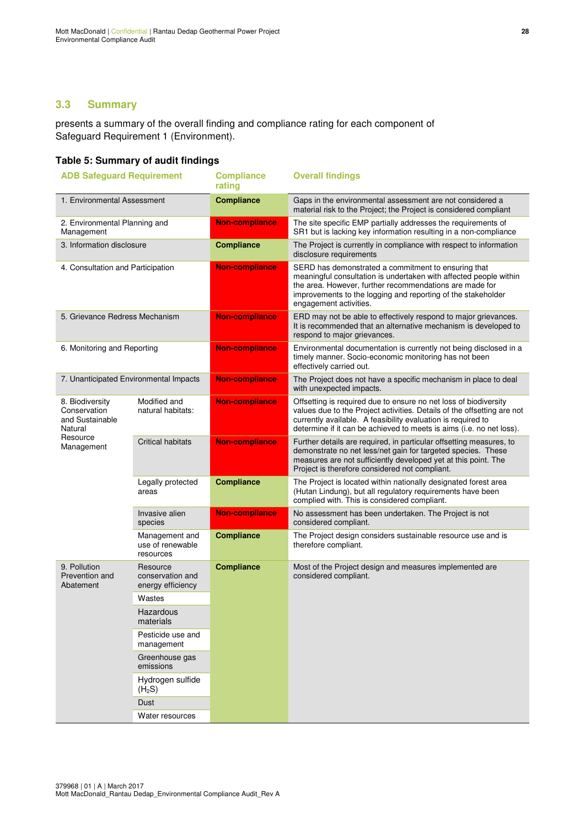## <span id="page-35-0"></span>**3.3 Summary**

presents a summary of the overall finding and compliance rating for each component of Safeguard Requirement 1 (Environment).

## **Table 5: Summary of audit findings**

| <b>ADB Safeguard Requirement</b>                              |                                                   | <b>Compliance</b><br>rating | <b>Overall findings</b>                                                                                                                                                                                                                                                             |
|---------------------------------------------------------------|---------------------------------------------------|-----------------------------|-------------------------------------------------------------------------------------------------------------------------------------------------------------------------------------------------------------------------------------------------------------------------------------|
| 1. Environmental Assessment                                   |                                                   | <b>Compliance</b>           | Gaps in the environmental assessment are not considered a<br>material risk to the Project; the Project is considered compliant                                                                                                                                                      |
| 2. Environmental Planning and<br>Management                   |                                                   | <b>Non-compliance</b>       | The site specific EMP partially addresses the requirements of<br>SR1 but is lacking key information resulting in a non-compliance                                                                                                                                                   |
| 3. Information disclosure                                     |                                                   | <b>Compliance</b>           | The Project is currently in compliance with respect to information<br>disclosure requirements                                                                                                                                                                                       |
| 4. Consultation and Participation                             |                                                   | <b>Non-compliance</b>       | SERD has demonstrated a commitment to ensuring that<br>meaningful consultation is undertaken with affected people within<br>the area. However, further recommendations are made for<br>improvements to the logging and reporting of the stakeholder<br>engagement activities.       |
| 5. Grievance Redress Mechanism                                |                                                   | <b>Non-compliance</b>       | ERD may not be able to effectively respond to major grievances.<br>It is recommended that an alternative mechanism is developed to<br>respond to major grievances.                                                                                                                  |
| 6. Monitoring and Reporting                                   |                                                   | <b>Non-compliance</b>       | Environmental documentation is currently not being disclosed in a<br>timely manner. Socio-economic monitoring has not been<br>effectively carried out.                                                                                                                              |
|                                                               | 7. Unanticipated Environmental Impacts            | <b>Non-compliance</b>       | The Project does not have a specific mechanism in place to deal<br>with unexpected impacts.                                                                                                                                                                                         |
| 8. Biodiversity<br>Conservation<br>and Sustainable<br>Natural | Modified and<br>natural habitats:                 | <b>Non-compliance</b>       | Offsetting is required due to ensure no net loss of biodiversity<br>values due to the Project activities. Details of the offsetting are not<br>currently available. A feasibility evaluation is required to<br>determine if it can be achieved to meets is aims (i.e. no net loss). |
| Resource<br>Management                                        | <b>Critical habitats</b>                          | Non-compliance              | Further details are required, in particular offsetting measures, to<br>demonstrate no net less/net gain for targeted species. These<br>measures are not sufficiently developed yet at this point. The<br>Project is therefore considered not compliant.                             |
|                                                               | Legally protected<br>areas                        | <b>Compliance</b>           | The Project is located within nationally designated forest area<br>(Hutan Lindung), but all regulatory requirements have been<br>complied with. This is considered compliant.                                                                                                       |
|                                                               | Invasive alien<br>species                         | <b>Non-compliance</b>       | No assessment has been undertaken. The Project is not<br>considered compliant.                                                                                                                                                                                                      |
|                                                               | Management and<br>use of renewable<br>resources   | <b>Compliance</b>           | The Project design considers sustainable resource use and is<br>therefore compliant.                                                                                                                                                                                                |
| 9. Pollution<br>Prevention and<br>Abatement                   | Resource<br>conservation and<br>energy efficiency | <b>Compliance</b>           | Most of the Project design and measures implemented are<br>considered compliant.                                                                                                                                                                                                    |
|                                                               | Wastes                                            |                             |                                                                                                                                                                                                                                                                                     |
|                                                               | Hazardous<br>materials                            |                             |                                                                                                                                                                                                                                                                                     |
|                                                               | Pesticide use and<br>management                   |                             |                                                                                                                                                                                                                                                                                     |
|                                                               | Greenhouse gas<br>emissions                       |                             |                                                                                                                                                                                                                                                                                     |
|                                                               | Hydrogen sulfide<br>(H <sub>2</sub> S)            |                             |                                                                                                                                                                                                                                                                                     |
|                                                               | Dust                                              |                             |                                                                                                                                                                                                                                                                                     |
|                                                               | Water resources                                   |                             |                                                                                                                                                                                                                                                                                     |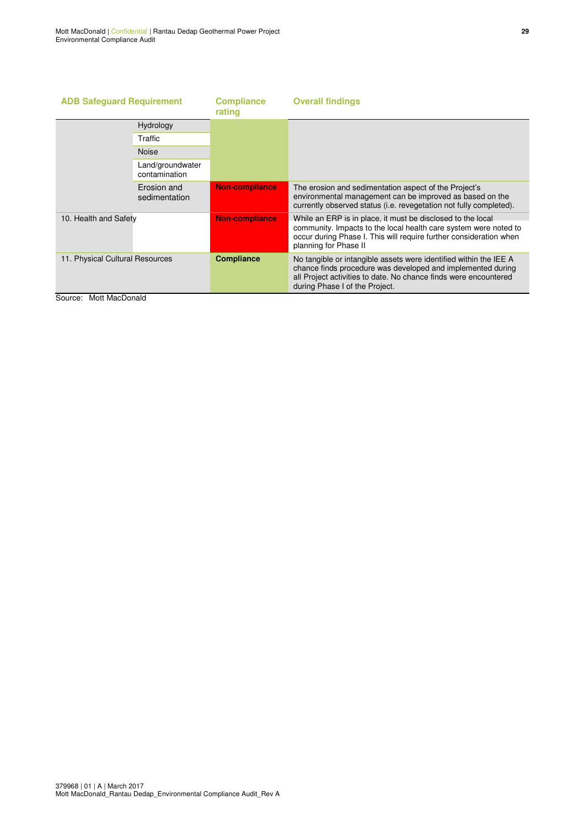| <b>ADB Safequard Requirement</b> |                                   | <b>Compliance</b><br>rating | <b>Overall findings</b>                                                                                                                                                                                                                |
|----------------------------------|-----------------------------------|-----------------------------|----------------------------------------------------------------------------------------------------------------------------------------------------------------------------------------------------------------------------------------|
|                                  | Hydrology                         |                             |                                                                                                                                                                                                                                        |
|                                  | Traffic                           |                             |                                                                                                                                                                                                                                        |
|                                  | <b>Noise</b>                      |                             |                                                                                                                                                                                                                                        |
|                                  | Land/groundwater<br>contamination |                             |                                                                                                                                                                                                                                        |
|                                  | Erosion and<br>sedimentation      | Non-compliance              | The erosion and sedimentation aspect of the Project's<br>environmental management can be improved as based on the<br>currently observed status ( <i>i.e.</i> revegetation not fully completed).                                        |
| 10. Health and Safety            |                                   | <b>Non-compliance</b>       | While an ERP is in place, it must be disclosed to the local<br>community. Impacts to the local health care system were noted to<br>occur during Phase I. This will require further consideration when<br>planning for Phase II         |
| 11. Physical Cultural Resources  |                                   | <b>Compliance</b>           | No tangible or intangible assets were identified within the IEE A<br>chance finds procedure was developed and implemented during<br>all Project activities to date. No chance finds were encountered<br>during Phase I of the Project. |

Source: Mott MacDonald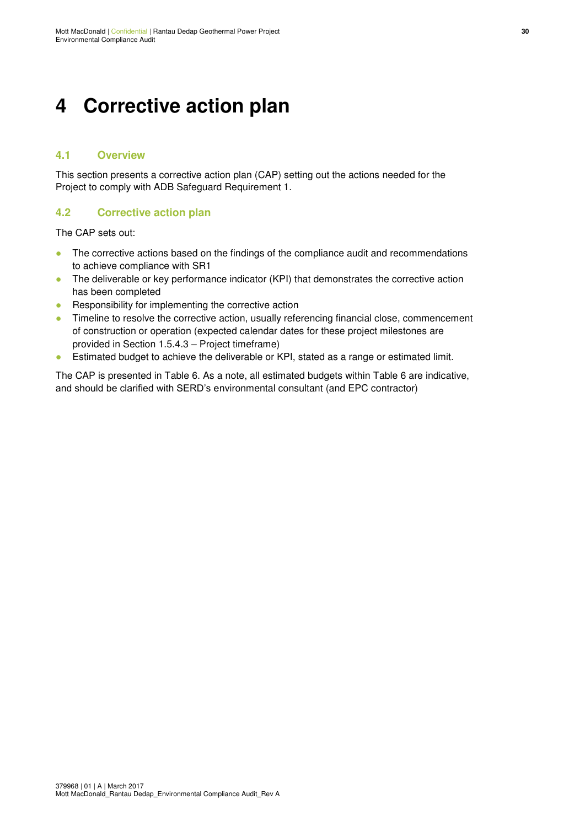## <span id="page-37-0"></span>**4 Corrective action plan**

## <span id="page-37-1"></span>**4.1 Overview**

This section presents a corrective action plan (CAP) setting out the actions needed for the Project to comply with ADB Safeguard Requirement 1.

## <span id="page-37-2"></span>**4.2 Corrective action plan**

The CAP sets out:

- The corrective actions based on the findings of the compliance audit and recommendations to achieve compliance with SR1
- The deliverable or key performance indicator (KPI) that demonstrates the corrective action has been completed
- Responsibility for implementing the corrective action
- Timeline to resolve the corrective action, usually referencing financial close, commencement of construction or operation (expected calendar dates for these project milestones are provided in Section [1.5.4.3](#page-16-0) – Project timeframe)
- Estimated budget to achieve the deliverable or KPI, stated as a range or estimated limit.

The CAP is presented in [Table 6.](#page-38-0) As a note, all estimated budgets within [Table 6](#page-38-0) are indicative, and should be clarified with SERD's environmental consultant (and EPC contractor)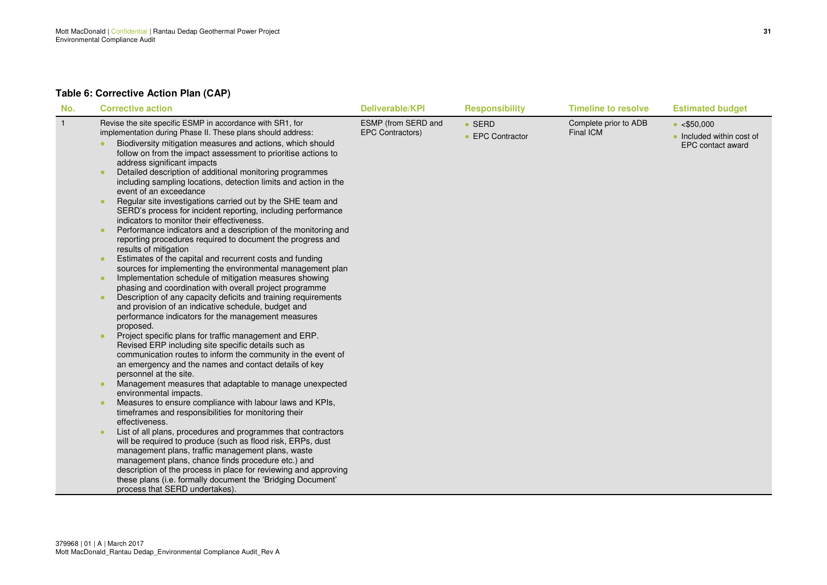## **Table 6: Corrective Action Plan (CAP)**

<span id="page-38-0"></span>

| Revise the site specific ESMP in accordance with SR1, for<br>ESMP (from SERD and<br>$\mathbf{1}$<br>Complete prior to ADB<br>$\bullet$ SERD<br>$\bullet$ <\$50,000<br>implementation during Phase II. These plans should address:<br><b>EPC Contractors)</b><br>Final ICM<br>• EPC Contractor<br>• Included within cost of<br>Biodiversity mitigation measures and actions, which should<br>EPC contact award<br>follow on from the impact assessment to prioritise actions to<br>address significant impacts<br>Detailed description of additional monitoring programmes<br>including sampling locations, detection limits and action in the<br>event of an exceedance<br>Regular site investigations carried out by the SHE team and<br>SERD's process for incident reporting, including performance<br>indicators to monitor their effectiveness.<br>Performance indicators and a description of the monitoring and<br>reporting procedures required to document the progress and<br>results of mitigation<br>Estimates of the capital and recurrent costs and funding<br>sources for implementing the environmental management plan<br>Implementation schedule of mitigation measures showing<br>phasing and coordination with overall project programme<br>Description of any capacity deficits and training requirements<br>and provision of an indicative schedule, budget and<br>performance indicators for the management measures<br>proposed.<br>Project specific plans for traffic management and ERP.<br>Revised ERP including site specific details such as<br>communication routes to inform the community in the event of<br>an emergency and the names and contact details of key<br>personnel at the site.<br>Management measures that adaptable to manage unexpected<br>environmental impacts.<br>Measures to ensure compliance with labour laws and KPIs,<br>timeframes and responsibilities for monitoring their<br>effectiveness.<br>List of all plans, procedures and programmes that contractors<br>will be required to produce (such as flood risk, ERPs, dust<br>management plans, traffic management plans, waste<br>management plans, chance finds procedure etc.) and<br>description of the process in place for reviewing and approving |
|-----------------------------------------------------------------------------------------------------------------------------------------------------------------------------------------------------------------------------------------------------------------------------------------------------------------------------------------------------------------------------------------------------------------------------------------------------------------------------------------------------------------------------------------------------------------------------------------------------------------------------------------------------------------------------------------------------------------------------------------------------------------------------------------------------------------------------------------------------------------------------------------------------------------------------------------------------------------------------------------------------------------------------------------------------------------------------------------------------------------------------------------------------------------------------------------------------------------------------------------------------------------------------------------------------------------------------------------------------------------------------------------------------------------------------------------------------------------------------------------------------------------------------------------------------------------------------------------------------------------------------------------------------------------------------------------------------------------------------------------------------------------------------------------------------------------------------------------------------------------------------------------------------------------------------------------------------------------------------------------------------------------------------------------------------------------------------------------------------------------------------------------------------------------------------------------------------------------------------------------------------------------------|
| these plans (i.e. formally document the 'Bridging Document'                                                                                                                                                                                                                                                                                                                                                                                                                                                                                                                                                                                                                                                                                                                                                                                                                                                                                                                                                                                                                                                                                                                                                                                                                                                                                                                                                                                                                                                                                                                                                                                                                                                                                                                                                                                                                                                                                                                                                                                                                                                                                                                                                                                                           |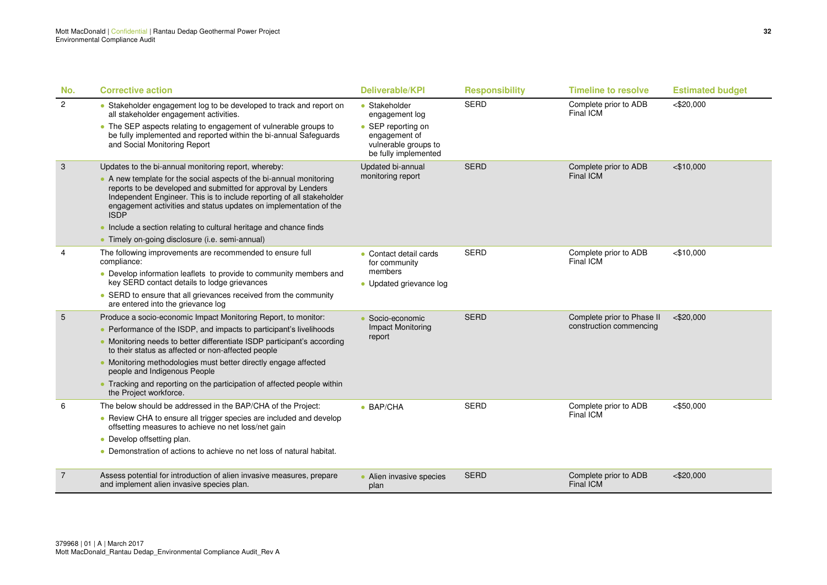| No.            | <b>Corrective action</b>                                                                                                                                                                                                                                                                          | <b>Deliverable/KPI</b>                                                              | <b>Responsibility</b> | <b>Timeline to resolve</b>                            | <b>Estimated budget</b> |
|----------------|---------------------------------------------------------------------------------------------------------------------------------------------------------------------------------------------------------------------------------------------------------------------------------------------------|-------------------------------------------------------------------------------------|-----------------------|-------------------------------------------------------|-------------------------|
| $\overline{2}$ | • Stakeholder engagement log to be developed to track and report on<br>all stakeholder engagement activities.                                                                                                                                                                                     | • Stakeholder<br>engagement log                                                     | <b>SERD</b>           | Complete prior to ADB<br>Final ICM                    | $<$ \$20,000            |
|                | • The SEP aspects relating to engagement of vulnerable groups to<br>be fully implemented and reported within the bi-annual Safeguards<br>and Social Monitoring Report                                                                                                                             | • SEP reporting on<br>engagement of<br>vulnerable groups to<br>be fully implemented |                       |                                                       |                         |
| $\mathbf{3}$   | Updates to the bi-annual monitoring report, whereby:                                                                                                                                                                                                                                              | Updated bi-annual                                                                   | <b>SERD</b>           | Complete prior to ADB                                 | $<$ \$10,000            |
|                | • A new template for the social aspects of the bi-annual monitoring<br>reports to be developed and submitted for approval by Lenders<br>Independent Engineer. This is to include reporting of all stakeholder<br>engagement activities and status updates on implementation of the<br><b>ISDP</b> | monitoring report                                                                   |                       | Final ICM                                             |                         |
|                | • Include a section relating to cultural heritage and chance finds                                                                                                                                                                                                                                |                                                                                     |                       |                                                       |                         |
|                | • Timely on-going disclosure (i.e. semi-annual)                                                                                                                                                                                                                                                   |                                                                                     |                       |                                                       |                         |
| 4              | The following improvements are recommended to ensure full<br>compliance:                                                                                                                                                                                                                          | • Contact detail cards<br>for community<br>members<br>• Updated grievance log       | <b>SERD</b>           | Complete prior to ADB<br>Final ICM                    | $<$ \$10,000            |
|                | • Develop information leaflets to provide to community members and<br>key SERD contact details to lodge grievances                                                                                                                                                                                |                                                                                     |                       |                                                       |                         |
|                | • SERD to ensure that all grievances received from the community<br>are entered into the grievance log                                                                                                                                                                                            |                                                                                     |                       |                                                       |                         |
| 5              | Produce a socio-economic Impact Monitoring Report, to monitor:                                                                                                                                                                                                                                    | Socio-economic<br><b>Impact Monitoring</b><br>report                                | <b>SERD</b>           | Complete prior to Phase II<br>construction commencing | $<$ \$20,000            |
|                | • Performance of the ISDP, and impacts to participant's livelihoods                                                                                                                                                                                                                               |                                                                                     |                       |                                                       |                         |
|                | • Monitoring needs to better differentiate ISDP participant's according<br>to their status as affected or non-affected people                                                                                                                                                                     |                                                                                     |                       |                                                       |                         |
|                | • Monitoring methodologies must better directly engage affected<br>people and Indigenous People                                                                                                                                                                                                   |                                                                                     |                       |                                                       |                         |
|                | • Tracking and reporting on the participation of affected people within<br>the Project workforce.                                                                                                                                                                                                 |                                                                                     |                       |                                                       |                         |
| 6              | The below should be addressed in the BAP/CHA of the Project:                                                                                                                                                                                                                                      | • BAP/CHA                                                                           | <b>SERD</b>           | Complete prior to ADB<br>Final ICM                    | $<$ \$50,000            |
|                | • Review CHA to ensure all trigger species are included and develop<br>offsetting measures to achieve no net loss/net gain                                                                                                                                                                        |                                                                                     |                       |                                                       |                         |
|                | • Develop offsetting plan.                                                                                                                                                                                                                                                                        |                                                                                     |                       |                                                       |                         |
|                | • Demonstration of actions to achieve no net loss of natural habitat.                                                                                                                                                                                                                             |                                                                                     |                       |                                                       |                         |
| $\overline{7}$ | Assess potential for introduction of alien invasive measures, prepare<br>and implement alien invasive species plan.                                                                                                                                                                               | • Alien invasive species<br>plan                                                    | <b>SERD</b>           | Complete prior to ADB<br>Final ICM                    | $<$ \$20,000            |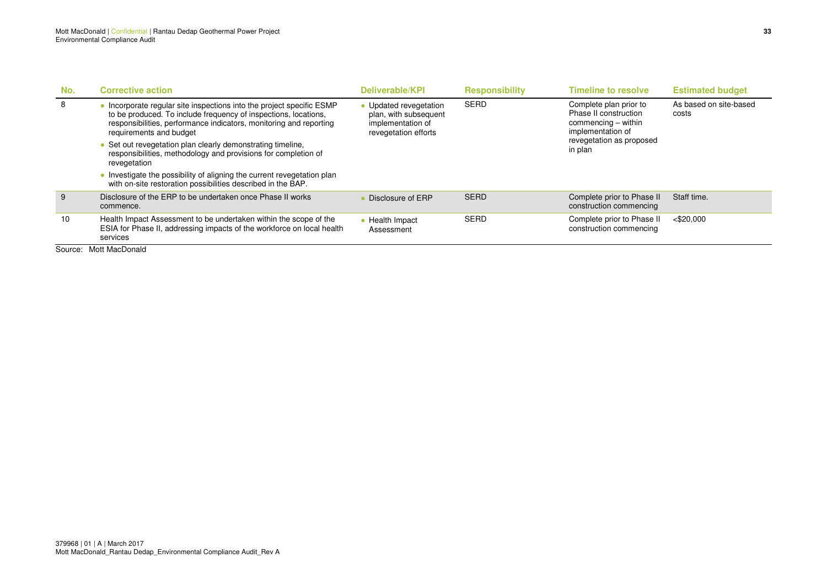| No. | <b>Corrective action</b>                                                                                                                                                                                                                | <b>Deliverable/KPI</b>                                                                       | <b>Responsibility</b> | <b>Timeline to resolve</b>                                                                  | <b>Estimated budget</b>         |
|-----|-----------------------------------------------------------------------------------------------------------------------------------------------------------------------------------------------------------------------------------------|----------------------------------------------------------------------------------------------|-----------------------|---------------------------------------------------------------------------------------------|---------------------------------|
| 8   | Incorporate regular site inspections into the project specific ESMP<br>to be produced. To include frequency of inspections, locations,<br>responsibilities, performance indicators, monitoring and reporting<br>requirements and budget | • Updated revegetation<br>plan, with subsequent<br>implementation of<br>revegetation efforts | <b>SERD</b>           | Complete plan prior to<br>Phase II construction<br>commencing - within<br>implementation of | As based on site-based<br>costs |
|     | Set out revegetation plan clearly demonstrating timeline,<br>responsibilities, methodology and provisions for completion of<br>revegetation                                                                                             |                                                                                              |                       | revegetation as proposed<br>in plan                                                         |                                 |
|     | • Investigate the possibility of aligning the current revegetation plan<br>with on-site restoration possibilities described in the BAP.                                                                                                 |                                                                                              |                       |                                                                                             |                                 |
| 9   | Disclosure of the ERP to be undertaken once Phase II works<br>commence.                                                                                                                                                                 | Disclosure of ERP                                                                            | <b>SERD</b>           | Complete prior to Phase II<br>construction commencing                                       | Staff time.                     |
| 10  | Health Impact Assessment to be undertaken within the scope of the<br>ESIA for Phase II, addressing impacts of the workforce on local health<br>services                                                                                 | • Health Impact<br>Assessment                                                                | <b>SERD</b>           | Complete prior to Phase II<br>construction commencing                                       | $<$ \$20,000                    |
|     | Course Matt MooDonald                                                                                                                                                                                                                   |                                                                                              |                       |                                                                                             |                                 |

Source: Mott MacDonald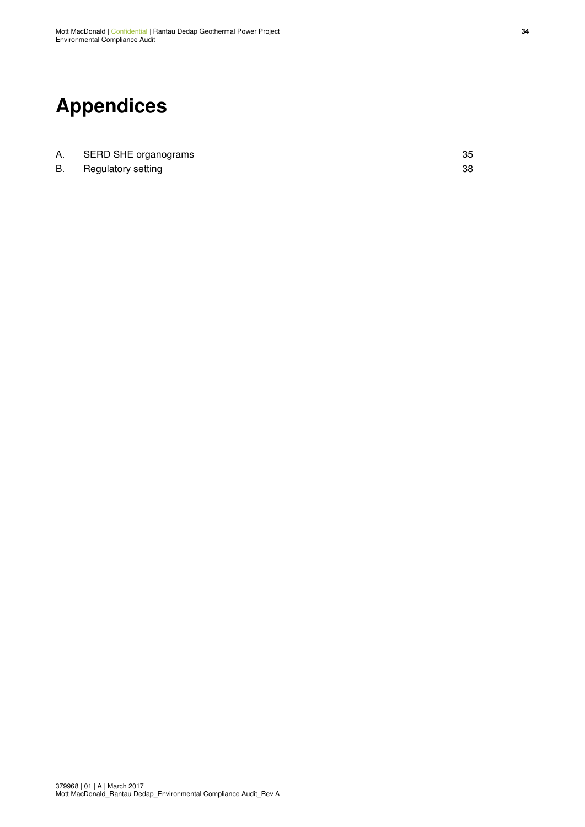# <span id="page-41-0"></span>**Appendices**

- A. [SERD SHE organograms 35](#page-42-0)
- B. [Regulatory setting 38](#page-45-0)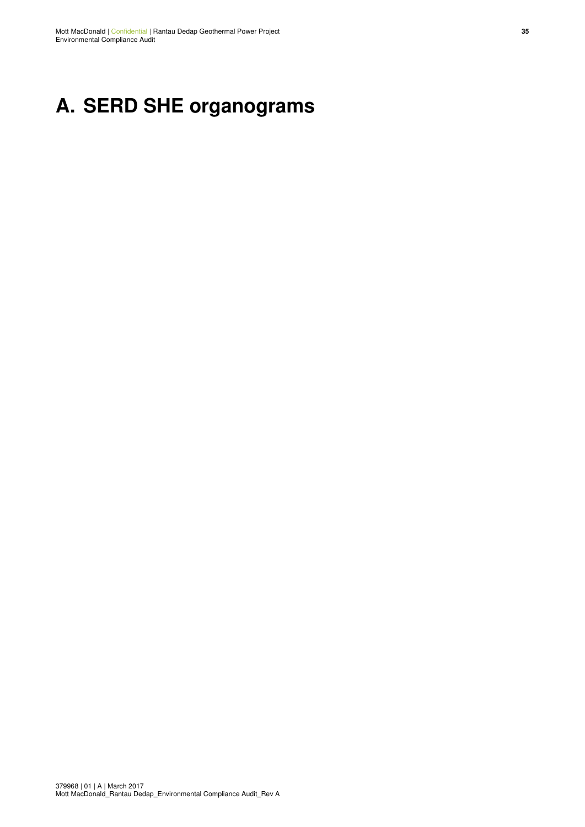# <span id="page-42-0"></span>**A. SERD SHE organograms**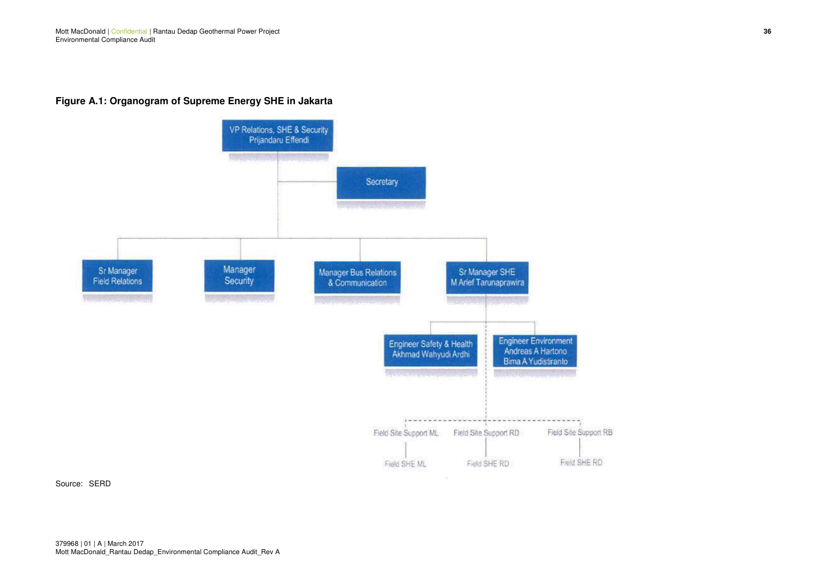#### **Figure A.1: Organogram of Supreme Energy SHE in Jakarta**



Source: SERD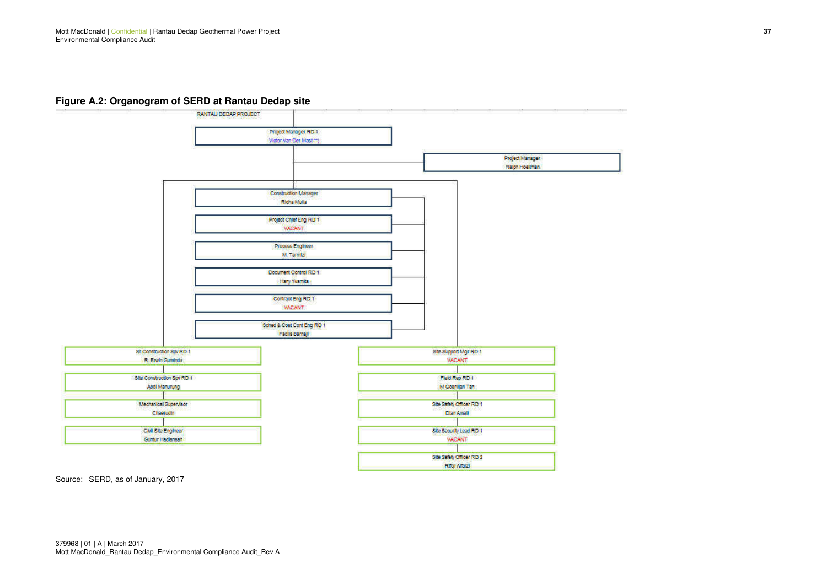#### **Figure A.2: Organogram of SERD at Rantau Dedap site**



Source: SERD, as of January, 2017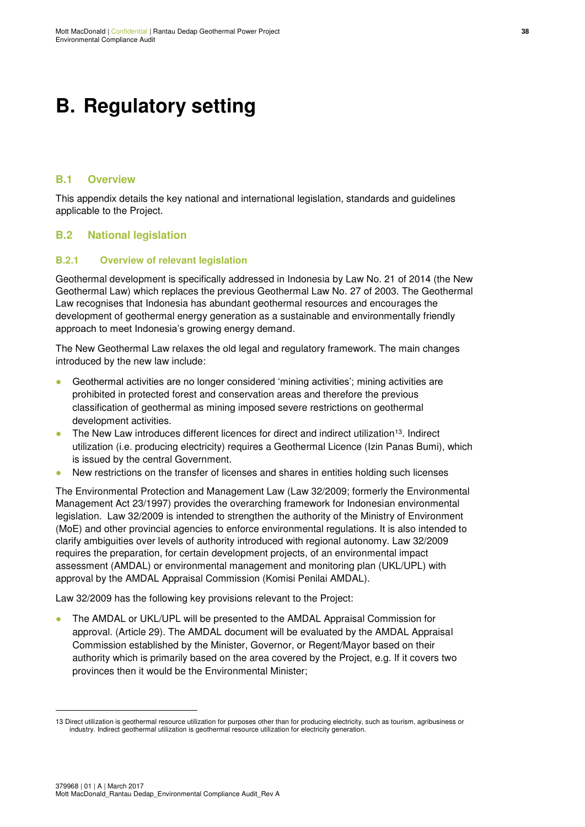# <span id="page-45-3"></span><span id="page-45-0"></span>**B. Regulatory setting**

#### <span id="page-45-1"></span>**B.1 Overview**

This appendix details the key national and international legislation, standards and guidelines applicable to the Project.

#### <span id="page-45-2"></span>**B.2 National legislation**

#### **B.2.1 Overview of relevant legislation**

Geothermal development is specifically addressed in Indonesia by Law No. 21 of 2014 (the New Geothermal Law) which replaces the previous Geothermal Law No. 27 of 2003. The Geothermal Law recognises that Indonesia has abundant geothermal resources and encourages the development of geothermal energy generation as a sustainable and environmentally friendly approach to meet Indonesia's growing energy demand.

The New Geothermal Law relaxes the old legal and regulatory framework. The main changes introduced by the new law include:

- Geothermal activities are no longer considered 'mining activities'; mining activities are prohibited in protected forest and conservation areas and therefore the previous classification of geothermal as mining imposed severe restrictions on geothermal development activities.
- The New Law introduces different licences for direct and indirect utilization<sup>13</sup>. Indirect utilization (i.e. producing electricity) requires a Geothermal Licence (Izin Panas Bumi), which is issued by the central Government.
- New restrictions on the transfer of licenses and shares in entities holding such licenses

The Environmental Protection and Management Law (Law 32/2009; formerly the Environmental Management Act 23/1997) provides the overarching framework for Indonesian environmental legislation. Law 32/2009 is intended to strengthen the authority of the Ministry of Environment (MoE) and other provincial agencies to enforce environmental regulations. It is also intended to clarify ambiguities over levels of authority introduced with regional autonomy. Law 32/2009 requires the preparation, for certain development projects, of an environmental impact assessment (AMDAL) or environmental management and monitoring plan (UKL/UPL) with approval by the AMDAL Appraisal Commission (Komisi Penilai AMDAL).

Law 32/2009 has the following key provisions relevant to the Project:

● The AMDAL or UKL/UPL will be presented to the AMDAL Appraisal Commission for approval. (Article 29). The AMDAL document will be evaluated by the AMDAL Appraisal Commission established by the Minister, Governor, or Regent/Mayor based on their authority which is primarily based on the area covered by the Project, e.g. If it covers two provinces then it would be the Environmental Minister;

<sup>13</sup> Direct utilization is geothermal resource utilization for purposes other than for producing electricity, such as tourism, agribusiness or industry. Indirect geothermal utilization is geothermal resource utilization for electricity generation.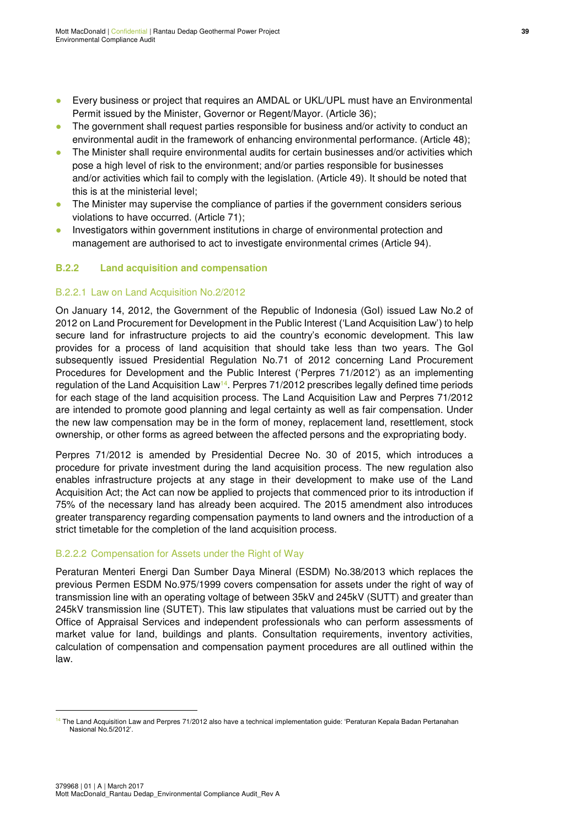- Every business or project that requires an AMDAL or UKL/UPL must have an Environmental Permit issued by the Minister, Governor or Regent/Mayor. (Article 36);
- The government shall request parties responsible for business and/or activity to conduct an environmental audit in the framework of enhancing environmental performance. (Article 48);
- The Minister shall require environmental audits for certain businesses and/or activities which pose a high level of risk to the environment; and/or parties responsible for businesses and/or activities which fail to comply with the legislation. (Article 49). It should be noted that this is at the ministerial level;
- The Minister may supervise the compliance of parties if the government considers serious violations to have occurred. (Article 71);
- Investigators within government institutions in charge of environmental protection and management are authorised to act to investigate environmental crimes (Article 94).

## **B.2.2 Land acquisition and compensation**

#### B.2.2.1 Law on Land Acquisition No.2/2012

On January 14, 2012, the Government of the Republic of Indonesia (GoI) issued Law No.2 of 2012 on Land Procurement for Development in the Public Interest ('Land Acquisition Law') to help secure land for infrastructure projects to aid the country's economic development. This law provides for a process of land acquisition that should take less than two years. The GoI subsequently issued Presidential Regulation No.71 of 2012 concerning Land Procurement Procedures for Development and the Public Interest ('Perpres 71/2012') as an implementing regulation of the Land Acquisition Law<sup>14</sup>. Perpres 71/2012 prescribes legally defined time periods for each stage of the land acquisition process. The Land Acquisition Law and Perpres 71/2012 are intended to promote good planning and legal certainty as well as fair compensation. Under the new law compensation may be in the form of money, replacement land, resettlement, stock ownership, or other forms as agreed between the affected persons and the expropriating body.

Perpres 71/2012 is amended by Presidential Decree No. 30 of 2015, which introduces a procedure for private investment during the land acquisition process. The new regulation also enables infrastructure projects at any stage in their development to make use of the Land Acquisition Act; the Act can now be applied to projects that commenced prior to its introduction if 75% of the necessary land has already been acquired. The 2015 amendment also introduces greater transparency regarding compensation payments to land owners and the introduction of a strict timetable for the completion of the land acquisition process.

#### B.2.2.2 Compensation for Assets under the Right of Way

Peraturan Menteri Energi Dan Sumber Daya Mineral (ESDM) No.38/2013 which replaces the previous Permen ESDM No.975/1999 covers compensation for assets under the right of way of transmission line with an operating voltage of between 35kV and 245kV (SUTT) and greater than 245kV transmission line (SUTET). This law stipulates that valuations must be carried out by the Office of Appraisal Services and independent professionals who can perform assessments of market value for land, buildings and plants. Consultation requirements, inventory activities, calculation of compensation and compensation payment procedures are all outlined within the law.

<sup>14</sup> The Land Acquisition Law and Perpres 71/2012 also have a technical implementation guide: 'Peraturan Kepala Badan Pertanahan Nasional No.5/2012'.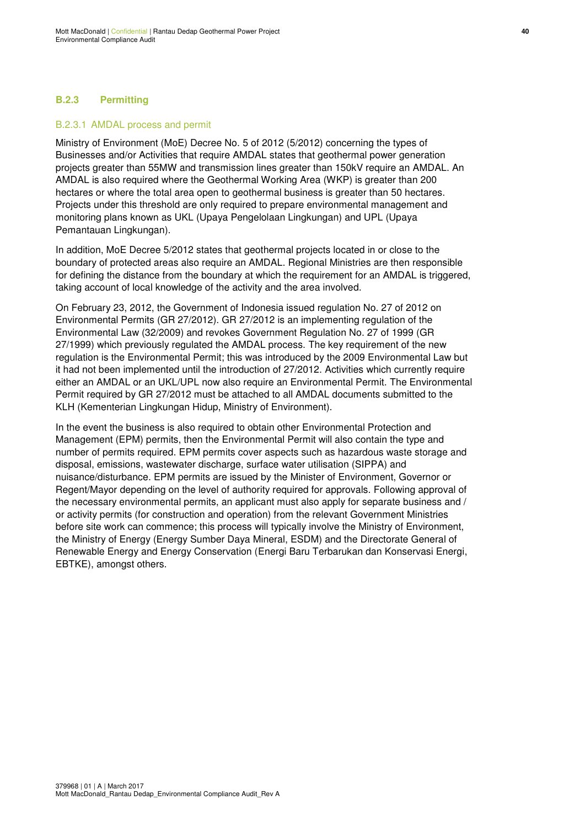#### **B.2.3 Permitting**

#### B.2.3.1 AMDAL process and permit

Ministry of Environment (MoE) Decree No. 5 of 2012 (5/2012) concerning the types of Businesses and/or Activities that require AMDAL states that geothermal power generation projects greater than 55MW and transmission lines greater than 150kV require an AMDAL. An AMDAL is also required where the Geothermal Working Area (WKP) is greater than 200 hectares or where the total area open to geothermal business is greater than 50 hectares. Projects under this threshold are only required to prepare environmental management and monitoring plans known as UKL (Upaya Pengelolaan Lingkungan) and UPL (Upaya Pemantauan Lingkungan).

In addition, MoE Decree 5/2012 states that geothermal projects located in or close to the boundary of protected areas also require an AMDAL. Regional Ministries are then responsible for defining the distance from the boundary at which the requirement for an AMDAL is triggered, taking account of local knowledge of the activity and the area involved.

On February 23, 2012, the Government of Indonesia issued regulation No. 27 of 2012 on Environmental Permits (GR 27/2012). GR 27/2012 is an implementing regulation of the Environmental Law (32/2009) and revokes Government Regulation No. 27 of 1999 (GR 27/1999) which previously regulated the AMDAL process. The key requirement of the new regulation is the Environmental Permit; this was introduced by the 2009 Environmental Law but it had not been implemented until the introduction of 27/2012. Activities which currently require either an AMDAL or an UKL/UPL now also require an Environmental Permit. The Environmental Permit required by GR 27/2012 must be attached to all AMDAL documents submitted to the KLH (Kementerian Lingkungan Hidup, Ministry of Environment).

In the event the business is also required to obtain other Environmental Protection and Management (EPM) permits, then the Environmental Permit will also contain the type and number of permits required. EPM permits cover aspects such as hazardous waste storage and disposal, emissions, wastewater discharge, surface water utilisation (SIPPA) and nuisance/disturbance. EPM permits are issued by the Minister of Environment, Governor or Regent/Mayor depending on the level of authority required for approvals. Following approval of the necessary environmental permits, an applicant must also apply for separate business and / or activity permits (for construction and operation) from the relevant Government Ministries before site work can commence; this process will typically involve the Ministry of Environment, the Ministry of Energy (Energy Sumber Daya Mineral, ESDM) and the Directorate General of Renewable Energy and Energy Conservation (Energi Baru Terbarukan dan Konservasi Energi, EBTKE), amongst others.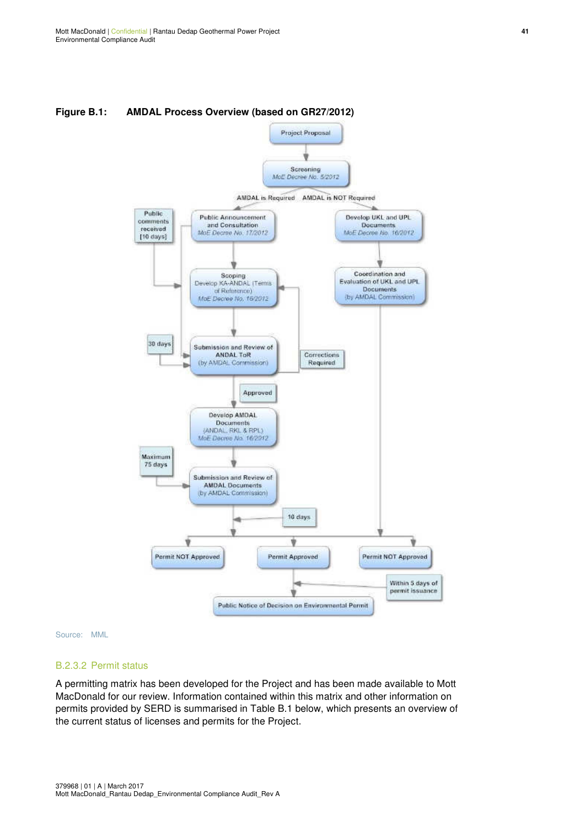



Source: MML

#### B.2.3.2 Permit status

A permitting matrix has been developed for the Project and has been made available to Mott MacDonald for our review. Information contained within this matrix and other information on permits provided by SERD is summarised in Table B.1 below, which presents an overview of the current status of licenses and permits for the Project.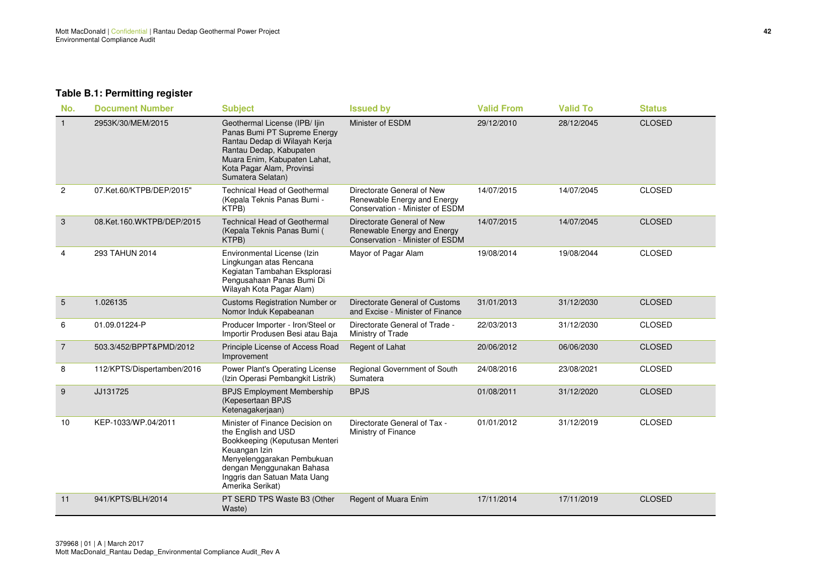## **Table B.1: Permitting register**

| No.            | <b>Document Number</b>     | <b>Subject</b>                                                                                                                                                                                                           | <b>Issued by</b>                                                                             | <b>Valid From</b> | <b>Valid To</b> | <b>Status</b> |
|----------------|----------------------------|--------------------------------------------------------------------------------------------------------------------------------------------------------------------------------------------------------------------------|----------------------------------------------------------------------------------------------|-------------------|-----------------|---------------|
| $\mathbf{1}$   | 2953K/30/MEM/2015          | Geothermal License (IPB/ Ijin<br>Panas Bumi PT Supreme Energy<br>Rantau Dedap di Wilayah Kerja<br>Rantau Dedap, Kabupaten<br>Muara Enim, Kabupaten Lahat,<br>Kota Pagar Alam, Provinsi<br>Sumatera Selatan)              | Minister of ESDM                                                                             | 29/12/2010        | 28/12/2045      | <b>CLOSED</b> |
| 2              | 07.Ket.60/KTPB/DEP/2015"   | <b>Technical Head of Geothermal</b><br>(Kepala Teknis Panas Bumi -<br>KTPB)                                                                                                                                              | Directorate General of New<br>Renewable Energy and Energy<br>Conservation - Minister of ESDM | 14/07/2015        | 14/07/2045      | <b>CLOSED</b> |
| 3              | 08.Ket.160.WKTPB/DEP/2015  | <b>Technical Head of Geothermal</b><br>(Kepala Teknis Panas Bumi (<br>KTPB)                                                                                                                                              | Directorate General of New<br>Renewable Energy and Energy<br>Conservation - Minister of ESDM | 14/07/2015        | 14/07/2045      | <b>CLOSED</b> |
| 4              | 293 TAHUN 2014             | Environmental License (Izin<br>Lingkungan atas Rencana<br>Kegiatan Tambahan Eksplorasi<br>Pengusahaan Panas Bumi Di<br>Wilayah Kota Pagar Alam)                                                                          | Mayor of Pagar Alam                                                                          | 19/08/2014        | 19/08/2044      | <b>CLOSED</b> |
| 5              | 1.026135                   | <b>Customs Registration Number or</b><br>Nomor Induk Kepabeanan                                                                                                                                                          | Directorate General of Customs<br>and Excise - Minister of Finance                           | 31/01/2013        | 31/12/2030      | <b>CLOSED</b> |
| 6              | 01.09.01224-P              | Producer Importer - Iron/Steel or<br>Importir Produsen Besi atau Baja                                                                                                                                                    | Directorate General of Trade -<br>Ministry of Trade                                          | 22/03/2013        | 31/12/2030      | <b>CLOSED</b> |
| $\overline{7}$ | 503.3/452/BPPT&PMD/2012    | Principle License of Access Road<br>Improvement                                                                                                                                                                          | Regent of Lahat                                                                              | 20/06/2012        | 06/06/2030      | <b>CLOSED</b> |
| 8              | 112/KPTS/Dispertamben/2016 | Power Plant's Operating License<br>(Izin Operasi Pembangkit Listrik)                                                                                                                                                     | Regional Government of South<br>Sumatera                                                     | 24/08/2016        | 23/08/2021      | <b>CLOSED</b> |
| 9              | JJ131725                   | <b>BPJS Employment Membership</b><br>(Kepesertaan BPJS<br>Ketenagakerjaan)                                                                                                                                               | <b>BPJS</b>                                                                                  | 01/08/2011        | 31/12/2020      | <b>CLOSED</b> |
| 10             | KEP-1033/WP.04/2011        | Minister of Finance Decision on<br>the English and USD<br>Bookkeeping (Keputusan Menteri<br>Keuangan Izin<br>Menyelenggarakan Pembukuan<br>dengan Menggunakan Bahasa<br>Inggris dan Satuan Mata Uang<br>Amerika Serikat) | Directorate General of Tax -<br>Ministry of Finance                                          | 01/01/2012        | 31/12/2019      | <b>CLOSED</b> |
| 11             | 941/KPTS/BLH/2014          | PT SERD TPS Waste B3 (Other<br>Waste)                                                                                                                                                                                    | Regent of Muara Enim                                                                         | 17/11/2014        | 17/11/2019      | <b>CLOSED</b> |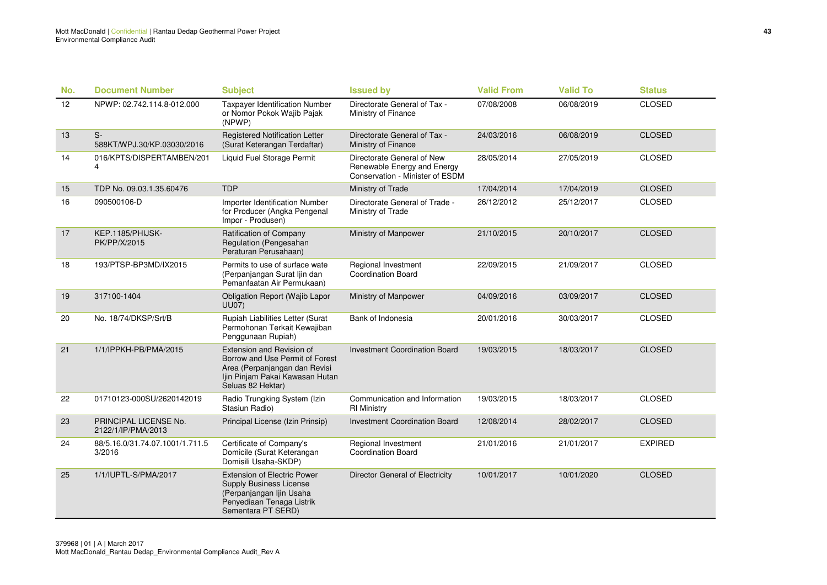| No. | <b>Document Number</b>                      | <b>Subject</b>                                                                                                                                        | <b>Issued by</b>                                                                             | <b>Valid From</b> | <b>Valid To</b> | <b>Status</b>  |
|-----|---------------------------------------------|-------------------------------------------------------------------------------------------------------------------------------------------------------|----------------------------------------------------------------------------------------------|-------------------|-----------------|----------------|
| 12  | NPWP: 02.742.114.8-012.000                  | <b>Taxpayer Identification Number</b><br>or Nomor Pokok Wajib Pajak<br>(NPWP)                                                                         | Directorate General of Tax -<br>Ministry of Finance                                          | 07/08/2008        | 06/08/2019      | <b>CLOSED</b>  |
| 13  | $S-$<br>588KT/WPJ.30/KP.03030/2016          | <b>Registered Notification Letter</b><br>(Surat Keterangan Terdaftar)                                                                                 | Directorate General of Tax -<br>Ministry of Finance                                          | 24/03/2016        | 06/08/2019      | <b>CLOSED</b>  |
| 14  | 016/KPTS/DISPERTAMBEN/201<br>4              | Liquid Fuel Storage Permit                                                                                                                            | Directorate General of New<br>Renewable Energy and Energy<br>Conservation - Minister of ESDM | 28/05/2014        | 27/05/2019      | <b>CLOSED</b>  |
| 15  | TDP No. 09.03.1.35.60476                    | <b>TDP</b>                                                                                                                                            | Ministry of Trade                                                                            | 17/04/2014        | 17/04/2019      | <b>CLOSED</b>  |
| 16  | 090500106-D                                 | Importer Identification Number<br>for Producer (Angka Pengenal<br>Impor - Produsen)                                                                   | Directorate General of Trade -<br>Ministry of Trade                                          | 26/12/2012        | 25/12/2017      | <b>CLOSED</b>  |
| 17  | KEP.1185/PHIJSK-<br>PK/PP/X/2015            | Ratification of Company<br>Regulation (Pengesahan<br>Peraturan Perusahaan)                                                                            | Ministry of Manpower                                                                         | 21/10/2015        | 20/10/2017      | <b>CLOSED</b>  |
| 18  | 193/PTSP-BP3MD/IX2015                       | Permits to use of surface wate<br>(Perpanjangan Surat Ijin dan<br>Pemanfaatan Air Permukaan)                                                          | Regional Investment<br><b>Coordination Board</b>                                             | 22/09/2015        | 21/09/2017      | <b>CLOSED</b>  |
| 19  | 317100-1404                                 | Obligation Report (Wajib Lapor<br><b>UU07)</b>                                                                                                        | Ministry of Manpower                                                                         | 04/09/2016        | 03/09/2017      | <b>CLOSED</b>  |
| 20  | No. 18/74/DKSP/Srt/B                        | Rupiah Liabilities Letter (Surat<br>Permohonan Terkait Kewajiban<br>Penggunaan Rupiah)                                                                | Bank of Indonesia                                                                            | 20/01/2016        | 30/03/2017      | <b>CLOSED</b>  |
| 21  | 1/1/IPPKH-PB/PMA/2015                       | Extension and Revision of<br>Borrow and Use Permit of Forest<br>Area (Perpanjangan dan Revisi<br>Ijin Pinjam Pakai Kawasan Hutan<br>Seluas 82 Hektar) | <b>Investment Coordination Board</b>                                                         | 19/03/2015        | 18/03/2017      | <b>CLOSED</b>  |
| 22  | 01710123-000SU/2620142019                   | Radio Trungking System (Izin<br>Stasiun Radio)                                                                                                        | Communication and Information<br><b>RI Ministry</b>                                          | 19/03/2015        | 18/03/2017      | <b>CLOSED</b>  |
| 23  | PRINCIPAL LICENSE No.<br>2122/1/IP/PMA/2013 | Principal License (Izin Prinsip)                                                                                                                      | <b>Investment Coordination Board</b>                                                         | 12/08/2014        | 28/02/2017      | <b>CLOSED</b>  |
| 24  | 88/5.16.0/31.74.07.1001/1.711.5<br>3/2016   | Certificate of Company's<br>Domicile (Surat Keterangan<br>Domisili Usaha-SKDP)                                                                        | Regional Investment<br><b>Coordination Board</b>                                             | 21/01/2016        | 21/01/2017      | <b>EXPIRED</b> |
| 25  | 1/1/IUPTL-S/PMA/2017                        | <b>Extension of Electric Power</b><br><b>Supply Business License</b><br>(Perpanjangan Ijin Usaha<br>Penyediaan Tenaga Listrik<br>Sementara PT SERD)   | Director General of Electricity                                                              | 10/01/2017        | 10/01/2020      | <b>CLOSED</b>  |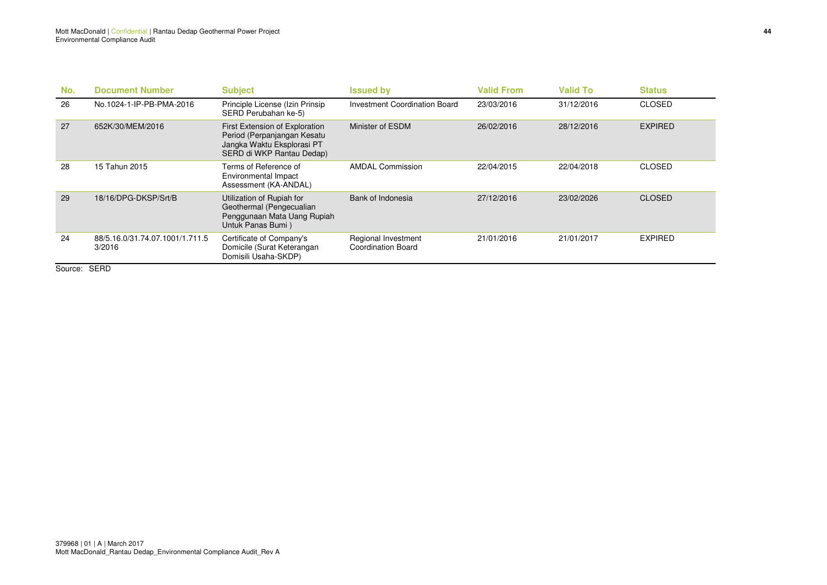| No. | <b>Document Number</b>                    | <b>Subject</b>                                                                                                           | <b>Issued by</b>                                 | <b>Valid From</b> | <b>Valid To</b> | <b>Status</b>  |
|-----|-------------------------------------------|--------------------------------------------------------------------------------------------------------------------------|--------------------------------------------------|-------------------|-----------------|----------------|
| 26  | No.1024-1-IP-PB-PMA-2016                  | Principle License (Izin Prinsip<br>SERD Perubahan ke-5)                                                                  | <b>Investment Coordination Board</b>             | 23/03/2016        | 31/12/2016      | <b>CLOSED</b>  |
| 27  | 652K/30/MEM/2016                          | First Extension of Exploration<br>Period (Perpanjangan Kesatu<br>Jangka Waktu Eksplorasi PT<br>SERD di WKP Rantau Dedap) | Minister of ESDM                                 | 26/02/2016        | 28/12/2016      | <b>EXPIRED</b> |
| 28  | 15 Tahun 2015                             | Terms of Reference of<br>Environmental Impact<br>Assessment (KA-ANDAL)                                                   | <b>AMDAL Commission</b>                          | 22/04/2015        | 22/04/2018      | <b>CLOSED</b>  |
| 29  | 18/16/DPG-DKSP/Srt/B                      | Utilization of Rupiah for<br>Geothermal (Pengecualian<br>Penggunaan Mata Uang Rupiah<br>Untuk Panas Bumi)                | Bank of Indonesia                                | 27/12/2016        | 23/02/2026      | <b>CLOSED</b>  |
| 24  | 88/5.16.0/31.74.07.1001/1.711.5<br>3/2016 | Certificate of Company's<br>Domicile (Surat Keterangan<br>Domisili Usaha-SKDP)                                           | Regional Investment<br><b>Coordination Board</b> | 21/01/2016        | 21/01/2017      | <b>EXPIRED</b> |

Source: SERD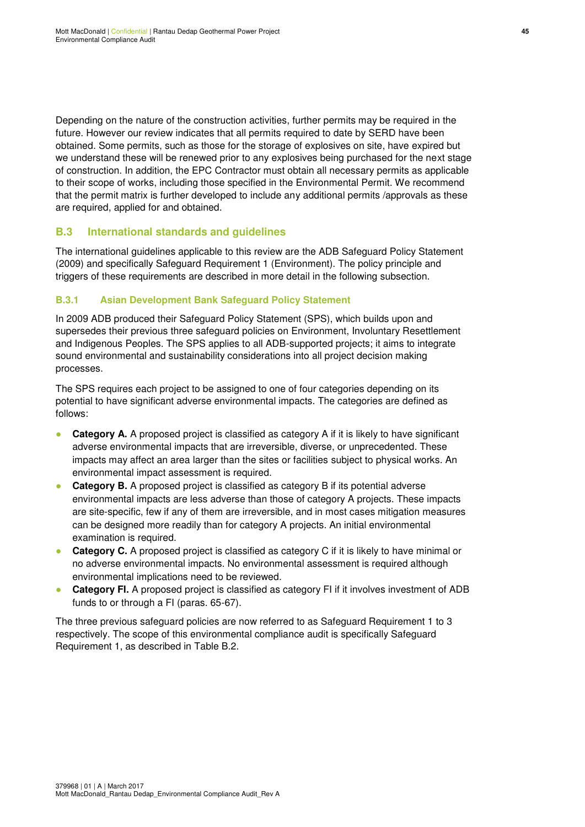Depending on the nature of the construction activities, further permits may be required in the future. However our review indicates that all permits required to date by SERD have been obtained. Some permits, such as those for the storage of explosives on site, have expired but we understand these will be renewed prior to any explosives being purchased for the next stage of construction. In addition, the EPC Contractor must obtain all necessary permits as applicable to their scope of works, including those specified in the Environmental Permit. We recommend that the permit matrix is further developed to include any additional permits /approvals as these are required, applied for and obtained.

## <span id="page-52-0"></span>**B.3 International standards and guidelines**

The international guidelines applicable to this review are the ADB Safeguard Policy Statement (2009) and specifically Safeguard Requirement 1 (Environment). The policy principle and triggers of these requirements are described in more detail in the following subsection.

## **B.3.1 Asian Development Bank Safeguard Policy Statement**

In 2009 ADB produced their Safeguard Policy Statement (SPS), which builds upon and supersedes their previous three safeguard policies on Environment, Involuntary Resettlement and Indigenous Peoples. The SPS applies to all ADB-supported projects; it aims to integrate sound environmental and sustainability considerations into all project decision making processes.

The SPS requires each project to be assigned to one of four categories depending on its potential to have significant adverse environmental impacts. The categories are defined as follows:

- **Category A.** A proposed project is classified as category A if it is likely to have significant adverse environmental impacts that are irreversible, diverse, or unprecedented. These impacts may affect an area larger than the sites or facilities subject to physical works. An environmental impact assessment is required.
- **Category B.** A proposed project is classified as category B if its potential adverse environmental impacts are less adverse than those of category A projects. These impacts are site-specific, few if any of them are irreversible, and in most cases mitigation measures can be designed more readily than for category A projects. An initial environmental examination is required.
- **Category C.** A proposed project is classified as category C if it is likely to have minimal or no adverse environmental impacts. No environmental assessment is required although environmental implications need to be reviewed.
- **Category FI.** A proposed project is classified as category FI if it involves investment of ADB funds to or through a FI (paras. 65-67).

The three previous safeguard policies are now referred to as Safeguard Requirement 1 to 3 respectively. The scope of this environmental compliance audit is specifically Safeguard Requirement 1, as described in Table B.2.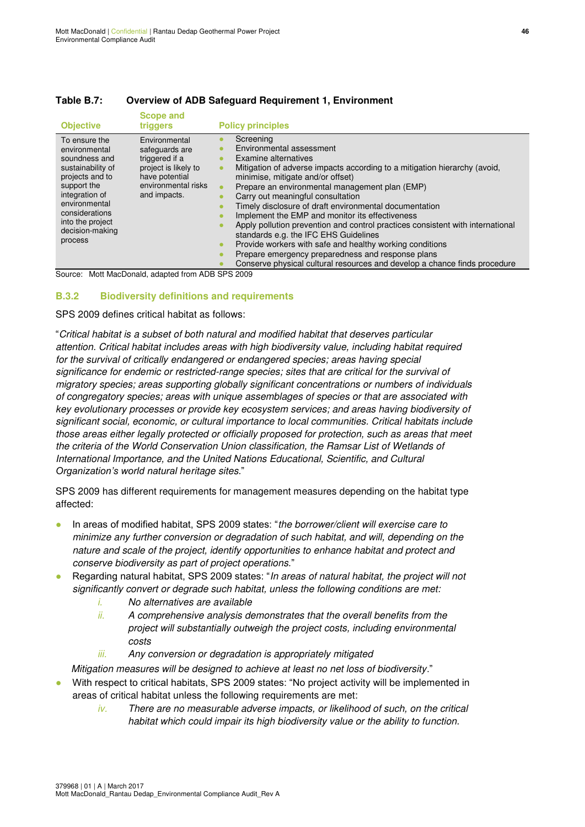| <b>Objective</b>                                                                                                                                                                                              | <b>Scope and</b><br><b>triggers</b>                                                                                                | <b>Policy principles</b>                                                                                                                                                                                                                                                                                                                                                                                                                                                                                                                                                                                                                                                                                                  |
|---------------------------------------------------------------------------------------------------------------------------------------------------------------------------------------------------------------|------------------------------------------------------------------------------------------------------------------------------------|---------------------------------------------------------------------------------------------------------------------------------------------------------------------------------------------------------------------------------------------------------------------------------------------------------------------------------------------------------------------------------------------------------------------------------------------------------------------------------------------------------------------------------------------------------------------------------------------------------------------------------------------------------------------------------------------------------------------------|
| To ensure the<br>environmental<br>soundness and<br>sustainability of<br>projects and to<br>support the<br>integration of<br>environmental<br>considerations<br>into the project<br>decision-making<br>process | Environmental<br>safeguards are<br>triggered if a<br>project is likely to<br>have potential<br>environmental risks<br>and impacts. | Screening<br>Environmental assessment<br>Examine alternatives<br>Mitigation of adverse impacts according to a mitigation hierarchy (avoid,<br>$\bullet$<br>minimise, mitigate and/or offset)<br>Prepare an environmental management plan (EMP)<br>Carry out meaningful consultation<br>Timely disclosure of draft environmental documentation<br>Implement the EMP and monitor its effectiveness<br>Apply pollution prevention and control practices consistent with international<br>standards e.g. the IFC EHS Guidelines<br>Provide workers with safe and healthy working conditions<br>Prepare emergency preparedness and response plans<br>Conserve physical cultural resources and develop a chance finds procedure |

## **Table B.7: Overview of ADB Safeguard Requirement 1, Environment**

Source: Mott MacDonald, adapted from ADB SPS 2009

#### **B.3.2 Biodiversity definitions and requirements**

SPS 2009 defines critical habitat as follows:

"*Critical habitat is a subset of both natural and modified habitat that deserves particular attention. Critical habitat includes areas with high biodiversity value, including habitat required for the survival of critically endangered or endangered species; areas having special significance for endemic or restricted-range species; sites that are critical for the survival of migratory species; areas supporting globally significant concentrations or numbers of individuals of congregatory species; areas with unique assemblages of species or that are associated with key evolutionary processes or provide key ecosystem services; and areas having biodiversity of significant social, economic, or cultural importance to local communities. Critical habitats include those areas either legally protected or officially proposed for protection, such as areas that meet the criteria of the World Conservation Union classification, the Ramsar List of Wetlands of International Importance, and the United Nations Educational, Scientific, and Cultural Organization's world natural heritage sites.*"

SPS 2009 has different requirements for management measures depending on the habitat type affected:

- In areas of modified habitat, SPS 2009 states: "*the borrower/client will exercise care to minimize any further conversion or degradation of such habitat, and will, depending on the nature and scale of the project, identify opportunities to enhance habitat and protect and conserve biodiversity as part of project operations.*"
- Regarding natural habitat, SPS 2009 states: "*In areas of natural habitat, the project will not significantly convert or degrade such habitat, unless the following conditions are met:* 
	- *i. No alternatives are available*
	- *ii. A comprehensive analysis demonstrates that the overall benefits from the project will substantially outweigh the project costs, including environmental costs*
	- *iii. Any conversion or degradation is appropriately mitigated*
	- *Mitigation measures will be designed to achieve at least no net loss of biodiversity*."
- With respect to critical habitats, SPS 2009 states: "No project activity will be implemented in areas of critical habitat unless the following requirements are met:
	- *iv. There are no measurable adverse impacts, or likelihood of such, on the critical habitat which could impair its high biodiversity value or the ability to function.*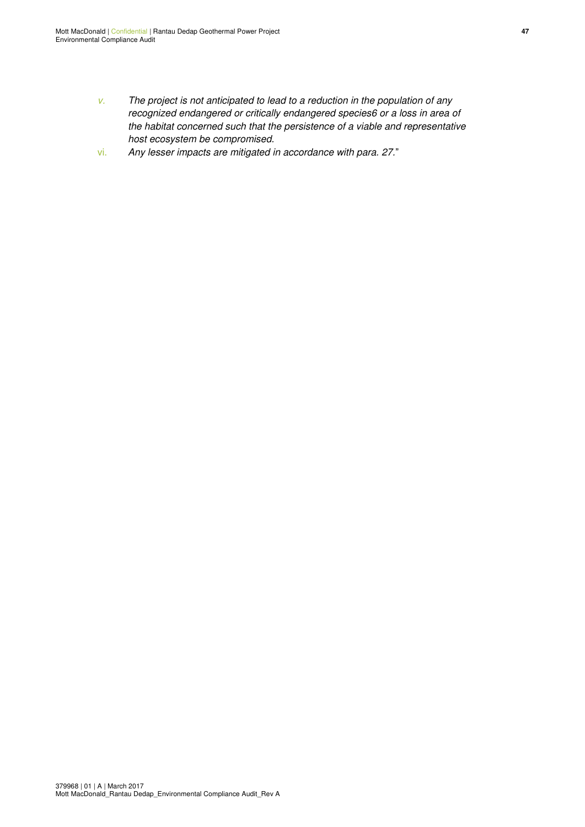- *v. The project is not anticipated to lead to a reduction in the population of any recognized endangered or critically endangered species6 or a loss in area of the habitat concerned such that the persistence of a viable and representative host ecosystem be compromised.*
- vi. *Any lesser impacts are mitigated in accordance with para. 27.*"